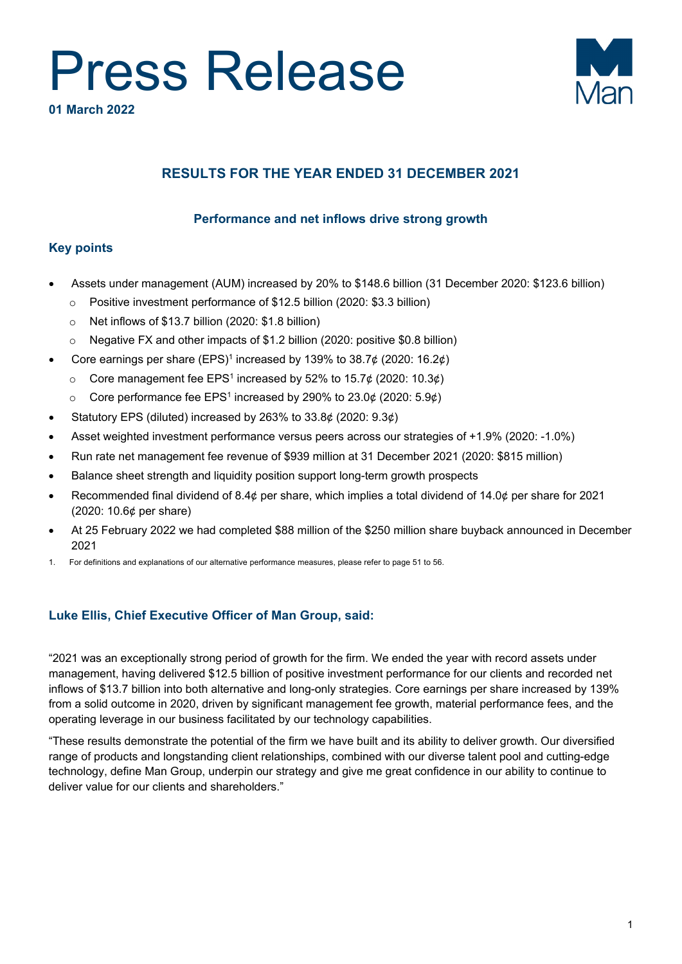



# **RESULTS FOR THE YEAR ENDED 31 DECEMBER 2021**

# **Performance and net inflows drive strong growth**

# **Key points**

- Assets under management (AUM) increased by 20% to \$148.6 billion (31 December 2020: \$123.6 billion)
	- o Positive investment performance of \$12.5 billion (2020: \$3.3 billion)
	- o Net inflows of \$13.7 billion (2020: \$1.8 billion)
	- o Negative FX and other impacts of \$1.2 billion (2020: positive \$0.8 billion)
- Core earnings per share (EPS)<sup>1</sup> increased by 139% to 38.7 $\rlap{/}$  (2020: 16.2 $\rlap{/}$ )
	- o Core management fee EPS<sup>1</sup> increased by 52% to 15.7¢ (2020: 10.3¢)
	- o Core performance fee EPS<sup>1</sup> increased by 290% to 23.0¢ (2020: 5.9¢)
- Statutory EPS (diluted) increased by 263% to 33.8¢ (2020: 9.3¢)
- Asset weighted investment performance versus peers across our strategies of +1.9% (2020: -1.0%)
- Run rate net management fee revenue of \$939 million at 31 December 2021 (2020: \$815 million)
- Balance sheet strength and liquidity position support long-term growth prospects
- Recommended final dividend of 8.4¢ per share, which implies a total dividend of 14.0¢ per share for 2021 (2020: 10.6¢ per share)
- At 25 February 2022 we had completed \$88 million of the \$250 million share buyback announced in December 2021
- 1. For definitions and explanations of our alternative performance measures, please refer to page 51 to 56.

# **Luke Ellis, Chief Executive Officer of Man Group, said:**

"2021 was an exceptionally strong period of growth for the firm. We ended the year with record assets under management, having delivered \$12.5 billion of positive investment performance for our clients and recorded net inflows of \$13.7 billion into both alternative and long-only strategies. Core earnings per share increased by 139% from a solid outcome in 2020, driven by significant management fee growth, material performance fees, and the operating leverage in our business facilitated by our technology capabilities.

"These results demonstrate the potential of the firm we have built and its ability to deliver growth. Our diversified range of products and longstanding client relationships, combined with our diverse talent pool and cutting-edge technology, define Man Group, underpin our strategy and give me great confidence in our ability to continue to deliver value for our clients and shareholders."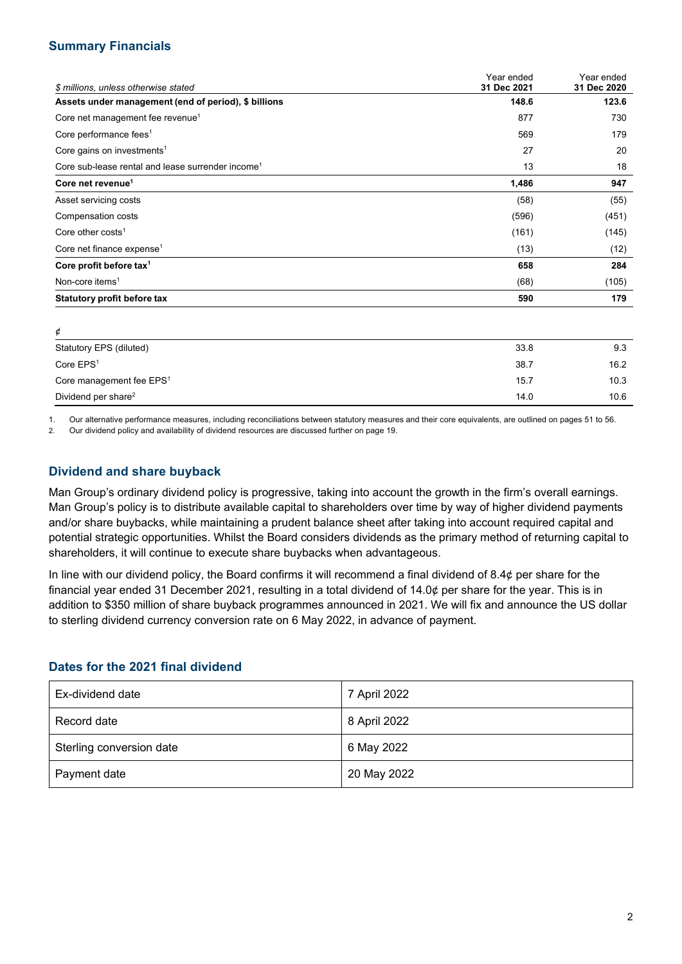# **Summary Financials**

| \$ millions, unless otherwise stated                          | Year ended<br>31 Dec 2021 | Year ended<br>31 Dec 2020 |
|---------------------------------------------------------------|---------------------------|---------------------------|
| Assets under management (end of period), \$ billions          | 148.6                     | 123.6                     |
| Core net management fee revenue <sup>1</sup>                  | 877                       | 730                       |
| Core performance fees <sup>1</sup>                            | 569                       | 179                       |
| Core gains on investments <sup>1</sup>                        | 27                        | 20                        |
| Core sub-lease rental and lease surrender income <sup>1</sup> | 13                        | 18                        |
| Core net revenue <sup>1</sup>                                 | 1,486                     | 947                       |
| Asset servicing costs                                         | (58)                      | (55)                      |
| Compensation costs                                            | (596)                     | (451)                     |
| Core other costs <sup>1</sup>                                 | (161)                     | (145)                     |
| Core net finance expense <sup>1</sup>                         | (13)                      | (12)                      |
| Core profit before tax <sup>1</sup>                           | 658                       | 284                       |
| Non-core items <sup>1</sup>                                   | (68)                      | (105)                     |
| <b>Statutory profit before tax</b>                            | 590                       | 179                       |
|                                                               |                           |                           |

| Statutory EPS (diluted)              | 33.8 | 9.3  |
|--------------------------------------|------|------|
| Core $EPS1$                          | 38.7 | 16.2 |
| Core management fee EPS <sup>1</sup> | 15.7 | 10.3 |
| Dividend per share <sup>2</sup>      | 14.0 | 10.6 |
|                                      |      |      |

1. Our alternative performance measures, including reconciliations between statutory measures and their core equivalents, are outlined on pages 51 to 56.

2. Our dividend policy and availability of dividend resources are discussed further on page 19.

# **Dividend and share buyback**

*¢*

Man Group's ordinary dividend policy is progressive, taking into account the growth in the firm's overall earnings. Man Group's policy is to distribute available capital to shareholders over time by way of higher dividend payments and/or share buybacks, while maintaining a prudent balance sheet after taking into account required capital and potential strategic opportunities. Whilst the Board considers dividends as the primary method of returning capital to shareholders, it will continue to execute share buybacks when advantageous.

In line with our dividend policy, the Board confirms it will recommend a final dividend of 8.4¢ per share for the financial year ended 31 December 2021, resulting in a total dividend of 14.0¢ per share for the year. This is in addition to \$350 million of share buyback programmes announced in 2021. We will fix and announce the US dollar to sterling dividend currency conversion rate on 6 May 2022, in advance of payment.

# **Dates for the 2021 final dividend**

| Ex-dividend date         | 7 April 2022 |
|--------------------------|--------------|
| Record date              | 8 April 2022 |
| Sterling conversion date | 6 May 2022   |
| Payment date             | 20 May 2022  |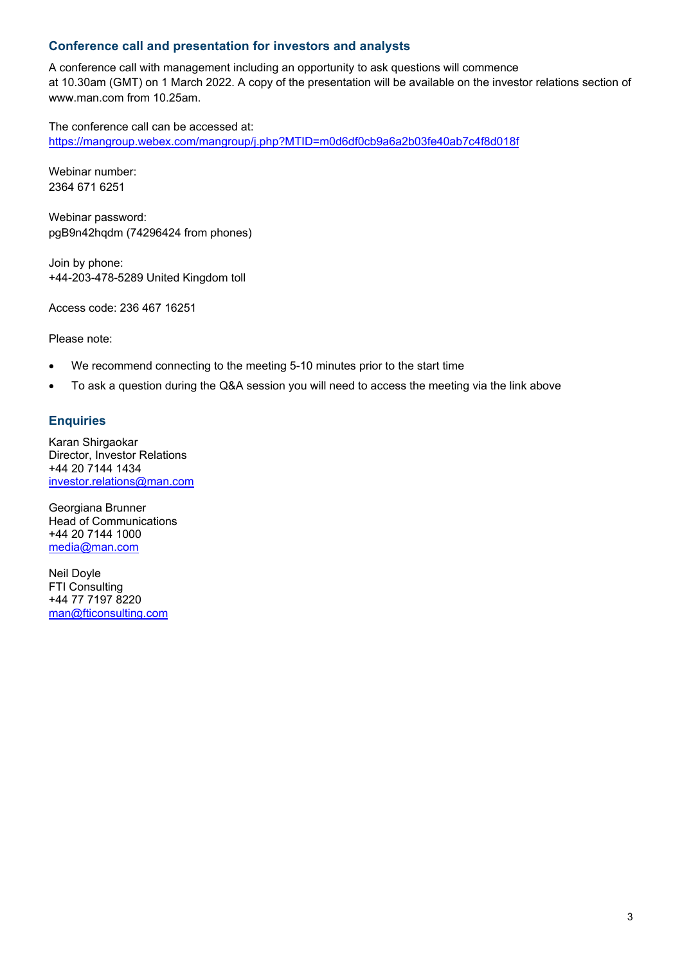# **Conference call and presentation for investors and analysts**

A conference call with management including an opportunity to ask questions will commence at 10.30am (GMT) on 1 March 2022. A copy of the presentation will be available on the investor relations section of www.man.com from 10.25am.

The conference call can be accessed at: <https://mangroup.webex.com/mangroup/j.php?MTID=m0d6df0cb9a6a2b03fe40ab7c4f8d018f>

Webinar number: 2364 671 6251

Webinar password: pgB9n42hqdm (74296424 from phones)

Join by phone: +44-203-478-5289 United Kingdom toll

Access code: 236 467 16251

Please note:

- We recommend connecting to the meeting 5-10 minutes prior to the start time
- To ask a question during the Q&A session you will need to access the meeting via the link above

# **Enquiries**

Karan Shirgaokar Director, Investor Relations +44 20 7144 1434 [investor.relations@man.com](mailto:investor.relations@man.com)

Georgiana Brunner Head of Communications +44 20 7144 1000 [media@man.com](mailto:media@man.com)

Neil Doyle FTI Consulting +44 77 7197 8220 [man@f](mailto:mangroupUK@finsbury.com)ticonsulting.com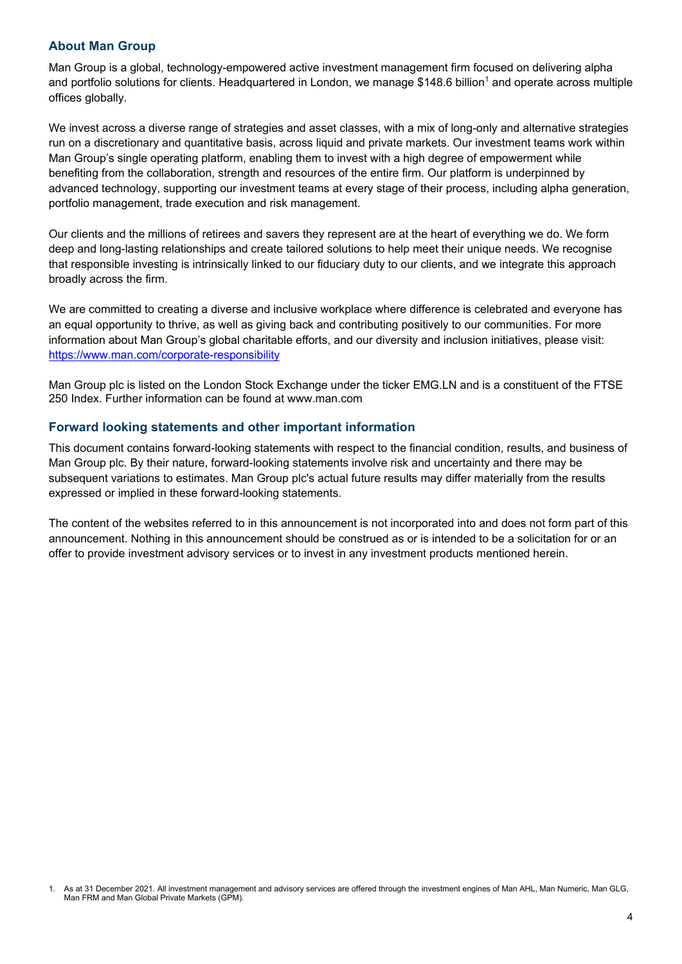# **About Man Group**

Man Group is a global, technology-empowered active investment management firm focused on delivering alpha and portfolio solutions for clients. Headquartered in London, we manage \$148.6 billion<sup>1</sup> and operate across multiple offices globally.

We invest across a diverse range of strategies and asset classes, with a mix of long-only and alternative strategies run on a discretionary and quantitative basis, across liquid and private markets. Our investment teams work within Man Group's single operating platform, enabling them to invest with a high degree of empowerment while benefiting from the collaboration, strength and resources of the entire firm. Our platform is underpinned by advanced technology, supporting our investment teams at every stage of their process, including alpha generation, portfolio management, trade execution and risk management.

Our clients and the millions of retirees and savers they represent are at the heart of everything we do. We form deep and long-lasting relationships and create tailored solutions to help meet their unique needs. We recognise that responsible investing is intrinsically linked to our fiduciary duty to our clients, and we integrate this approach broadly across the firm.

We are committed to creating a diverse and inclusive workplace where difference is celebrated and everyone has an equal opportunity to thrive, as well as giving back and contributing positively to our communities. For more information about Man Group's global charitable efforts, and our diversity and inclusion initiatives, please visit: <https://www.man.com/corporate-responsibility>

Man Group plc is listed on the London Stock Exchange under the ticker EMG.LN and is a constituent of the FTSE 250 Index. Further information can be found at www.man.com

# **Forward looking statements and other important information**

This document contains forward-looking statements with respect to the financial condition, results, and business of Man Group plc. By their nature, forward-looking statements involve risk and uncertainty and there may be subsequent variations to estimates. Man Group plc's actual future results may differ materially from the results expressed or implied in these forward-looking statements.

The content of the websites referred to in this announcement is not incorporated into and does not form part of this announcement. Nothing in this announcement should be construed as or is intended to be a solicitation for or an offer to provide investment advisory services or to invest in any investment products mentioned herein.

<sup>1.</sup> As at 31 December 2021. All investment management and advisory services are offered through the investment engines of Man AHL, Man Numeric, Man GLG, Man FRM and Man Global Private Markets (GPM).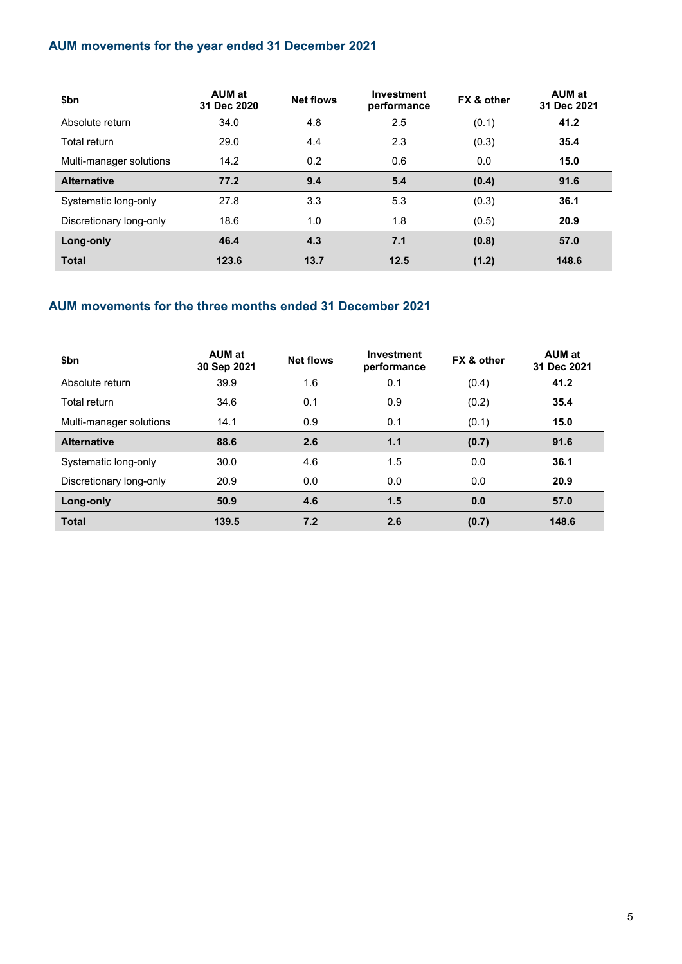# **AUM movements for the year ended 31 December 2021**

| \$bn                    | AUM at<br>31 Dec 2020 | <b>Net flows</b> | <b>Investment</b><br>performance | FX & other | AUM at<br>31 Dec 2021 |
|-------------------------|-----------------------|------------------|----------------------------------|------------|-----------------------|
| Absolute return         | 34.0                  | 4.8              | 2.5                              | (0.1)      | 41.2                  |
| Total return            | 29.0                  | 4.4              | 2.3                              | (0.3)      | 35.4                  |
| Multi-manager solutions | 14.2                  | 0.2              | 0.6                              | 0.0        | 15.0                  |
| <b>Alternative</b>      | 77.2                  | 9.4              | 5.4                              | (0.4)      | 91.6                  |
| Systematic long-only    | 27.8                  | 3.3              | 5.3                              | (0.3)      | 36.1                  |
| Discretionary long-only | 18.6                  | 1.0              | 1.8                              | (0.5)      | 20.9                  |
| Long-only               | 46.4                  | 4.3              | 7.1                              | (0.8)      | 57.0                  |
| <b>Total</b>            | 123.6                 | 13.7             | 12.5                             | (1.2)      | 148.6                 |

# **AUM movements for the three months ended 31 December 2021**

| \$bn                    | <b>AUM at</b><br>30 Sep 2021 | <b>Net flows</b> | <b>Investment</b><br>performance | FX & other | <b>AUM at</b><br>31 Dec 2021 |
|-------------------------|------------------------------|------------------|----------------------------------|------------|------------------------------|
| Absolute return         | 39.9                         | 1.6              | 0.1                              | (0.4)      | 41.2                         |
| Total return            | 34.6                         | 0.1              | 0.9                              | (0.2)      | 35.4                         |
| Multi-manager solutions | 14.1                         | 0.9              | 0.1                              | (0.1)      | 15.0                         |
| <b>Alternative</b>      | 88.6                         | 2.6              | 1.1                              | (0.7)      | 91.6                         |
| Systematic long-only    | 30.0                         | 4.6              | 1.5                              | 0.0        | 36.1                         |
| Discretionary long-only | 20.9                         | 0.0              | 0.0                              | 0.0        | 20.9                         |
| Long-only               | 50.9                         | 4.6              | 1.5                              | 0.0        | 57.0                         |
| <b>Total</b>            | 139.5                        | 7.2              | 2.6                              | (0.7)      | 148.6                        |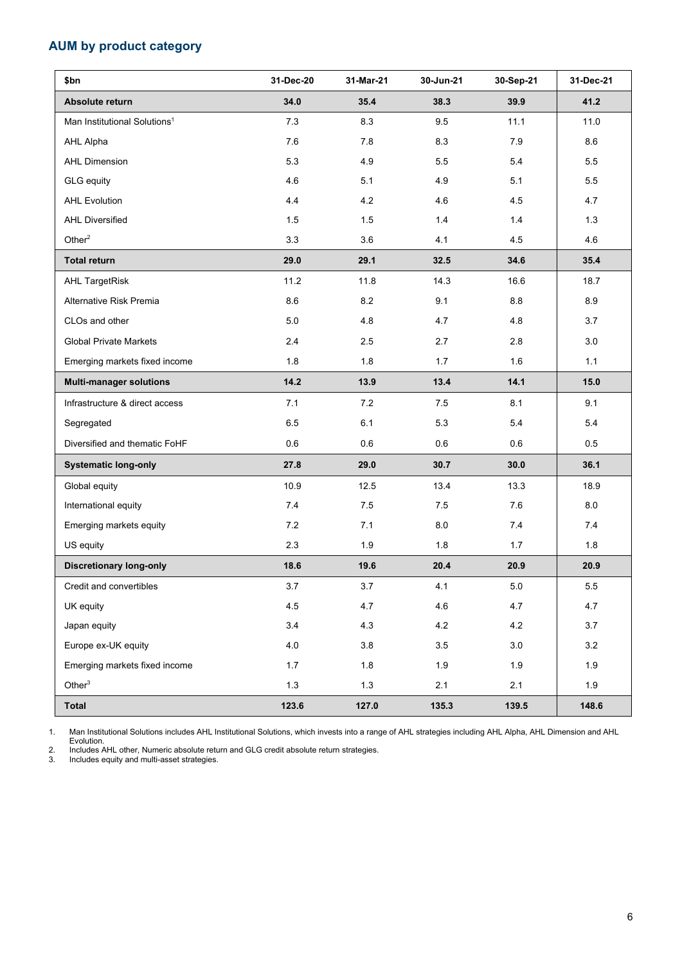# **AUM by product category**

| \$bn                                     | 31-Dec-20 | 31-Mar-21 | 30-Jun-21 | 30-Sep-21 | 31-Dec-21 |
|------------------------------------------|-----------|-----------|-----------|-----------|-----------|
| Absolute return                          | 34.0      | 35.4      | 38.3      | 39.9      | 41.2      |
| Man Institutional Solutions <sup>1</sup> | 7.3       | 8.3       | 9.5       | 11.1      | 11.0      |
| <b>AHL Alpha</b>                         | 7.6       | 7.8       | 8.3       | 7.9       | 8.6       |
| <b>AHL Dimension</b>                     | 5.3       | 4.9       | 5.5       | 5.4       | 5.5       |
| <b>GLG</b> equity                        | 4.6       | 5.1       | 4.9       | 5.1       | 5.5       |
| <b>AHL Evolution</b>                     | 4.4       | 4.2       | 4.6       | 4.5       | 4.7       |
| <b>AHL Diversified</b>                   | 1.5       | 1.5       | 1.4       | 1.4       | 1.3       |
| Other $2$                                | 3.3       | 3.6       | 4.1       | 4.5       | 4.6       |
| <b>Total return</b>                      | 29.0      | 29.1      | 32.5      | 34.6      | 35.4      |
| <b>AHL TargetRisk</b>                    | 11.2      | 11.8      | 14.3      | 16.6      | 18.7      |
| Alternative Risk Premia                  | 8.6       | 8.2       | 9.1       | 8.8       | 8.9       |
| CLOs and other                           | 5.0       | 4.8       | 4.7       | 4.8       | 3.7       |
| <b>Global Private Markets</b>            | 2.4       | 2.5       | 2.7       | 2.8       | 3.0       |
| Emerging markets fixed income            | 1.8       | 1.8       | 1.7       | 1.6       | 1.1       |
| <b>Multi-manager solutions</b>           | 14.2      | 13.9      | 13.4      | 14.1      | 15.0      |
| Infrastructure & direct access           | 7.1       | 7.2       | 7.5       | 8.1       | 9.1       |
| Segregated                               | 6.5       | 6.1       | 5.3       | 5.4       | 5.4       |
| Diversified and thematic FoHF            | 0.6       | 0.6       | 0.6       | 0.6       | 0.5       |
| <b>Systematic long-only</b>              | 27.8      | 29.0      | 30.7      | 30.0      | 36.1      |
| Global equity                            | 10.9      | 12.5      | 13.4      | 13.3      | 18.9      |
| International equity                     | 7.4       | 7.5       | 7.5       | 7.6       | 8.0       |
| Emerging markets equity                  | 7.2       | 7.1       | 8.0       | 7.4       | 7.4       |
| US equity                                | 2.3       | 1.9       | 1.8       | 1.7       | 1.8       |
| <b>Discretionary long-only</b>           | 18.6      | 19.6      | 20.4      | 20.9      | 20.9      |
| Credit and convertibles                  | 3.7       | 3.7       | 4.1       | $5.0\,$   | 5.5       |
| UK equity                                | 4.5       | 4.7       | 4.6       | 4.7       | 4.7       |
| Japan equity                             | 3.4       | 4.3       | 4.2       | $4.2\,$   | 3.7       |
| Europe ex-UK equity                      | 4.0       | 3.8       | 3.5       | $3.0\,$   | $3.2\,$   |
| Emerging markets fixed income            | 1.7       | 1.8       | 1.9       | 1.9       | 1.9       |
| Other <sup>3</sup>                       | $1.3$     | $1.3$     | 2.1       | 2.1       | 1.9       |
| Total                                    | 123.6     | 127.0     | 135.3     | 139.5     | 148.6     |

1. Man Institutional Solutions includes AHL Institutional Solutions, which invests into a range of AHL strategies including AHL Alpha, AHL Dimension and AHL Evolution.

2. Includes AHL other, Numeric absolute return and GLG credit absolute return strategies.

3. Includes equity and multi-asset strategies.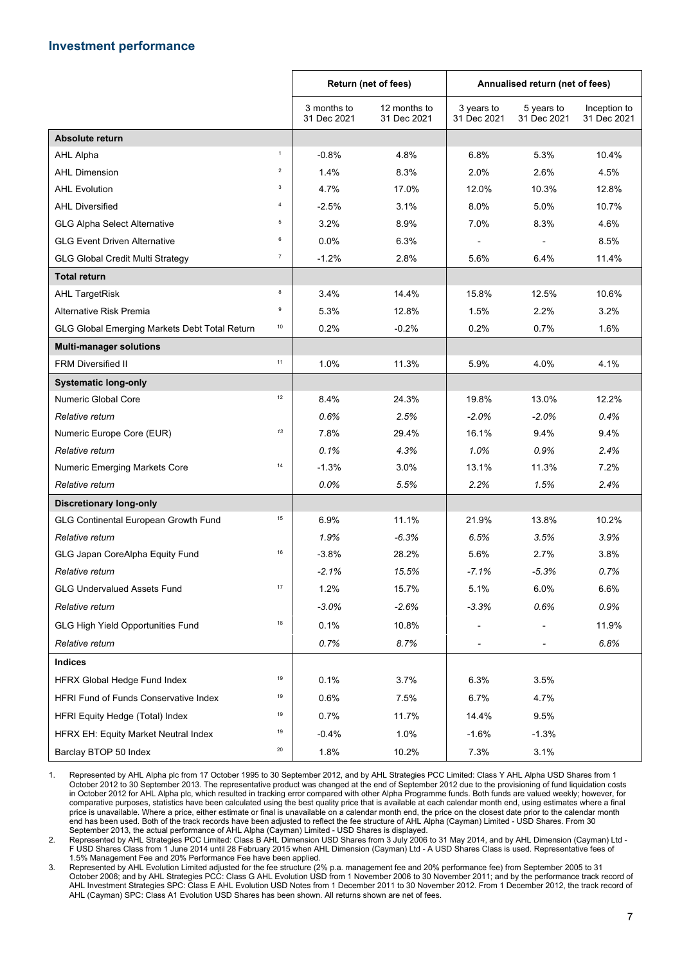# **Investment performance**

|                                               |                |                            | Return (net of fees)        | Annualised return (net of fees) |                           |                             |
|-----------------------------------------------|----------------|----------------------------|-----------------------------|---------------------------------|---------------------------|-----------------------------|
|                                               |                | 3 months to<br>31 Dec 2021 | 12 months to<br>31 Dec 2021 | 3 years to<br>31 Dec 2021       | 5 years to<br>31 Dec 2021 | Inception to<br>31 Dec 2021 |
| Absolute return                               |                |                            |                             |                                 |                           |                             |
| <b>AHL Alpha</b>                              | $\mathbf{1}$   | $-0.8%$                    | 4.8%                        | 6.8%                            | 5.3%                      | 10.4%                       |
| <b>AHL Dimension</b>                          | $\overline{a}$ | 1.4%                       | 8.3%                        | 2.0%                            | 2.6%                      | 4.5%                        |
| <b>AHL Evolution</b>                          | $\mathbf{3}$   | 4.7%                       | 17.0%                       | 12.0%                           | 10.3%                     | 12.8%                       |
| <b>AHL Diversified</b>                        | $\overline{4}$ | $-2.5%$                    | 3.1%                        | 8.0%                            | 5.0%                      | 10.7%                       |
| <b>GLG Alpha Select Alternative</b>           | 5              | 3.2%                       | 8.9%                        | 7.0%                            | 8.3%                      | 4.6%                        |
| <b>GLG Event Driven Alternative</b>           | 6              | 0.0%                       | 6.3%                        |                                 | $\overline{a}$            | 8.5%                        |
| <b>GLG Global Credit Multi Strategy</b>       | $\overline{7}$ | $-1.2%$                    | 2.8%                        | 5.6%                            | 6.4%                      | 11.4%                       |
| Total return                                  |                |                            |                             |                                 |                           |                             |
| <b>AHL TargetRisk</b>                         | 8              | 3.4%                       | 14.4%                       | 15.8%                           | 12.5%                     | 10.6%                       |
| Alternative Risk Premia                       | 9              | 5.3%                       | 12.8%                       | 1.5%                            | 2.2%                      | 3.2%                        |
| GLG Global Emerging Markets Debt Total Return | 10             | 0.2%                       | $-0.2%$                     | 0.2%                            | 0.7%                      | 1.6%                        |
| <b>Multi-manager solutions</b>                |                |                            |                             |                                 |                           |                             |
| <b>FRM Diversified II</b>                     | 11             | 1.0%                       | 11.3%                       | 5.9%                            | 4.0%                      | 4.1%                        |
| <b>Systematic long-only</b>                   |                |                            |                             |                                 |                           |                             |
| <b>Numeric Global Core</b>                    | 12             | 8.4%                       | 24.3%                       | 19.8%                           | 13.0%                     | 12.2%                       |
| Relative return                               |                | 0.6%                       | 2.5%                        | $-2.0%$                         | $-2.0%$                   | 0.4%                        |
| Numeric Europe Core (EUR)                     | 13             | 7.8%                       | 29.4%                       | 16.1%                           | 9.4%                      | 9.4%                        |
| Relative return                               |                | 0.1%                       | 4.3%                        | 1.0%                            | 0.9%                      | 2.4%                        |
| Numeric Emerging Markets Core                 | 14             | $-1.3%$                    | 3.0%                        | 13.1%                           | 11.3%                     | 7.2%                        |
| Relative return                               |                | 0.0%                       | 5.5%                        | 2.2%                            | 1.5%                      | 2.4%                        |
| <b>Discretionary long-only</b>                |                |                            |                             |                                 |                           |                             |
| GLG Continental European Growth Fund          | 15             | 6.9%                       | 11.1%                       | 21.9%                           | 13.8%                     | 10.2%                       |
| Relative return                               |                | 1.9%                       | $-6.3%$                     | 6.5%                            | 3.5%                      | 3.9%                        |
| GLG Japan CoreAlpha Equity Fund               | 16             | $-3.8%$                    | 28.2%                       | 5.6%                            | 2.7%                      | 3.8%                        |
| Relative return                               |                | $-2.1%$                    | 15.5%                       | $-7.1%$                         | $-5.3%$                   | 0.7%                        |
| <b>GLG Undervalued Assets Fund</b>            | $17\,$         | 1.2%                       | 15.7%                       | 5.1%                            | 6.0%                      | 6.6%                        |
| Relative return                               |                | $-3.0%$                    | $-2.6%$                     | $-3.3%$                         | 0.6%                      | 0.9%                        |
| <b>GLG High Yield Opportunities Fund</b>      | $18$           | 0.1%                       | 10.8%                       |                                 |                           | 11.9%                       |
| Relative return                               |                | 0.7%                       | 8.7%                        | $\overline{\phantom{a}}$        | $\overline{\phantom{a}}$  | 6.8%                        |
| <b>Indices</b>                                |                |                            |                             |                                 |                           |                             |
| <b>HFRX Global Hedge Fund Index</b>           | 19             | 0.1%                       | 3.7%                        | 6.3%                            | 3.5%                      |                             |
| HFRI Fund of Funds Conservative Index         | 19             | 0.6%                       | 7.5%                        | 6.7%                            | 4.7%                      |                             |
| HFRI Equity Hedge (Total) Index               | 19             | 0.7%                       | 11.7%                       | 14.4%                           | 9.5%                      |                             |
| <b>HFRX EH: Equity Market Neutral Index</b>   | 19             | $-0.4%$                    | 1.0%                        | $-1.6%$                         | $-1.3%$                   |                             |
| Barclay BTOP 50 Index                         | $20\,$         | 1.8%                       | 10.2%                       | 7.3%                            | 3.1%                      |                             |

1. Represented by AHL Alpha plc from 17 October 1995 to 30 September 2012, and by AHL Strategies PCC Limited: Class Y AHL Alpha USD Shares from 1 October 2012 to 30 September 2013. The representative product was changed at the end of September 2012 due to the provisioning of fund liquidation costs in October 2012 for AHL Alpha plc, which resulted in tracking error compared with other Alpha Programme funds. Both funds are valued weekly; however, for comparative purposes, statistics have been calculated using the best quality price that is available at each calendar month end, using estimates where a final price is unavailable. Where a price, either estimate or final is unavailable on a calendar month end, the price on the closest date prior to the calendar month end has been used. Both of the track records have been adjusted to reflect the fee structure of AHL Alpha (Cayman) Limited - USD Shares. From 30 September 2013, the actual performance of AHL Alpha (Cayman) Limited - USD Shares is displayed.

2. Represented by AHL Strategies PCC Limited: Class B AHL Dimension USD Shares from 3 July 2006 to 31 May 2014, and by AHL Dimension (Cayman) Ltd - F USD Shares Class from 1 June 2014 until 28 February 2015 when AHL Dimension (Cayman) Ltd - A USD Shares Class is used. Representative fees of 1.5% Management Fee and 20% Performance Fee have been applied.

3. Represented by AHL Evolution Limited adjusted for the fee structure (2% p.a. management fee and 20% performance fee) from September 2005 to 31 October 2006; and by AHL Strategies PCC: Class G AHL Evolution USD from 1 November 2006 to 30 November 2011; and by the performance track record of AHL Investment Strategies SPC: Class E AHL Evolution USD Notes from 1 December 2011 to 30 November 2012. From 1 December 2012, the track record of AHL (Cayman) SPC: Class A1 Evolution USD Shares has been shown. All returns shown are net of fees.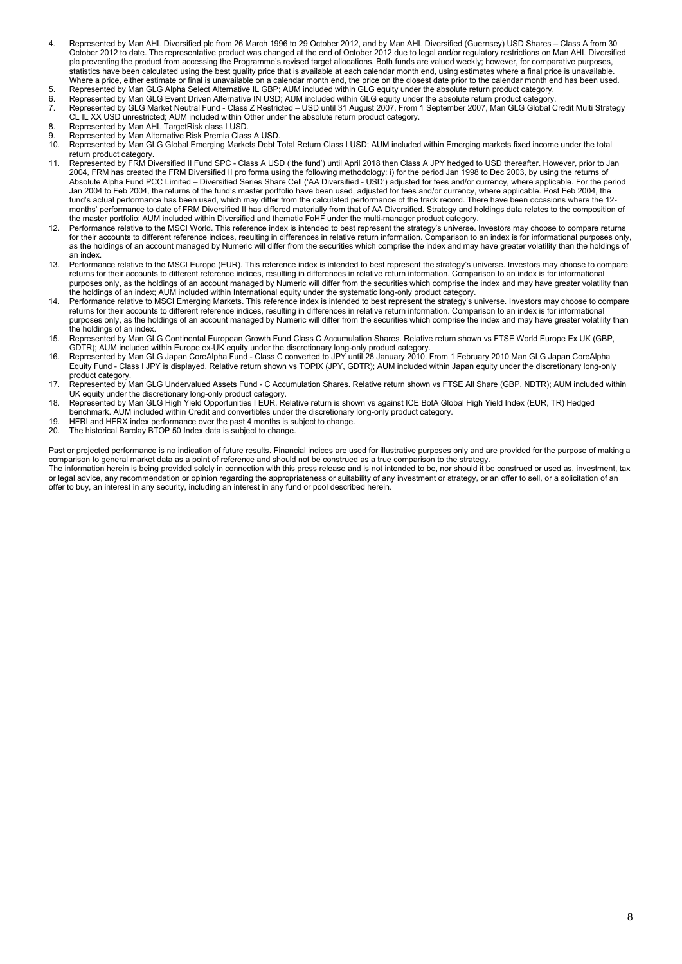- 4. Represented by Man AHL Diversified plc from 26 March 1996 to 29 October 2012, and by Man AHL Diversified (Guernsey) USD Shares Class A from 30 October 2012 to date. The representative product was changed at the end of October 2012 due to legal and/or regulatory restrictions on Man AHL Diversified plc preventing the product from accessing the Programme's revised target allocations. Both funds are valued weekly; however, for comparative purposes, statistics have been calculated using the best quality price that is available at each calendar month end, using estimates where a final price is unavailable. Where a price, either estimate or final is unavailable on a calendar month end, the price on the closest date prior to the calendar month end has been used.
- 5. Represented by Man GLG Alpha Select Alternative IL GBP; AUM included within GLG equity under the absolute return product category.<br>6. Represented by Man GLG Event Driven Alternative IN USD; AUM included within GLG equit 6. Represented by Man GLG Event Driven Alternative IN USD; AUM included within GLG equity under the absolute return product category.
- 7. Represented by GLG Market Neutral Fund Class Z Restricted USD until 31 August 2007. From 1 September 2007, Man GLG Global Credit Multi Strategy CL IL XX USD unrestricted; AUM included within Other under the absolute return product category.
- 8. Represented by Man AHL TargetRisk class I USD.
- er Represented by Man Alternative Risk Premia Class A USD.<br>10. Represented by Man Alternative Risk Premia Class A USD.<br>10. Represented by Man GLG Global Emerging Markets Debt 1 10. Represented by Man GLG Global Emerging Markets Debt Total Return Class I USD; AUM included within Emerging markets fixed income under the total return product category.
- 11. Represented by FRM Diversified II Fund SPC Class A USD ('the fund') until April 2018 then Class A JPY hedged to USD thereafter. However, prior to Jan 2004, FRM has created the FRM Diversified II pro forma using the following methodology: i) for the period Jan 1998 to Dec 2003, by using the returns of Absolute Alpha Fund PCC Limited – Diversified Series Share Cell ('AA Diversified - USD') adjusted for fees and/or currency, where applicable. For the period Jan 2004 to Feb 2004, the returns of the fund's master portfolio have been used, adjusted for fees and/or currency, where applicable. Post Feb 2004, the fund's actual performance has been used, which may differ from the calculated performance of the track record. There have been occasions where the 12 months' performance to date of FRM Diversified II has differed materially from that of AA Diversified. Strategy and holdings data relates to the composition of the master portfolio; AUM included within Diversified and thematic FoHF under the multi-manager product category.
- 12. Performance relative to the MSCI World. This reference index is intended to best represent the strategy's universe. Investors may choose to compare returns for their accounts to different reference indices, resulting in differences in relative return information. Comparison to an index is for informational purposes only, as the holdings of an account managed by Numeric will differ from the securities which comprise the index and may have greater volatility than the holdings of an index.
- 13. Performance relative to the MSCI Europe (EUR). This reference index is intended to best represent the strategy's universe. Investors may choose to compare returns for their accounts to different reference indices, resulting in differences in relative return information. Comparison to an index is for informational purposes only, as the holdings of an account managed by Numeric will differ from the securities which comprise the index and may have greater volatility than the holdings of an index; AUM included within International equity under the systematic long-only product category.
- 14. Performance relative to MSCI Emerging Markets. This reference index is intended to best represent the strategy's universe. Investors may choose to compare returns for their accounts to different reference indices, resulting in differences in relative return information. Comparison to an index is for informational purposes only, as the holdings of an account managed by Numeric will differ from the securities which comprise the index and may have greater volatility than the holdings of an index.
- 15. Represented by Man GLG Continental European Growth Fund Class C Accumulation Shares. Relative return shown vs FTSE World Europe Ex UK (GBP, GDTR); AUM included within Europe ex-UK equity under the discretionary long-only product category.
- 16. Represented by Man GLG Japan CoreAlpha Fund Class C converted to JPY until 28 January 2010. From 1 February 2010 Man GLG Japan CoreAlpha Equity Fund - Class I JPY is displayed. Relative return shown vs TOPIX (JPY, GDTR); AUM included within Japan equity under the discretionary long-only product category.
- 17. Represented by Man GLG Undervalued Assets Fund C Accumulation Shares. Relative return shown vs FTSE All Share (GBP, NDTR); AUM included within UK equity under the discretionary long-only product category.
- 18. Represented by Man GLG High Yield Opportunities I EUR. Relative return is shown vs against ICE BofA Global High Yield Index (EUR, TR) Hedged benchmark. AUM included within Credit and convertibles under the discretionary long-only product category.
- 19. HFRI and HFRX index performance over the past 4 months is subject to change.<br>20. The historical Barclay BTOP 50 Index data is subject to change.

offer to buy, an interest in any security, including an interest in any fund or pool described herein.

20. The historical Barclay BTOP 50 Index data is subject to change.

Past or projected performance is no indication of future results. Financial indices are used for illustrative purposes only and are provided for the purpose of making a comparison to general market data as a point of reference and should not be construed as a true comparison to the strategy. The information herein is being provided solely in connection with this press release and is not intended to be, nor should it be construed or used as, investment, tax or legal advice, any recommendation or opinion regarding the appropriateness or suitability of any investment or strategy, or an offer to sell, or a solicitation of an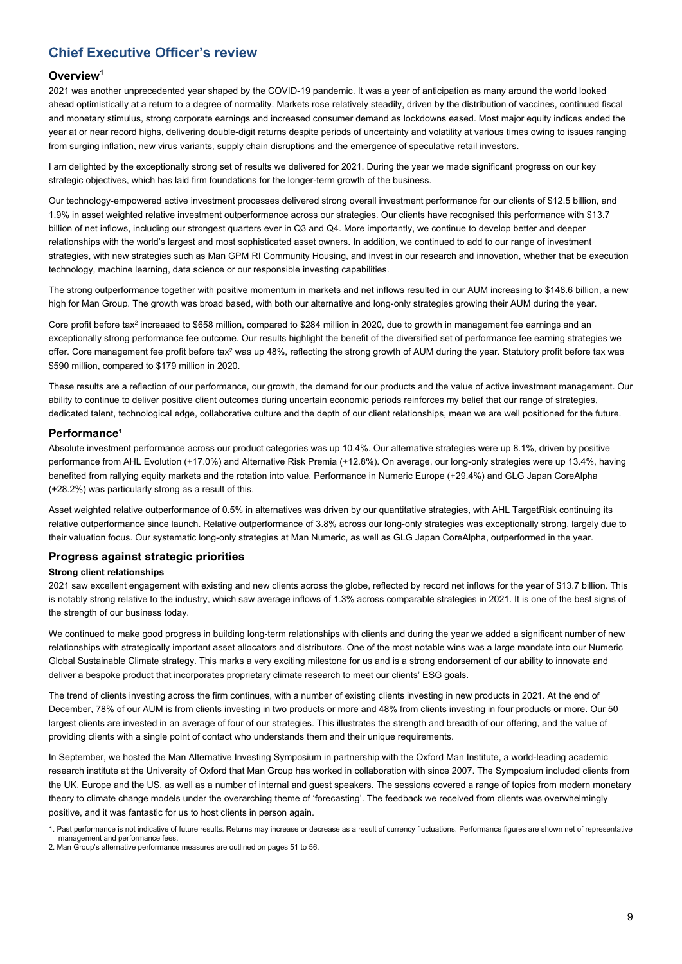# **Chief Executive Officer's review**

#### **Overview<sup>1</sup>**

2021 was another unprecedented year shaped by the COVID-19 pandemic. It was a year of anticipation as many around the world looked ahead optimistically at a return to a degree of normality. Markets rose relatively steadily, driven by the distribution of vaccines, continued fiscal and monetary stimulus, strong corporate earnings and increased consumer demand as lockdowns eased. Most major equity indices ended the year at or near record highs, delivering double-digit returns despite periods of uncertainty and volatility at various times owing to issues ranging from surging inflation, new virus variants, supply chain disruptions and the emergence of speculative retail investors.

I am delighted by the exceptionally strong set of results we delivered for 2021. During the year we made significant progress on our key strategic objectives, which has laid firm foundations for the longer-term growth of the business.

Our technology-empowered active investment processes delivered strong overall investment performance for our clients of \$12.5 billion, and 1.9% in asset weighted relative investment outperformance across our strategies. Our clients have recognised this performance with \$13.7 billion of net inflows, including our strongest quarters ever in Q3 and Q4. More importantly, we continue to develop better and deeper relationships with the world's largest and most sophisticated asset owners. In addition, we continued to add to our range of investment strategies, with new strategies such as Man GPM RI Community Housing, and invest in our research and innovation, whether that be execution technology, machine learning, data science or our responsible investing capabilities.

The strong outperformance together with positive momentum in markets and net inflows resulted in our AUM increasing to \$148.6 billion, a new high for Man Group. The growth was broad based, with both our alternative and long-only strategies growing their AUM during the year.

Core profit before tax<sup>2</sup> increased to \$658 million, compared to \$284 million in 2020, due to growth in management fee earnings and an exceptionally strong performance fee outcome. Our results highlight the benefit of the diversified set of performance fee earning strategies we offer. Core management fee profit before tax<sup>2</sup> was up 48%, reflecting the strong growth of AUM during the year. Statutory profit before tax was \$590 million, compared to \$179 million in 2020.

These results are a reflection of our performance, our growth, the demand for our products and the value of active investment management. Our ability to continue to deliver positive client outcomes during uncertain economic periods reinforces my belief that our range of strategies, dedicated talent, technological edge, collaborative culture and the depth of our client relationships, mean we are well positioned for the future.

#### **Performance<sup>1</sup>**

Absolute investment performance across our product categories was up 10.4%. Our alternative strategies were up 8.1%, driven by positive performance from AHL Evolution (+17.0%) and Alternative Risk Premia (+12.8%). On average, our long-only strategies were up 13.4%, having benefited from rallying equity markets and the rotation into value. Performance in Numeric Europe (+29.4%) and GLG Japan CoreAlpha (+28.2%) was particularly strong as a result of this.

Asset weighted relative outperformance of 0.5% in alternatives was driven by our quantitative strategies, with AHL TargetRisk continuing its relative outperformance since launch. Relative outperformance of 3.8% across our long-only strategies was exceptionally strong, largely due to their valuation focus. Our systematic long-only strategies at Man Numeric, as well as GLG Japan CoreAlpha, outperformed in the year.

### **Progress against strategic priorities**

#### **Strong client relationships**

2021 saw excellent engagement with existing and new clients across the globe, reflected by record net inflows for the year of \$13.7 billion. This is notably strong relative to the industry, which saw average inflows of 1.3% across comparable strategies in 2021. It is one of the best signs of the strength of our business today.

We continued to make good progress in building long-term relationships with clients and during the year we added a significant number of new relationships with strategically important asset allocators and distributors. One of the most notable wins was a large mandate into our Numeric Global Sustainable Climate strategy. This marks a very exciting milestone for us and is a strong endorsement of our ability to innovate and deliver a bespoke product that incorporates proprietary climate research to meet our clients' ESG goals.

The trend of clients investing across the firm continues, with a number of existing clients investing in new products in 2021. At the end of December, 78% of our AUM is from clients investing in two products or more and 48% from clients investing in four products or more. Our 50 largest clients are invested in an average of four of our strategies. This illustrates the strength and breadth of our offering, and the value of providing clients with a single point of contact who understands them and their unique requirements.

In September, we hosted the Man Alternative Investing Symposium in partnership with the Oxford Man Institute, a world-leading academic research institute at the University of Oxford that Man Group has worked in collaboration with since 2007. The Symposium included clients from the UK, Europe and the US, as well as a number of internal and guest speakers. The sessions covered a range of topics from modern monetary theory to climate change models under the overarching theme of 'forecasting'. The feedback we received from clients was overwhelmingly positive, and it was fantastic for us to host clients in person again.

1. Past performance is not indicative of future results. Returns may increase or decrease as a result of currency fluctuations. Performance figures are shown net of representative management and performance fees.

2. Man Group's alternative performance measures are outlined on pages 51 to 56.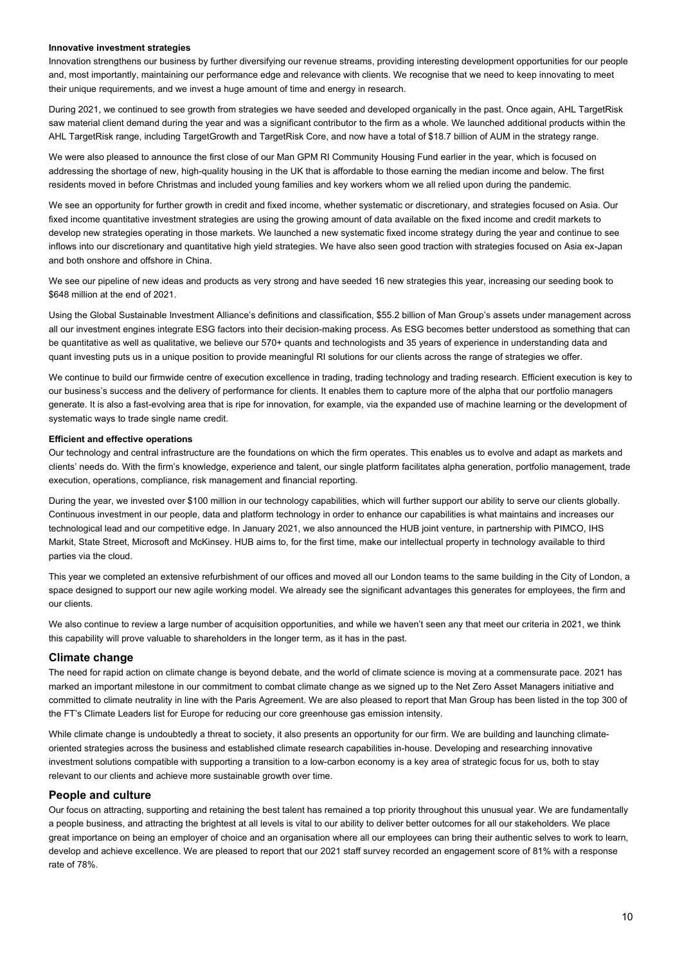#### **Innovative investment strategies**

Innovation strengthens our business by further diversifying our revenue streams, providing interesting development opportunities for our people and, most importantly, maintaining our performance edge and relevance with clients. We recognise that we need to keep innovating to meet their unique requirements, and we invest a huge amount of time and energy in research.

During 2021, we continued to see growth from strategies we have seeded and developed organically in the past. Once again, AHL TargetRisk saw material client demand during the year and was a significant contributor to the firm as a whole. We launched additional products within the AHL TargetRisk range, including TargetGrowth and TargetRisk Core, and now have a total of \$18.7 billion of AUM in the strategy range.

We were also pleased to announce the first close of our Man GPM RI Community Housing Fund earlier in the year, which is focused on addressing the shortage of new, high-quality housing in the UK that is affordable to those earning the median income and below. The first residents moved in before Christmas and included young families and key workers whom we all relied upon during the pandemic.

We see an opportunity for further growth in credit and fixed income, whether systematic or discretionary, and strategies focused on Asia. Our fixed income quantitative investment strategies are using the growing amount of data available on the fixed income and credit markets to develop new strategies operating in those markets. We launched a new systematic fixed income strategy during the year and continue to see inflows into our discretionary and quantitative high yield strategies. We have also seen good traction with strategies focused on Asia ex-Japan and both onshore and offshore in China.

We see our pipeline of new ideas and products as very strong and have seeded 16 new strategies this year, increasing our seeding book to \$648 million at the end of 2021.

Using the Global Sustainable Investment Alliance's definitions and classification, \$55.2 billion of Man Group's assets under management across all our investment engines integrate ESG factors into their decision-making process. As ESG becomes better understood as something that can be quantitative as well as qualitative, we believe our 570+ quants and technologists and 35 years of experience in understanding data and quant investing puts us in a unique position to provide meaningful RI solutions for our clients across the range of strategies we offer.

We continue to build our firmwide centre of execution excellence in trading, trading technology and trading research. Efficient execution is key to our business's success and the delivery of performance for clients. It enables them to capture more of the alpha that our portfolio managers generate. It is also a fast-evolving area that is ripe for innovation, for example, via the expanded use of machine learning or the development of systematic ways to trade single name credit.

#### **Efficient and effective operations**

Our technology and central infrastructure are the foundations on which the firm operates. This enables us to evolve and adapt as markets and clients' needs do. With the firm's knowledge, experience and talent, our single platform facilitates alpha generation, portfolio management, trade execution, operations, compliance, risk management and financial reporting.

During the year, we invested over \$100 million in our technology capabilities, which will further support our ability to serve our clients globally. Continuous investment in our people, data and platform technology in order to enhance our capabilities is what maintains and increases our technological lead and our competitive edge. In January 2021, we also announced the HUB joint venture, in partnership with PIMCO, IHS Markit, State Street, Microsoft and McKinsey. HUB aims to, for the first time, make our intellectual property in technology available to third parties via the cloud.

This year we completed an extensive refurbishment of our offices and moved all our London teams to the same building in the City of London, a space designed to support our new agile working model. We already see the significant advantages this generates for employees, the firm and our clients.

We also continue to review a large number of acquisition opportunities, and while we haven't seen any that meet our criteria in 2021, we think this capability will prove valuable to shareholders in the longer term, as it has in the past.

#### **Climate change**

The need for rapid action on climate change is beyond debate, and the world of climate science is moving at a commensurate pace. 2021 has marked an important milestone in our commitment to combat climate change as we signed up to the Net Zero Asset Managers initiative and committed to climate neutrality in line with the Paris Agreement. We are also pleased to report that Man Group has been listed in the top 300 of the FT's Climate Leaders list for Europe for reducing our core greenhouse gas emission intensity.

While climate change is undoubtedly a threat to society, it also presents an opportunity for our firm. We are building and launching climateoriented strategies across the business and established climate research capabilities in-house. Developing and researching innovative investment solutions compatible with supporting a transition to a low-carbon economy is a key area of strategic focus for us, both to stay relevant to our clients and achieve more sustainable growth over time.

#### **People and culture**

Our focus on attracting, supporting and retaining the best talent has remained a top priority throughout this unusual year. We are fundamentally a people business, and attracting the brightest at all levels is vital to our ability to deliver better outcomes for all our stakeholders. We place great importance on being an employer of choice and an organisation where all our employees can bring their authentic selves to work to learn, develop and achieve excellence. We are pleased to report that our 2021 staff survey recorded an engagement score of 81% with a response rate of 78%.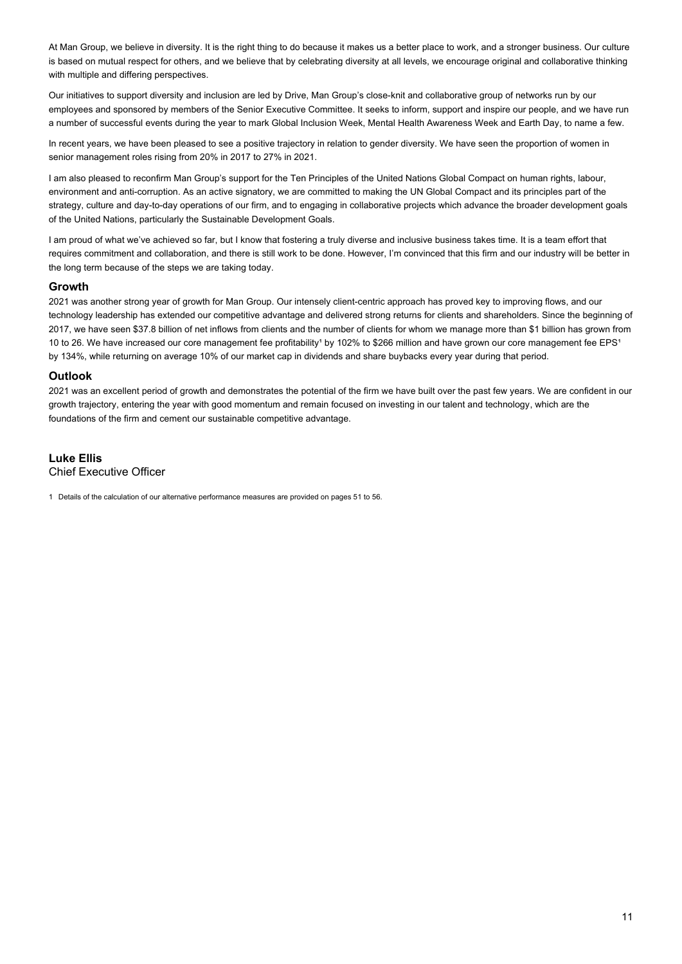At Man Group, we believe in diversity. It is the right thing to do because it makes us a better place to work, and a stronger business. Our culture is based on mutual respect for others, and we believe that by celebrating diversity at all levels, we encourage original and collaborative thinking with multiple and differing perspectives.

Our initiatives to support diversity and inclusion are led by Drive, Man Group's close-knit and collaborative group of networks run by our employees and sponsored by members of the Senior Executive Committee. It seeks to inform, support and inspire our people, and we have run a number of successful events during the year to mark Global Inclusion Week, Mental Health Awareness Week and Earth Day, to name a few.

In recent years, we have been pleased to see a positive trajectory in relation to gender diversity. We have seen the proportion of women in senior management roles rising from 20% in 2017 to 27% in 2021.

I am also pleased to reconfirm Man Group's support for the Ten Principles of the United Nations Global Compact on human rights, labour, environment and anti-corruption. As an active signatory, we are committed to making the UN Global Compact and its principles part of the strategy, culture and day-to-day operations of our firm, and to engaging in collaborative projects which advance the broader development goals of the United Nations, particularly the Sustainable Development Goals.

I am proud of what we've achieved so far, but I know that fostering a truly diverse and inclusive business takes time. It is a team effort that requires commitment and collaboration, and there is still work to be done. However, I'm convinced that this firm and our industry will be better in the long term because of the steps we are taking today.

## **Growth**

2021 was another strong year of growth for Man Group. Our intensely client-centric approach has proved key to improving flows, and our technology leadership has extended our competitive advantage and delivered strong returns for clients and shareholders. Since the beginning of 2017, we have seen \$37.8 billion of net inflows from clients and the number of clients for whom we manage more than \$1 billion has grown from 10 to 26. We have increased our core management fee profitability<sup>1</sup> by 102% to \$266 million and have grown our core management fee EPS<sup>1</sup> by 134%, while returning on average 10% of our market cap in dividends and share buybacks every year during that period.

## **Outlook**

2021 was an excellent period of growth and demonstrates the potential of the firm we have built over the past few years. We are confident in our growth trajectory, entering the year with good momentum and remain focused on investing in our talent and technology, which are the foundations of the firm and cement our sustainable competitive advantage.

## **Luke Ellis**  Chief Executive Officer

1 Details of the calculation of our alternative performance measures are provided on pages 51 to 56.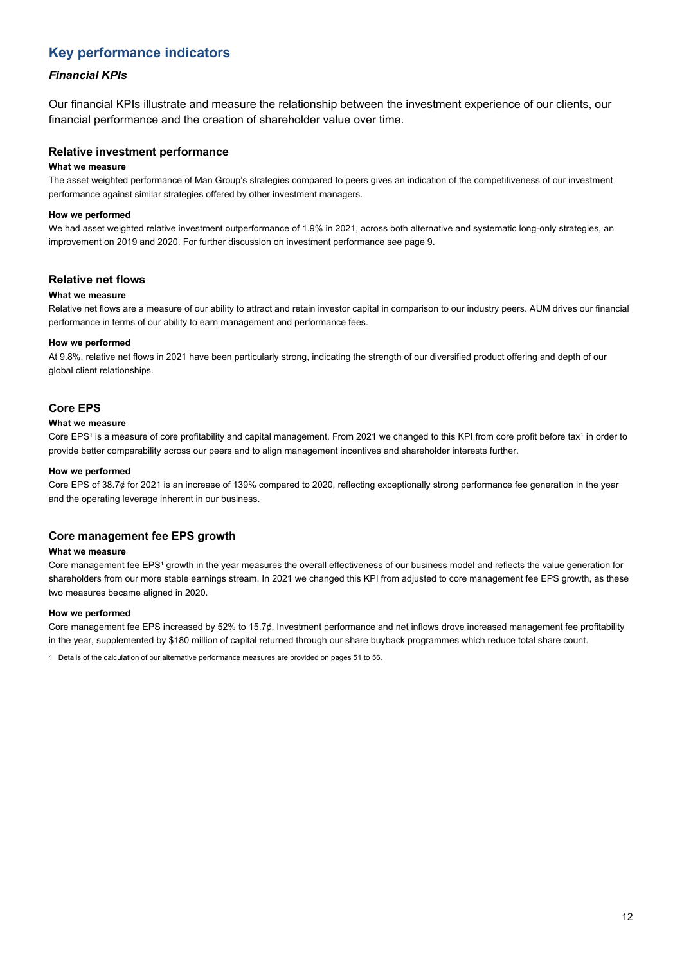# **Key performance indicators**

# *Financial KPIs*

Our financial KPIs illustrate and measure the relationship between the investment experience of our clients, our financial performance and the creation of shareholder value over time.

## **Relative investment performance**

#### **What we measure**

The asset weighted performance of Man Group's strategies compared to peers gives an indication of the competitiveness of our investment performance against similar strategies offered by other investment managers.

#### **How we performed**

We had asset weighted relative investment outperformance of 1.9% in 2021, across both alternative and systematic long-only strategies, an improvement on 2019 and 2020. For further discussion on investment performance see page 9.

## **Relative net flows**

### **What we measure**

Relative net flows are a measure of our ability to attract and retain investor capital in comparison to our industry peers. AUM drives our financial performance in terms of our ability to earn management and performance fees.

#### **How we performed**

At 9.8%, relative net flows in 2021 have been particularly strong, indicating the strength of our diversified product offering and depth of our global client relationships.

# **Core EPS**

### **What we measure**

Core EPS<sup>1</sup> is a measure of core profitability and capital management. From 2021 we changed to this KPI from core profit before tax<sup>1</sup> in order to provide better comparability across our peers and to align management incentives and shareholder interests further.

#### **How we performed**

Core EPS of 38.7¢ for 2021 is an increase of 139% compared to 2020, reflecting exceptionally strong performance fee generation in the year and the operating leverage inherent in our business.

### **Core management fee EPS growth**

#### **What we measure**

Core management fee EPS<sup>1</sup> growth in the year measures the overall effectiveness of our business model and reflects the value generation for shareholders from our more stable earnings stream. In 2021 we changed this KPI from adjusted to core management fee EPS growth, as these two measures became aligned in 2020.

#### **How we performed**

Core management fee EPS increased by 52% to 15.7¢. Investment performance and net inflows drove increased management fee profitability in the year, supplemented by \$180 million of capital returned through our share buyback programmes which reduce total share count.

1 Details of the calculation of our alternative performance measures are provided on pages 51 to 56.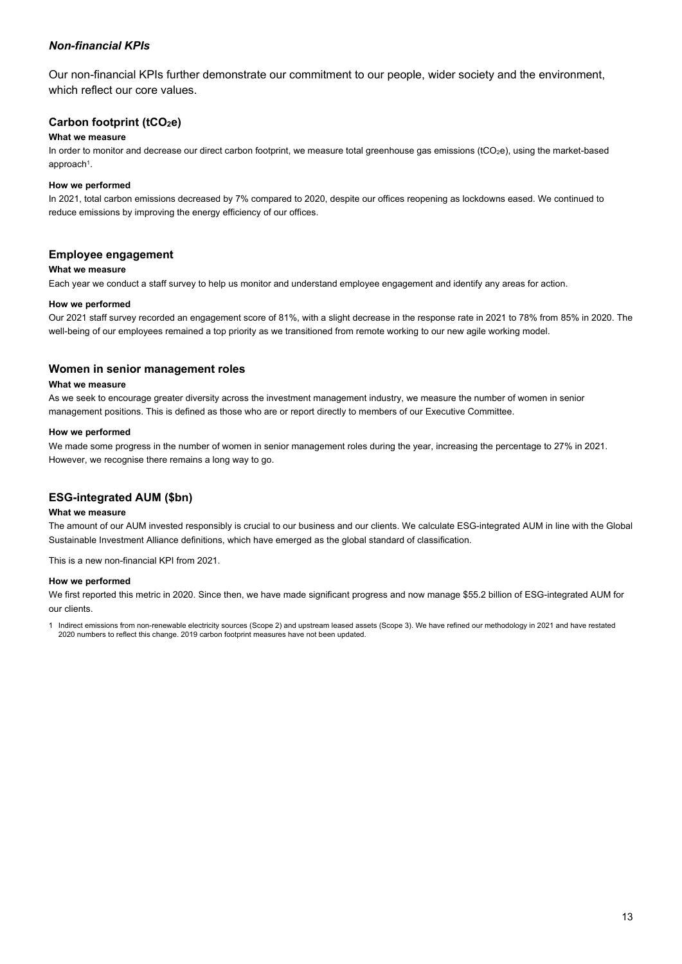# *Non-financial KPIs*

Our non-financial KPIs further demonstrate our commitment to our people, wider society and the environment, which reflect our core values.

# Carbon footprint (tCO<sub>2</sub>e)

#### **What we measure**

In order to monitor and decrease our direct carbon footprint, we measure total greenhouse gas emissions (tCO<sub>2</sub>e), using the market-based approach<sup>1</sup>.

#### **How we performed**

In 2021, total carbon emissions decreased by 7% compared to 2020, despite our offices reopening as lockdowns eased. We continued to reduce emissions by improving the energy efficiency of our offices.

## **Employee engagement**

## **What we measure**

Each year we conduct a staff survey to help us monitor and understand employee engagement and identify any areas for action.

#### **How we performed**

Our 2021 staff survey recorded an engagement score of 81%, with a slight decrease in the response rate in 2021 to 78% from 85% in 2020. The well-being of our employees remained a top priority as we transitioned from remote working to our new agile working model.

## **Women in senior management roles**

#### **What we measure**

As we seek to encourage greater diversity across the investment management industry, we measure the number of women in senior management positions. This is defined as those who are or report directly to members of our Executive Committee.

#### **How we performed**

We made some progress in the number of women in senior management roles during the year, increasing the percentage to 27% in 2021. However, we recognise there remains a long way to go.

# **ESG-integrated AUM (\$bn)**

#### **What we measure**

The amount of our AUM invested responsibly is crucial to our business and our clients. We calculate ESG-integrated AUM in line with the Global Sustainable Investment Alliance definitions, which have emerged as the global standard of classification.

This is a new non-financial KPI from 2021.

#### **How we performed**

We first reported this metric in 2020. Since then, we have made significant progress and now manage \$55.2 billion of ESG-integrated AUM for our clients.

1 Indirect emissions from non-renewable electricity sources (Scope 2) and upstream leased assets (Scope 3). We have refined our methodology in 2021 and have restated 2020 numbers to reflect this change. 2019 carbon footprint measures have not been updated.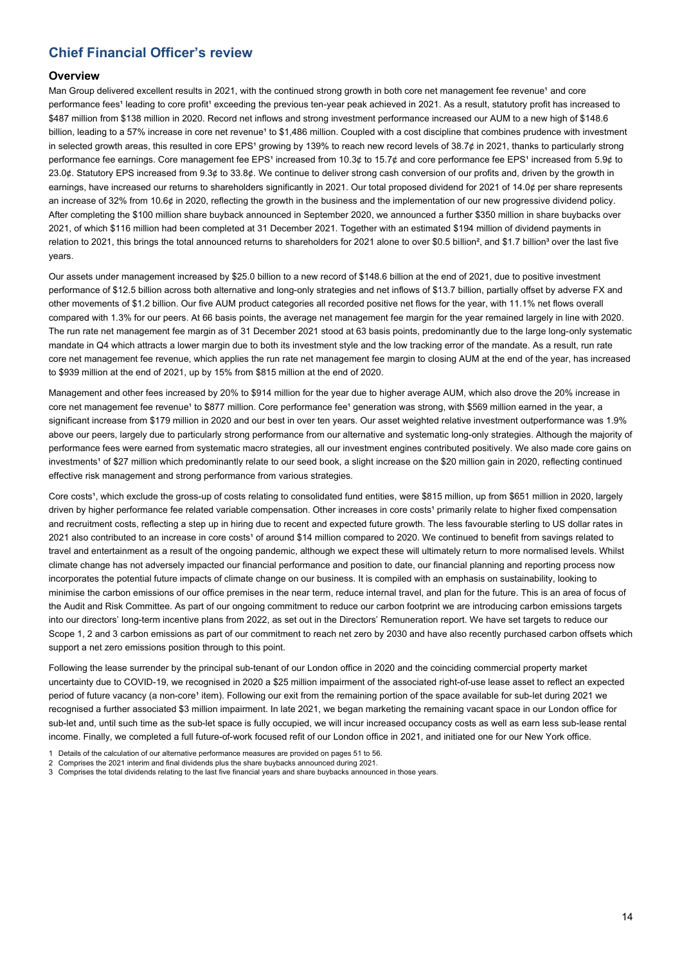# **Chief Financial Officer's review**

#### **Overview**

Man Group delivered excellent results in 2021, with the continued strong growth in both core net management fee revenue<sup>1</sup> and core performance fees<sup>1</sup> leading to core profit<sup>1</sup> exceeding the previous ten-year peak achieved in 2021. As a result, statutory profit has increased to \$487 million from \$138 million in 2020. Record net inflows and strong investment performance increased our AUM to a new high of \$148.6 billion, leading to a 57% increase in core net revenue<sup>1</sup> to \$1,486 million. Coupled with a cost discipline that combines prudence with investment in selected growth areas, this resulted in core EPS<sup>1</sup> growing by 139% to reach new record levels of 38.7¢ in 2021, thanks to particularly strong performance fee earnings. Core management fee EPS<sup>1</sup> increased from 10.3¢ to 15.7¢ and core performance fee EPS<sup>1</sup> increased from 5.9¢ to 23.0¢. Statutory EPS increased from 9.3¢ to 33.8¢. We continue to deliver strong cash conversion of our profits and, driven by the growth in earnings, have increased our returns to shareholders significantly in 2021. Our total proposed dividend for 2021 of 14.0¢ per share represents an increase of 32% from 10.6¢ in 2020, reflecting the growth in the business and the implementation of our new progressive dividend policy. After completing the \$100 million share buyback announced in September 2020, we announced a further \$350 million in share buybacks over 2021, of which \$116 million had been completed at 31 December 2021. Together with an estimated \$194 million of dividend payments in relation to 2021, this brings the total announced returns to shareholders for 2021 alone to over \$0.5 billion<sup>2</sup>, and \$1.7 billion<sup>3</sup> over the last five years.

Our assets under management increased by \$25.0 billion to a new record of \$148.6 billion at the end of 2021, due to positive investment performance of \$12.5 billion across both alternative and long-only strategies and net inflows of \$13.7 billion, partially offset by adverse FX and other movements of \$1.2 billion. Our five AUM product categories all recorded positive net flows for the year, with 11.1% net flows overall compared with 1.3% for our peers. At 66 basis points, the average net management fee margin for the year remained largely in line with 2020. The run rate net management fee margin as of 31 December 2021 stood at 63 basis points, predominantly due to the large long-only systematic mandate in Q4 which attracts a lower margin due to both its investment style and the low tracking error of the mandate. As a result, run rate core net management fee revenue, which applies the run rate net management fee margin to closing AUM at the end of the year, has increased to \$939 million at the end of 2021, up by 15% from \$815 million at the end of 2020.

Management and other fees increased by 20% to \$914 million for the year due to higher average AUM, which also drove the 20% increase in core net management fee revenue<sup>1</sup> to \$877 million. Core performance fee<sup>1</sup> generation was strong, with \$569 million earned in the year, a significant increase from \$179 million in 2020 and our best in over ten years. Our asset weighted relative investment outperformance was 1.9% above our peers, largely due to particularly strong performance from our alternative and systematic long-only strategies. Although the majority of performance fees were earned from systematic macro strategies, all our investment engines contributed positively. We also made core gains on investments<sup>1</sup> of \$27 million which predominantly relate to our seed book, a slight increase on the \$20 million gain in 2020, reflecting continued effective risk management and strong performance from various strategies.

Core costs<sup>1</sup>, which exclude the gross-up of costs relating to consolidated fund entities, were \$815 million, up from \$651 million in 2020, largely driven by higher performance fee related variable compensation. Other increases in core costs<sup>1</sup> primarily relate to higher fixed compensation and recruitment costs, reflecting a step up in hiring due to recent and expected future growth. The less favourable sterling to US dollar rates in 2021 also contributed to an increase in core costs<sup>1</sup> of around \$14 million compared to 2020. We continued to benefit from savings related to travel and entertainment as a result of the ongoing pandemic, although we expect these will ultimately return to more normalised levels. Whilst climate change has not adversely impacted our financial performance and position to date, our financial planning and reporting process now incorporates the potential future impacts of climate change on our business. It is compiled with an emphasis on sustainability, looking to minimise the carbon emissions of our office premises in the near term, reduce internal travel, and plan for the future. This is an area of focus of the Audit and Risk Committee. As part of our ongoing commitment to reduce our carbon footprint we are introducing carbon emissions targets into our directors' long-term incentive plans from 2022, as set out in the Directors' Remuneration report. We have set targets to reduce our Scope 1, 2 and 3 carbon emissions as part of our commitment to reach net zero by 2030 and have also recently purchased carbon offsets which support a net zero emissions position through to this point.

Following the lease surrender by the principal sub-tenant of our London office in 2020 and the coinciding commercial property market uncertainty due to COVID-19, we recognised in 2020 a \$25 million impairment of the associated right-of-use lease asset to reflect an expected period of future vacancy (a non-core<sup>1</sup> item). Following our exit from the remaining portion of the space available for sub-let during 2021 we recognised a further associated \$3 million impairment. In late 2021, we began marketing the remaining vacant space in our London office for sub-let and, until such time as the sub-let space is fully occupied, we will incur increased occupancy costs as well as earn less sub-lease rental income. Finally, we completed a full future-of-work focused refit of our London office in 2021, and initiated one for our New York office.

- 1 Details of the calculation of our alternative performance measures are provided on pages 51 to 56.
- 2 Comprises the 2021 interim and final dividends plus the share buybacks announced during 2021.
- 3 Comprises the total dividends relating to the last five financial years and share buybacks announced in those years.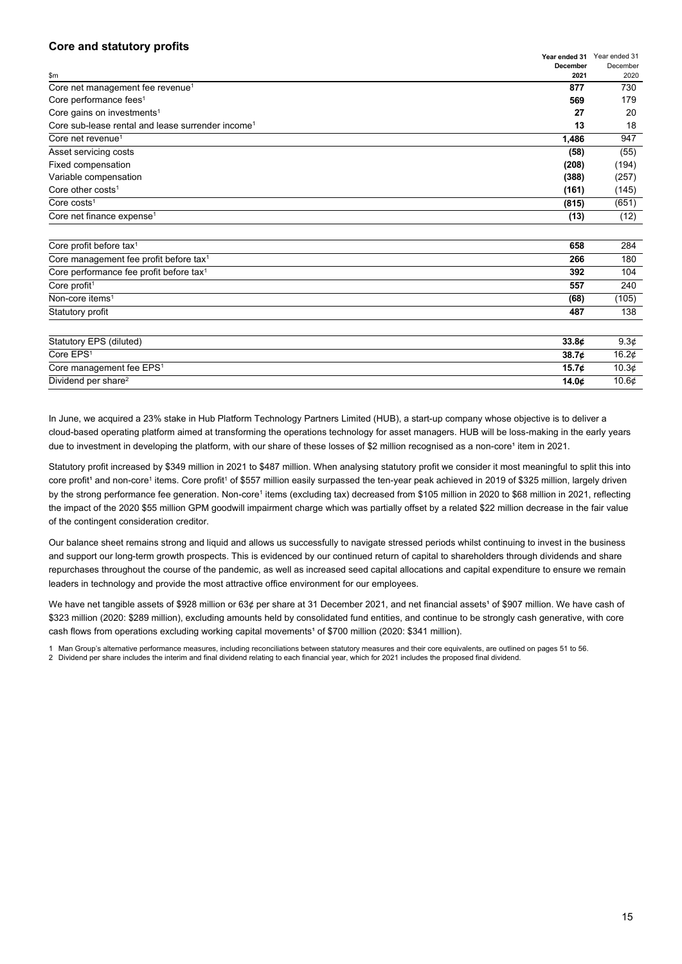# **Core and statutory profits**

|                                                               |                   | Year ended 31 Year ended 31 |
|---------------------------------------------------------------|-------------------|-----------------------------|
|                                                               | December          | December                    |
| \$m                                                           | 2021              | 2020                        |
| Core net management fee revenue <sup>1</sup>                  | 877               | 730                         |
| Core performance fees <sup>1</sup>                            | 569               | 179                         |
| Core gains on investments <sup>1</sup>                        | 27                | 20                          |
| Core sub-lease rental and lease surrender income <sup>1</sup> | 13                | 18                          |
| Core net revenue <sup>1</sup>                                 | 1,486             | 947                         |
| Asset servicing costs                                         | (58)              | (55)                        |
| Fixed compensation                                            | (208)             | (194)                       |
| Variable compensation                                         | (388)             | (257)                       |
| Core other costs <sup>1</sup>                                 | (161)             | (145)                       |
| Core $costs1$                                                 | (815)             | (651)                       |
| Core net finance expense <sup>1</sup>                         | (13)              | (12)                        |
| Core profit before tax <sup>1</sup>                           | 658               | 284                         |
| Core management fee profit before tax <sup>1</sup>            | 266               | 180                         |
| Core performance fee profit before tax <sup>1</sup>           | 392               | 104                         |
| Core profit <sup>1</sup>                                      | 557               | 240                         |
| Non-core items <sup>1</sup>                                   | (68)              | (105)                       |
| Statutory profit                                              | 487               | 138                         |
| Statutory EPS (diluted)                                       | 33.8 <sub>c</sub> | $9.3\phi$                   |
| Core EPS <sup>1</sup>                                         | 38.7 <sub>0</sub> | 16.2¢                       |

**Dividend per share<sup>2</sup> 10.6¢** 10.6¢ In June, we acquired a 23% stake in Hub Platform Technology Partners Limited (HUB), a start-up company whose objective is to deliver a

**Core management fee EPS<sup>1</sup> 10.3¢** 10.3¢

cloud-based operating platform aimed at transforming the operations technology for asset managers. HUB will be loss-making in the early years due to investment in developing the platform, with our share of these losses of \$2 million recognised as a non-core<sup>1</sup> item in 2021.

Statutory profit increased by \$349 million in 2021 to \$487 million. When analysing statutory profit we consider it most meaningful to split this into core profit<sup>1</sup> and non-core<sup>1</sup> items. Core profit<sup>1</sup> of \$557 million easily surpassed the ten-year peak achieved in 2019 of \$325 million, largely driven by the strong performance fee generation. Non-core<sup>1</sup> items (excluding tax) decreased from \$105 million in 2020 to \$68 million in 2021, reflecting the impact of the 2020 \$55 million GPM goodwill impairment charge which was partially offset by a related \$22 million decrease in the fair value of the contingent consideration creditor.

Our balance sheet remains strong and liquid and allows us successfully to navigate stressed periods whilst continuing to invest in the business and support our long-term growth prospects. This is evidenced by our continued return of capital to shareholders through dividends and share repurchases throughout the course of the pandemic, as well as increased seed capital allocations and capital expenditure to ensure we remain leaders in technology and provide the most attractive office environment for our employees.

We have net tangible assets of \$928 million or 63¢ per share at 31 December 2021, and net financial assets<sup>1</sup> of \$907 million. We have cash of \$323 million (2020: \$289 million), excluding amounts held by consolidated fund entities, and continue to be strongly cash generative, with core cash flows from operations excluding working capital movements<sup>1</sup> of \$700 million (2020: \$341 million).

Man Group's alternative performance measures, including reconciliations between statutory measures and their core equivalents, are outlined on pages 51 to 56.

2 Dividend per share includes the interim and final dividend relating to each financial year, which for 2021 includes the proposed final dividend.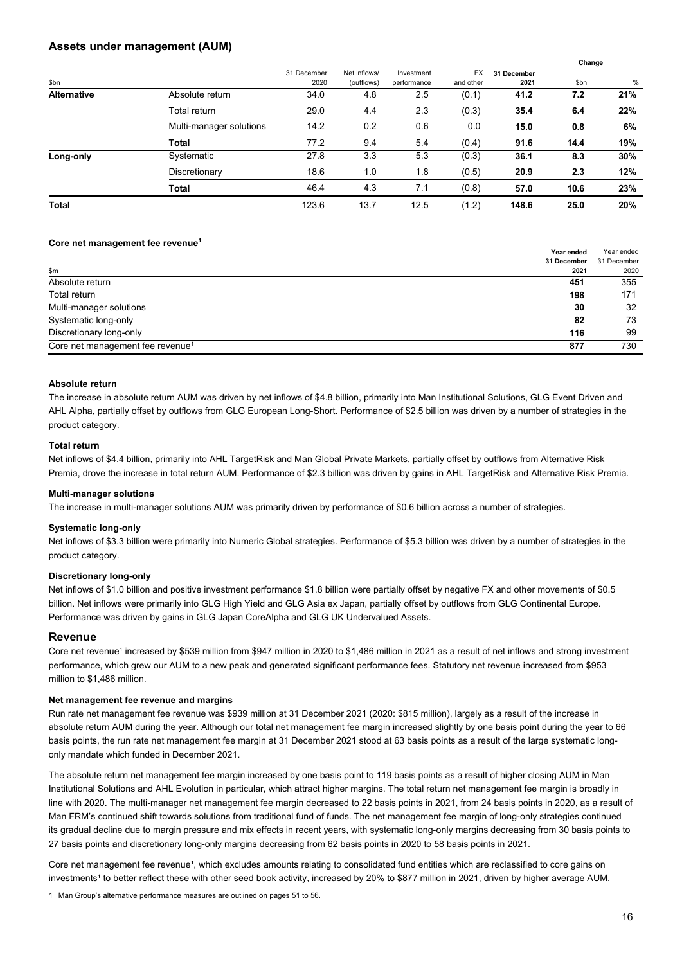## **Assets under management (AUM)**

|                    |                         |                     |                            |                           |                        |                     |      |      |  | Change |  |  |
|--------------------|-------------------------|---------------------|----------------------------|---------------------------|------------------------|---------------------|------|------|--|--------|--|--|
| \$bn               |                         | 31 December<br>2020 | Net inflows/<br>(outflows) | Investment<br>performance | <b>FX</b><br>and other | 31 December<br>2021 | \$bn | $\%$ |  |        |  |  |
| <b>Alternative</b> | Absolute return         | 34.0                | 4.8                        | 2.5                       | (0.1)                  | 41.2                | 7.2  | 21%  |  |        |  |  |
|                    | Total return            | 29.0                | 4.4                        | 2.3                       | (0.3)                  | 35.4                | 6.4  | 22%  |  |        |  |  |
|                    | Multi-manager solutions | 14.2                | 0.2                        | 0.6                       | 0.0                    | 15.0                | 0.8  | 6%   |  |        |  |  |
|                    | <b>Total</b>            | 77.2                | 9.4                        | 5.4                       | (0.4)                  | 91.6                | 14.4 | 19%  |  |        |  |  |
| Long-only          | Systematic              | 27.8                | 3.3                        | 5.3                       | (0.3)                  | 36.1                | 8.3  | 30%  |  |        |  |  |
|                    | Discretionary           | 18.6                | 1.0                        | 1.8                       | (0.5)                  | 20.9                | 2.3  | 12%  |  |        |  |  |
|                    | <b>Total</b>            | 46.4                | 4.3                        | 7.1                       | (0.8)                  | 57.0                | 10.6 | 23%  |  |        |  |  |
| Total              |                         | 123.6               | 13.7                       | 12.5                      | (1.2)                  | 148.6               | 25.0 | 20%  |  |        |  |  |

#### **Core net management fee revenue<sup>1</sup>**

|                                              | Year ended  | Year ended  |
|----------------------------------------------|-------------|-------------|
|                                              | 31 December | 31 December |
| $\mathsf{Sm}$                                | 2021        | 2020        |
| Absolute return                              | 451         | 355         |
| Total return                                 | 198         | 171         |
| Multi-manager solutions                      | 30          | 32          |
| Systematic long-only                         | 82          | 73          |
| Discretionary long-only                      | 116         | 99          |
| Core net management fee revenue <sup>1</sup> | 877         | 730         |

#### **Absolute return**

The increase in absolute return AUM was driven by net inflows of \$4.8 billion, primarily into Man Institutional Solutions, GLG Event Driven and AHL Alpha, partially offset by outflows from GLG European Long-Short. Performance of \$2.5 billion was driven by a number of strategies in the product category.

#### **Total return**

Net inflows of \$4.4 billion, primarily into AHL TargetRisk and Man Global Private Markets, partially offset by outflows from Alternative Risk Premia, drove the increase in total return AUM. Performance of \$2.3 billion was driven by gains in AHL TargetRisk and Alternative Risk Premia.

#### **Multi-manager solutions**

The increase in multi-manager solutions AUM was primarily driven by performance of \$0.6 billion across a number of strategies.

#### **Systematic long-only**

Net inflows of \$3.3 billion were primarily into Numeric Global strategies. Performance of \$5.3 billion was driven by a number of strategies in the product category.

#### **Discretionary long-only**

Net inflows of \$1.0 billion and positive investment performance \$1.8 billion were partially offset by negative FX and other movements of \$0.5 billion. Net inflows were primarily into GLG High Yield and GLG Asia ex Japan, partially offset by outflows from GLG Continental Europe. Performance was driven by gains in GLG Japan CoreAlpha and GLG UK Undervalued Assets.

#### **Revenue**

Core net revenue<sup>1</sup> increased by \$539 million from \$947 million in 2020 to \$1,486 million in 2021 as a result of net inflows and strong investment performance, which grew our AUM to a new peak and generated significant performance fees. Statutory net revenue increased from \$953 million to \$1,486 million.

#### **Net management fee revenue and margins**

Run rate net management fee revenue was \$939 million at 31 December 2021 (2020: \$815 million), largely as a result of the increase in absolute return AUM during the year. Although our total net management fee margin increased slightly by one basis point during the year to 66 basis points, the run rate net management fee margin at 31 December 2021 stood at 63 basis points as a result of the large systematic longonly mandate which funded in December 2021.

The absolute return net management fee margin increased by one basis point to 119 basis points as a result of higher closing AUM in Man Institutional Solutions and AHL Evolution in particular, which attract higher margins. The total return net management fee margin is broadly in line with 2020. The multi-manager net management fee margin decreased to 22 basis points in 2021, from 24 basis points in 2020, as a result of Man FRM's continued shift towards solutions from traditional fund of funds. The net management fee margin of long-only strategies continued its gradual decline due to margin pressure and mix effects in recent years, with systematic long-only margins decreasing from 30 basis points to 27 basis points and discretionary long-only margins decreasing from 62 basis points in 2020 to 58 basis points in 2021.

Core net management fee revenue<sup>1</sup>, which excludes amounts relating to consolidated fund entities which are reclassified to core gains on investments<sup>1</sup> to better reflect these with other seed book activity, increased by 20% to \$877 million in 2021, driven by higher average AUM.

1 Man Group's alternative performance measures are outlined on pages 51 to 56.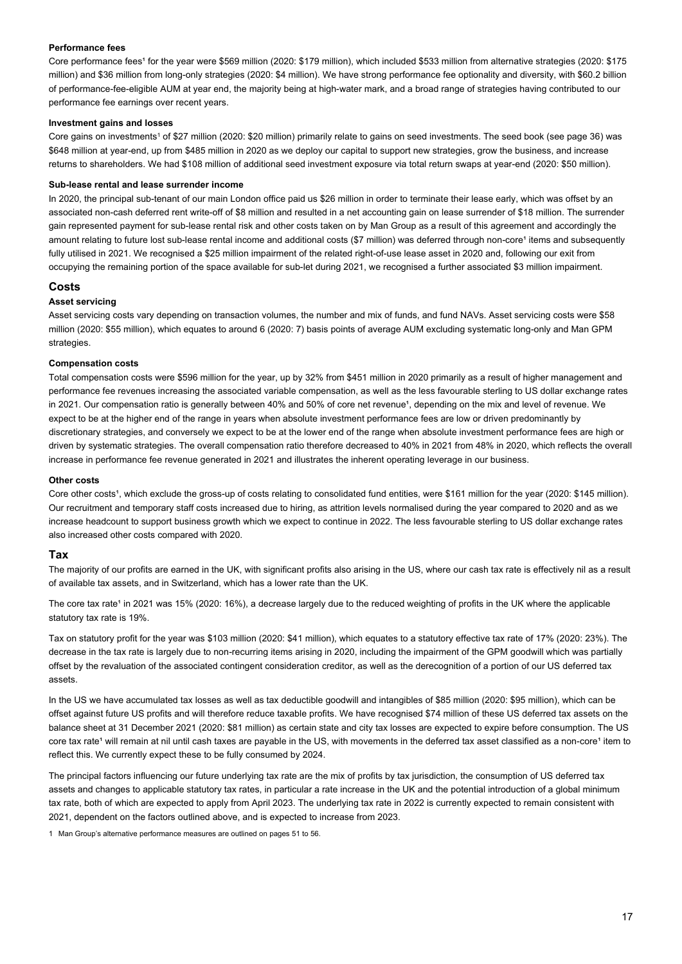#### **Performance fees**

Core performance fees<sup>1</sup> for the year were \$569 million (2020: \$179 million), which included \$533 million from alternative strategies (2020: \$175 million) and \$36 million from long-only strategies (2020: \$4 million). We have strong performance fee optionality and diversity, with \$60.2 billion of performance-fee-eligible AUM at year end, the majority being at high-water mark, and a broad range of strategies having contributed to our performance fee earnings over recent years.

## **Investment gains and losses**

Core gains on investments<sup>1</sup> of \$27 million (2020: \$20 million) primarily relate to gains on seed investments. The seed book (see page 36) was \$648 million at year-end, up from \$485 million in 2020 as we deploy our capital to support new strategies, grow the business, and increase returns to shareholders. We had \$108 million of additional seed investment exposure via total return swaps at year-end (2020: \$50 million).

#### **Sub-lease rental and lease surrender income**

In 2020, the principal sub-tenant of our main London office paid us \$26 million in order to terminate their lease early, which was offset by an associated non-cash deferred rent write-off of \$8 million and resulted in a net accounting gain on lease surrender of \$18 million. The surrender gain represented payment for sub-lease rental risk and other costs taken on by Man Group as a result of this agreement and accordingly the amount relating to future lost sub-lease rental income and additional costs (\$7 million) was deferred through non-core1 items and subsequently fully utilised in 2021. We recognised a \$25 million impairment of the related right-of-use lease asset in 2020 and, following our exit from occupying the remaining portion of the space available for sub-let during 2021, we recognised a further associated \$3 million impairment.

## **Costs**

#### **Asset servicing**

Asset servicing costs vary depending on transaction volumes, the number and mix of funds, and fund NAVs. Asset servicing costs were \$58 million (2020: \$55 million), which equates to around 6 (2020: 7) basis points of average AUM excluding systematic long-only and Man GPM strategies.

#### **Compensation costs**

Total compensation costs were \$596 million for the year, up by 32% from \$451 million in 2020 primarily as a result of higher management and performance fee revenues increasing the associated variable compensation, as well as the less favourable sterling to US dollar exchange rates in 2021. Our compensation ratio is generally between 40% and 50% of core net revenue<sup>1</sup>, depending on the mix and level of revenue. We expect to be at the higher end of the range in years when absolute investment performance fees are low or driven predominantly by discretionary strategies, and conversely we expect to be at the lower end of the range when absolute investment performance fees are high or driven by systematic strategies. The overall compensation ratio therefore decreased to 40% in 2021 from 48% in 2020, which reflects the overall increase in performance fee revenue generated in 2021 and illustrates the inherent operating leverage in our business.

#### **Other costs**

Core other costs<sup>1</sup>, which exclude the gross-up of costs relating to consolidated fund entities, were \$161 million for the year (2020: \$145 million). Our recruitment and temporary staff costs increased due to hiring, as attrition levels normalised during the year compared to 2020 and as we increase headcount to support business growth which we expect to continue in 2022. The less favourable sterling to US dollar exchange rates also increased other costs compared with 2020.

#### **Tax**

The majority of our profits are earned in the UK, with significant profits also arising in the US, where our cash tax rate is effectively nil as a result of available tax assets, and in Switzerland, which has a lower rate than the UK.

The core tax rate<sup>1</sup> in 2021 was 15% (2020: 16%), a decrease largely due to the reduced weighting of profits in the UK where the applicable statutory tax rate is 19%.

Tax on statutory profit for the year was \$103 million (2020: \$41 million), which equates to a statutory effective tax rate of 17% (2020: 23%). The decrease in the tax rate is largely due to non-recurring items arising in 2020, including the impairment of the GPM goodwill which was partially offset by the revaluation of the associated contingent consideration creditor, as well as the derecognition of a portion of our US deferred tax assets.

In the US we have accumulated tax losses as well as tax deductible goodwill and intangibles of \$85 million (2020: \$95 million), which can be offset against future US profits and will therefore reduce taxable profits. We have recognised \$74 million of these US deferred tax assets on the balance sheet at 31 December 2021 (2020: \$81 million) as certain state and city tax losses are expected to expire before consumption. The US core tax rate<sup>1</sup> will remain at nil until cash taxes are payable in the US, with movements in the deferred tax asset classified as a non-core<sup>1</sup> item to reflect this. We currently expect these to be fully consumed by 2024.

The principal factors influencing our future underlying tax rate are the mix of profits by tax jurisdiction, the consumption of US deferred tax assets and changes to applicable statutory tax rates, in particular a rate increase in the UK and the potential introduction of a global minimum tax rate, both of which are expected to apply from April 2023. The underlying tax rate in 2022 is currently expected to remain consistent with 2021, dependent on the factors outlined above, and is expected to increase from 2023.

1 Man Group's alternative performance measures are outlined on pages 51 to 56.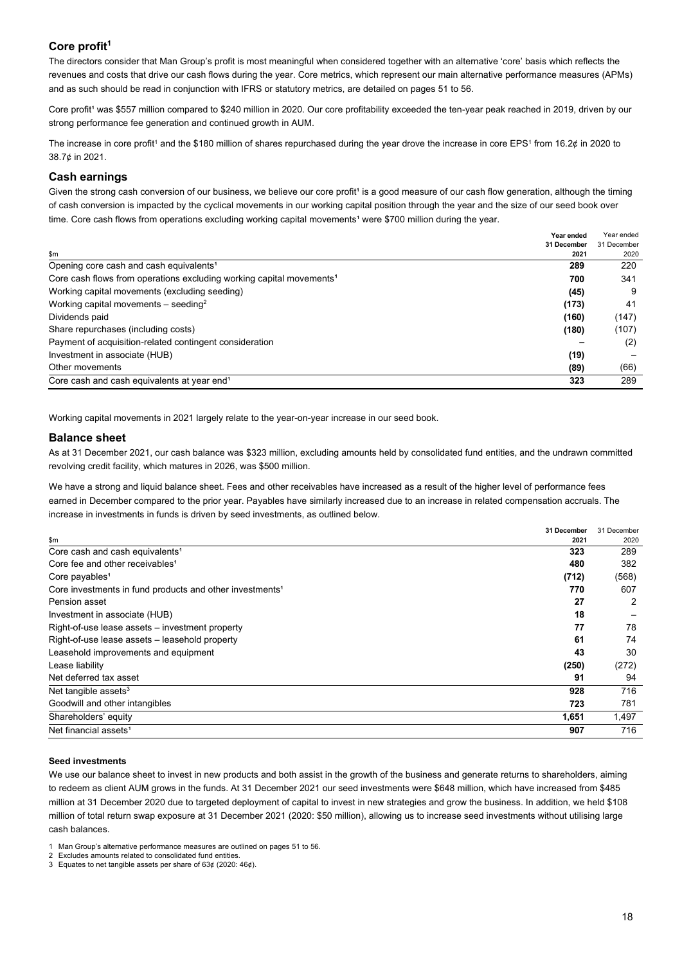# **Core profit<sup>1</sup>**

The directors consider that Man Group's profit is most meaningful when considered together with an alternative 'core' basis which reflects the revenues and costs that drive our cash flows during the year. Core metrics, which represent our main alternative performance measures (APMs) and as such should be read in conjunction with IFRS or statutory metrics, are detailed on pages 51 to 56.

Core profit<sup>1</sup> was \$557 million compared to \$240 million in 2020. Our core profitability exceeded the ten-year peak reached in 2019, driven by our strong performance fee generation and continued growth in AUM.

The increase in core profit<sup>1</sup> and the \$180 million of shares repurchased during the year drove the increase in core EPS<sup>1</sup> from 16.2¢ in 2020 to 38.7¢ in 2021.

### **Cash earnings**

Given the strong cash conversion of our business, we believe our core profit<sup>1</sup> is a good measure of our cash flow generation, although the timing of cash conversion is impacted by the cyclical movements in our working capital position through the year and the size of our seed book over time. Core cash flows from operations excluding working capital movements<sup>1</sup> were \$700 million during the year.

|                                                                                  | Year ended  | Year ended  |
|----------------------------------------------------------------------------------|-------------|-------------|
|                                                                                  | 31 December | 31 December |
| $\mathsf{Sm}$                                                                    | 2021        | 2020        |
| Opening core cash and cash equivalents <sup>1</sup>                              | 289         | 220         |
| Core cash flows from operations excluding working capital movements <sup>1</sup> | 700         | 341         |
| Working capital movements (excluding seeding)                                    | (45)        | 9           |
| Working capital movements $-$ seeding <sup>2</sup>                               | (173)       | 41          |
| Dividends paid                                                                   | (160)       | (147)       |
| Share repurchases (including costs)                                              | (180)       | (107)       |
| Payment of acquisition-related contingent consideration                          |             | (2)         |
| Investment in associate (HUB)                                                    | (19)        |             |
| Other movements                                                                  | (89)        | (66)        |
| Core cash and cash equivalents at year end <sup>1</sup>                          | 323         | 289         |

Working capital movements in 2021 largely relate to the year-on-year increase in our seed book.

#### **Balance sheet**

As at 31 December 2021, our cash balance was \$323 million, excluding amounts held by consolidated fund entities, and the undrawn committed revolving credit facility, which matures in 2026, was \$500 million.

We have a strong and liquid balance sheet. Fees and other receivables have increased as a result of the higher level of performance fees earned in December compared to the prior year. Payables have similarly increased due to an increase in related compensation accruals. The increase in investments in funds is driven by seed investments, as outlined below.

| 31 December                                                          |       | 31 December |
|----------------------------------------------------------------------|-------|-------------|
| $\mathsf{Sm}$                                                        | 2021  | 2020        |
| Core cash and cash equivalents <sup>1</sup>                          | 323   | 289         |
| Core fee and other receivables <sup>1</sup>                          | 480   | 382         |
| Core payables <sup>1</sup>                                           | (712) | (568)       |
| Core investments in fund products and other investments <sup>1</sup> | 770   | 607         |
| Pension asset                                                        | 27    | 2           |
| Investment in associate (HUB)                                        | 18    |             |
| Right-of-use lease assets – investment property                      | 77    | 78          |
| Right-of-use lease assets - leasehold property                       | 61    | 74          |
| Leasehold improvements and equipment                                 | 43    | 30          |
| Lease liability                                                      | (250) | (272)       |
| Net deferred tax asset                                               | 91    | 94          |
| Net tangible assets <sup>3</sup>                                     | 928   | 716         |
| Goodwill and other intangibles                                       | 723   | 781         |
| Shareholders' equity                                                 | 1,651 | 1,497       |
| Net financial assets <sup>1</sup>                                    | 907   | 716         |

#### **Seed investments**

We use our balance sheet to invest in new products and both assist in the growth of the business and generate returns to shareholders, aiming to redeem as client AUM grows in the funds. At 31 December 2021 our seed investments were \$648 million, which have increased from \$485 million at 31 December 2020 due to targeted deployment of capital to invest in new strategies and grow the business. In addition, we held \$108 million of total return swap exposure at 31 December 2021 (2020: \$50 million), allowing us to increase seed investments without utilising large cash balances.

1 Man Group's alternative performance measures are outlined on pages 51 to 56.

2 Excludes amounts related to consolidated fund entities.

3 Equates to net tangible assets per share of 63¢ (2020: 46¢).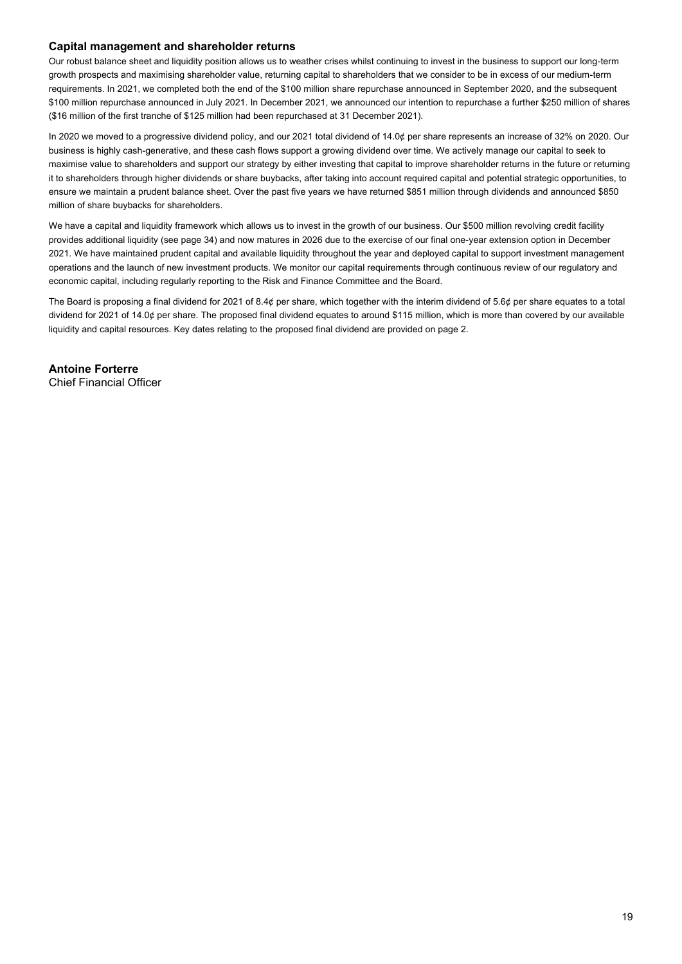# **Capital management and shareholder returns**

Our robust balance sheet and liquidity position allows us to weather crises whilst continuing to invest in the business to support our long-term growth prospects and maximising shareholder value, returning capital to shareholders that we consider to be in excess of our medium-term requirements. In 2021, we completed both the end of the \$100 million share repurchase announced in September 2020, and the subsequent \$100 million repurchase announced in July 2021. In December 2021, we announced our intention to repurchase a further \$250 million of shares (\$16 million of the first tranche of \$125 million had been repurchased at 31 December 2021).

In 2020 we moved to a progressive dividend policy, and our 2021 total dividend of 14.0¢ per share represents an increase of 32% on 2020. Our business is highly cash-generative, and these cash flows support a growing dividend over time. We actively manage our capital to seek to maximise value to shareholders and support our strategy by either investing that capital to improve shareholder returns in the future or returning it to shareholders through higher dividends or share buybacks, after taking into account required capital and potential strategic opportunities, to ensure we maintain a prudent balance sheet. Over the past five years we have returned \$851 million through dividends and announced \$850 million of share buybacks for shareholders.

We have a capital and liquidity framework which allows us to invest in the growth of our business. Our \$500 million revolving credit facility provides additional liquidity (see page 34) and now matures in 2026 due to the exercise of our final one-year extension option in December 2021. We have maintained prudent capital and available liquidity throughout the year and deployed capital to support investment management operations and the launch of new investment products. We monitor our capital requirements through continuous review of our regulatory and economic capital, including regularly reporting to the Risk and Finance Committee and the Board.

The Board is proposing a final dividend for 2021 of 8.4¢ per share, which together with the interim dividend of 5.6¢ per share equates to a total dividend for 2021 of 14.0¢ per share. The proposed final dividend equates to around \$115 million, which is more than covered by our available liquidity and capital resources. Key dates relating to the proposed final dividend are provided on page 2.

**Antoine Forterre** Chief Financial Officer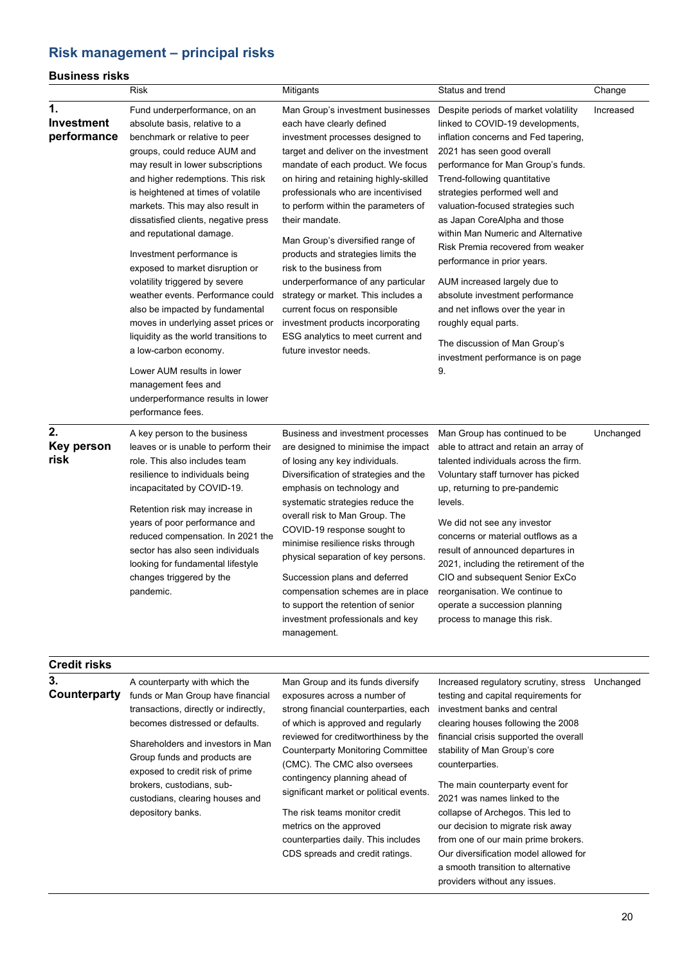# **Risk management – principal risks**

# **Business risks**

|                                 | <b>Risk</b>                                                                                                                                                                                                                                                                                                                                                                                                                                                                                                                                                                                                                                                                                                                                              | Mitigants                                                                                                                                                                                                                                                                                                                                                                                                                                                                                                                                                                                                                                        | Status and trend                                                                                                                                                                                                                                                                                                                                                                                                                                                                                                                                                                                                                                | Change    |
|---------------------------------|----------------------------------------------------------------------------------------------------------------------------------------------------------------------------------------------------------------------------------------------------------------------------------------------------------------------------------------------------------------------------------------------------------------------------------------------------------------------------------------------------------------------------------------------------------------------------------------------------------------------------------------------------------------------------------------------------------------------------------------------------------|--------------------------------------------------------------------------------------------------------------------------------------------------------------------------------------------------------------------------------------------------------------------------------------------------------------------------------------------------------------------------------------------------------------------------------------------------------------------------------------------------------------------------------------------------------------------------------------------------------------------------------------------------|-------------------------------------------------------------------------------------------------------------------------------------------------------------------------------------------------------------------------------------------------------------------------------------------------------------------------------------------------------------------------------------------------------------------------------------------------------------------------------------------------------------------------------------------------------------------------------------------------------------------------------------------------|-----------|
| 1.<br>Investment<br>performance | Fund underperformance, on an<br>absolute basis, relative to a<br>benchmark or relative to peer<br>groups, could reduce AUM and<br>may result in lower subscriptions<br>and higher redemptions. This risk<br>is heightened at times of volatile<br>markets. This may also result in<br>dissatisfied clients, negative press<br>and reputational damage.<br>Investment performance is<br>exposed to market disruption or<br>volatility triggered by severe<br>weather events. Performance could<br>also be impacted by fundamental<br>moves in underlying asset prices or<br>liquidity as the world transitions to<br>a low-carbon economy.<br>Lower AUM results in lower<br>management fees and<br>underperformance results in lower<br>performance fees. | Man Group's investment businesses<br>each have clearly defined<br>investment processes designed to<br>target and deliver on the investment<br>mandate of each product. We focus<br>on hiring and retaining highly-skilled<br>professionals who are incentivised<br>to perform within the parameters of<br>their mandate.<br>Man Group's diversified range of<br>products and strategies limits the<br>risk to the business from<br>underperformance of any particular<br>strategy or market. This includes a<br>current focus on responsible<br>investment products incorporating<br>ESG analytics to meet current and<br>future investor needs. | Despite periods of market volatility<br>linked to COVID-19 developments,<br>inflation concerns and Fed tapering,<br>2021 has seen good overall<br>performance for Man Group's funds.<br>Trend-following quantitative<br>strategies performed well and<br>valuation-focused strategies such<br>as Japan CoreAlpha and those<br>within Man Numeric and Alternative<br>Risk Premia recovered from weaker<br>performance in prior years.<br>AUM increased largely due to<br>absolute investment performance<br>and net inflows over the year in<br>roughly equal parts.<br>The discussion of Man Group's<br>investment performance is on page<br>9. | Increased |
| 2.<br><b>Key person</b><br>risk | A key person to the business<br>leaves or is unable to perform their<br>role. This also includes team<br>resilience to individuals being<br>incapacitated by COVID-19.<br>Retention risk may increase in<br>years of poor performance and<br>reduced compensation. In 2021 the<br>sector has also seen individuals<br>looking for fundamental lifestyle<br>changes triggered by the<br>pandemic.                                                                                                                                                                                                                                                                                                                                                         | Business and investment processes<br>are designed to minimise the impact<br>of losing any key individuals.<br>Diversification of strategies and the<br>emphasis on technology and<br>systematic strategies reduce the<br>overall risk to Man Group. The<br>COVID-19 response sought to<br>minimise resilience risks through<br>physical separation of key persons.<br>Succession plans and deferred<br>compensation schemes are in place<br>to support the retention of senior<br>investment professionals and key<br>management.                                                                                                                | Man Group has continued to be<br>able to attract and retain an array of<br>talented individuals across the firm.<br>Voluntary staff turnover has picked<br>up, returning to pre-pandemic<br>levels.<br>We did not see any investor<br>concerns or material outflows as a<br>result of announced departures in<br>2021, including the retirement of the<br>CIO and subsequent Senior ExCo<br>reorganisation. We continue to<br>operate a succession planning<br>process to manage this risk.                                                                                                                                                     | Unchanged |

| <b>Credit risks</b> |                                                                                                                                                                                                                                                                                                                                             |                                                                                                                                                                                                                                                                                                                                                                                                                                                                                        |                                                                                                                                                                                                                                                                                                                                                                                                                                                                                                                                                       |           |
|---------------------|---------------------------------------------------------------------------------------------------------------------------------------------------------------------------------------------------------------------------------------------------------------------------------------------------------------------------------------------|----------------------------------------------------------------------------------------------------------------------------------------------------------------------------------------------------------------------------------------------------------------------------------------------------------------------------------------------------------------------------------------------------------------------------------------------------------------------------------------|-------------------------------------------------------------------------------------------------------------------------------------------------------------------------------------------------------------------------------------------------------------------------------------------------------------------------------------------------------------------------------------------------------------------------------------------------------------------------------------------------------------------------------------------------------|-----------|
| 3.<br>Counterparty  | A counterparty with which the<br>funds or Man Group have financial<br>transactions, directly or indirectly,<br>becomes distressed or defaults.<br>Shareholders and investors in Man<br>Group funds and products are<br>exposed to credit risk of prime<br>brokers, custodians, sub-<br>custodians, clearing houses and<br>depository banks. | Man Group and its funds diversify<br>exposures across a number of<br>strong financial counterparties, each<br>of which is approved and regularly<br>reviewed for creditworthiness by the<br><b>Counterparty Monitoring Committee</b><br>(CMC). The CMC also oversees<br>contingency planning ahead of<br>significant market or political events.<br>The risk teams monitor credit<br>metrics on the approved<br>counterparties daily. This includes<br>CDS spreads and credit ratings. | Increased regulatory scrutiny, stress<br>testing and capital requirements for<br>investment banks and central<br>clearing houses following the 2008<br>financial crisis supported the overall<br>stability of Man Group's core<br>counterparties.<br>The main counterparty event for<br>2021 was names linked to the<br>collapse of Archegos. This led to<br>our decision to migrate risk away<br>from one of our main prime brokers.<br>Our diversification model allowed for<br>a smooth transition to alternative<br>providers without any issues. | Unchanged |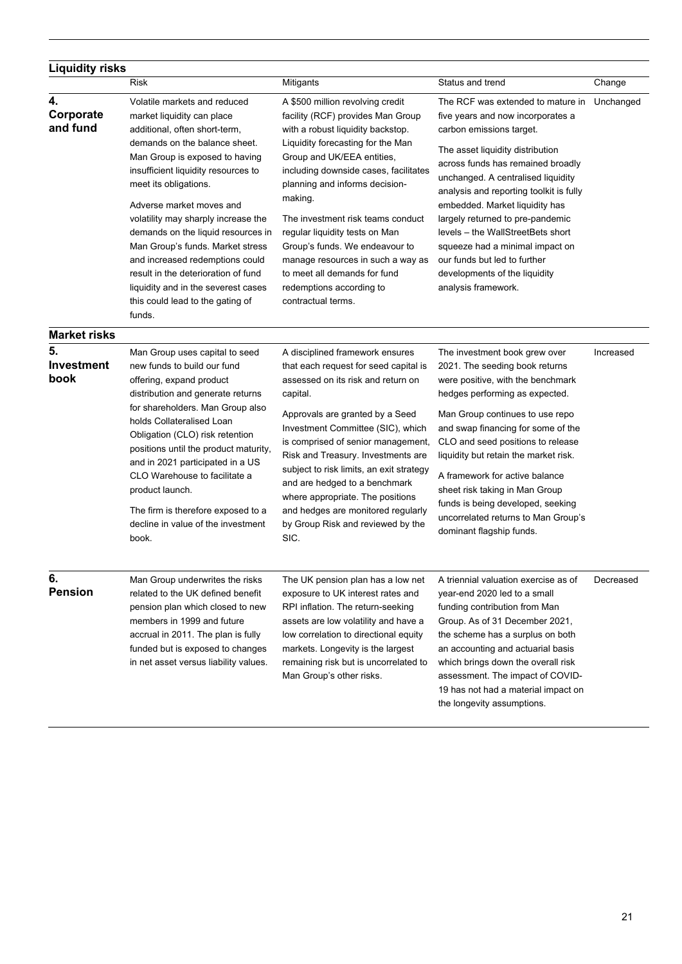| <b>Liquidity risks</b>          |                                                                                                                                                                                                                                                                                                                                                                                                                                                          |                                                                                                                                                                                                                                                                                                                                                                                                                                                                                    |                                                                                                                                                                                                                                                                                                                                                                                                                                                                           |           |
|---------------------------------|----------------------------------------------------------------------------------------------------------------------------------------------------------------------------------------------------------------------------------------------------------------------------------------------------------------------------------------------------------------------------------------------------------------------------------------------------------|------------------------------------------------------------------------------------------------------------------------------------------------------------------------------------------------------------------------------------------------------------------------------------------------------------------------------------------------------------------------------------------------------------------------------------------------------------------------------------|---------------------------------------------------------------------------------------------------------------------------------------------------------------------------------------------------------------------------------------------------------------------------------------------------------------------------------------------------------------------------------------------------------------------------------------------------------------------------|-----------|
|                                 | <b>Risk</b>                                                                                                                                                                                                                                                                                                                                                                                                                                              | Mitigants                                                                                                                                                                                                                                                                                                                                                                                                                                                                          | Status and trend                                                                                                                                                                                                                                                                                                                                                                                                                                                          | Change    |
| 4.<br>Corporate<br>and fund     | Volatile markets and reduced<br>market liquidity can place<br>additional, often short-term,<br>demands on the balance sheet.<br>Man Group is exposed to having<br>insufficient liquidity resources to<br>meet its obligations.<br>Adverse market moves and<br>volatility may sharply increase the                                                                                                                                                        | A \$500 million revolving credit<br>facility (RCF) provides Man Group<br>with a robust liquidity backstop.<br>Liquidity forecasting for the Man<br>Group and UK/EEA entities,<br>including downside cases, facilitates<br>planning and informs decision-<br>making.<br>The investment risk teams conduct                                                                                                                                                                           | The RCF was extended to mature in<br>five years and now incorporates a<br>carbon emissions target.<br>The asset liquidity distribution<br>across funds has remained broadly<br>unchanged. A centralised liquidity<br>analysis and reporting toolkit is fully<br>embedded. Market liquidity has<br>largely returned to pre-pandemic                                                                                                                                        | Unchanged |
|                                 | demands on the liquid resources in<br>Man Group's funds. Market stress<br>and increased redemptions could<br>result in the deterioration of fund<br>liquidity and in the severest cases<br>this could lead to the gating of<br>funds.                                                                                                                                                                                                                    | regular liquidity tests on Man<br>Group's funds. We endeavour to<br>manage resources in such a way as<br>to meet all demands for fund<br>developments of the liquidity<br>redemptions according to<br>analysis framework.<br>contractual terms.                                                                                                                                                                                                                                    |                                                                                                                                                                                                                                                                                                                                                                                                                                                                           |           |
| <b>Market risks</b>             |                                                                                                                                                                                                                                                                                                                                                                                                                                                          |                                                                                                                                                                                                                                                                                                                                                                                                                                                                                    |                                                                                                                                                                                                                                                                                                                                                                                                                                                                           |           |
| 5.<br><b>Investment</b><br>book | Man Group uses capital to seed<br>new funds to build our fund<br>offering, expand product<br>distribution and generate returns<br>for shareholders. Man Group also<br>holds Collateralised Loan<br>Obligation (CLO) risk retention<br>positions until the product maturity,<br>and in 2021 participated in a US<br>CLO Warehouse to facilitate a<br>product launch.<br>The firm is therefore exposed to a<br>decline in value of the investment<br>book. | A disciplined framework ensures<br>that each request for seed capital is<br>assessed on its risk and return on<br>capital.<br>Approvals are granted by a Seed<br>Investment Committee (SIC), which<br>is comprised of senior management,<br>Risk and Treasury. Investments are<br>subject to risk limits, an exit strategy<br>and are hedged to a benchmark<br>where appropriate. The positions<br>and hedges are monitored regularly<br>by Group Risk and reviewed by the<br>SIC. | The investment book grew over<br>2021. The seeding book returns<br>were positive, with the benchmark<br>hedges performing as expected.<br>Man Group continues to use repo<br>and swap financing for some of the<br>CLO and seed positions to release<br>liquidity but retain the market risk.<br>A framework for active balance<br>sheet risk taking in Man Group<br>funds is being developed, seeking<br>uncorrelated returns to Man Group's<br>dominant flagship funds. | Increased |
| 6.<br><b>Pension</b>            | Man Group underwrites the risks<br>related to the UK defined benefit<br>pension plan which closed to new<br>members in 1999 and future<br>accrual in 2011. The plan is fully<br>funded but is exposed to changes<br>in net asset versus liability values.                                                                                                                                                                                                | The UK pension plan has a low net<br>exposure to UK interest rates and<br>RPI inflation. The return-seeking<br>assets are low volatility and have a<br>low correlation to directional equity<br>markets. Longevity is the largest<br>remaining risk but is uncorrelated to<br>Man Group's other risks.                                                                                                                                                                             | A triennial valuation exercise as of<br>year-end 2020 led to a small<br>funding contribution from Man<br>Group. As of 31 December 2021,<br>the scheme has a surplus on both<br>an accounting and actuarial basis<br>which brings down the overall risk<br>assessment. The impact of COVID-<br>19 has not had a material impact on<br>the longevity assumptions.                                                                                                           | Decreased |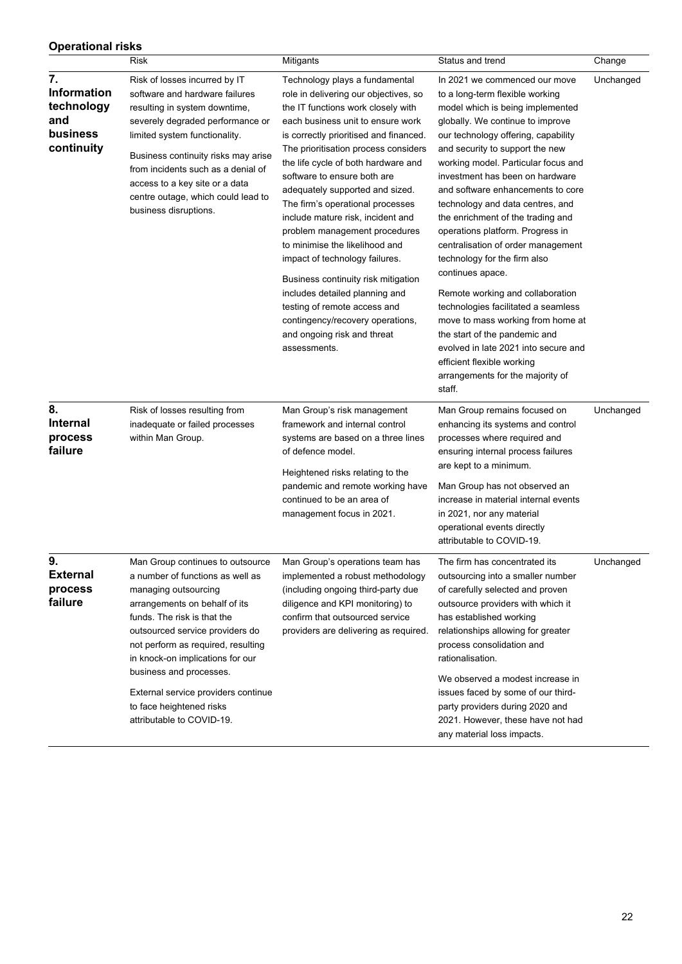# **Operational risks**

|                                                                  | Risk                                                                                                                                                                                                                                                                                                                                                                                                 | Mitigants                                                                                                                                                                                                                                                                                                                                                                                                                                                                                                                                                                                                                                                                                                               | Status and trend                                                                                                                                                                                                                                                                                                                                                                                                                                                                                                                                                                                                                                                                                                                                                                                              | Change    |
|------------------------------------------------------------------|------------------------------------------------------------------------------------------------------------------------------------------------------------------------------------------------------------------------------------------------------------------------------------------------------------------------------------------------------------------------------------------------------|-------------------------------------------------------------------------------------------------------------------------------------------------------------------------------------------------------------------------------------------------------------------------------------------------------------------------------------------------------------------------------------------------------------------------------------------------------------------------------------------------------------------------------------------------------------------------------------------------------------------------------------------------------------------------------------------------------------------------|---------------------------------------------------------------------------------------------------------------------------------------------------------------------------------------------------------------------------------------------------------------------------------------------------------------------------------------------------------------------------------------------------------------------------------------------------------------------------------------------------------------------------------------------------------------------------------------------------------------------------------------------------------------------------------------------------------------------------------------------------------------------------------------------------------------|-----------|
| 7.<br>Information<br>technology<br>and<br>business<br>continuity | Risk of losses incurred by IT<br>software and hardware failures<br>resulting in system downtime,<br>severely degraded performance or<br>limited system functionality.<br>Business continuity risks may arise<br>from incidents such as a denial of<br>access to a key site or a data<br>centre outage, which could lead to<br>business disruptions.                                                  | Technology plays a fundamental<br>role in delivering our objectives, so<br>the IT functions work closely with<br>each business unit to ensure work<br>is correctly prioritised and financed.<br>The prioritisation process considers<br>the life cycle of both hardware and<br>software to ensure both are<br>adequately supported and sized.<br>The firm's operational processes<br>include mature risk, incident and<br>problem management procedures<br>to minimise the likelihood and<br>impact of technology failures.<br>Business continuity risk mitigation<br>includes detailed planning and<br>testing of remote access and<br>contingency/recovery operations,<br>and ongoing risk and threat<br>assessments. | In 2021 we commenced our move<br>to a long-term flexible working<br>model which is being implemented<br>globally. We continue to improve<br>our technology offering, capability<br>and security to support the new<br>working model. Particular focus and<br>investment has been on hardware<br>and software enhancements to core<br>technology and data centres, and<br>the enrichment of the trading and<br>operations platform. Progress in<br>centralisation of order management<br>technology for the firm also<br>continues apace.<br>Remote working and collaboration<br>technologies facilitated a seamless<br>move to mass working from home at<br>the start of the pandemic and<br>evolved in late 2021 into secure and<br>efficient flexible working<br>arrangements for the majority of<br>staff. | Unchanged |
| 8.<br><b>Internal</b><br>process<br>failure                      | Risk of losses resulting from<br>inadequate or failed processes<br>within Man Group.                                                                                                                                                                                                                                                                                                                 | Man Group's risk management<br>framework and internal control<br>systems are based on a three lines<br>of defence model.<br>Heightened risks relating to the<br>pandemic and remote working have<br>continued to be an area of<br>management focus in 2021.                                                                                                                                                                                                                                                                                                                                                                                                                                                             | Man Group remains focused on<br>enhancing its systems and control<br>processes where required and<br>ensuring internal process failures<br>are kept to a minimum.<br>Man Group has not observed an<br>increase in material internal events<br>in 2021, nor any material<br>operational events directly<br>attributable to COVID-19.                                                                                                                                                                                                                                                                                                                                                                                                                                                                           | Unchanged |
| 9.<br><b>External</b><br>process<br>failure                      | Man Group continues to outsource<br>a number of functions as well as<br>managing outsourcing<br>arrangements on behalf of its<br>funds. The risk is that the<br>outsourced service providers do<br>not perform as required, resulting<br>in knock-on implications for our<br>business and processes.<br>External service providers continue<br>to face heightened risks<br>attributable to COVID-19. | Man Group's operations team has<br>implemented a robust methodology<br>(including ongoing third-party due<br>diligence and KPI monitoring) to<br>confirm that outsourced service<br>providers are delivering as required.                                                                                                                                                                                                                                                                                                                                                                                                                                                                                               | The firm has concentrated its<br>outsourcing into a smaller number<br>of carefully selected and proven<br>outsource providers with which it<br>has established working<br>relationships allowing for greater<br>process consolidation and<br>rationalisation.<br>We observed a modest increase in<br>issues faced by some of our third-<br>party providers during 2020 and<br>2021. However, these have not had<br>any material loss impacts.                                                                                                                                                                                                                                                                                                                                                                 | Unchanged |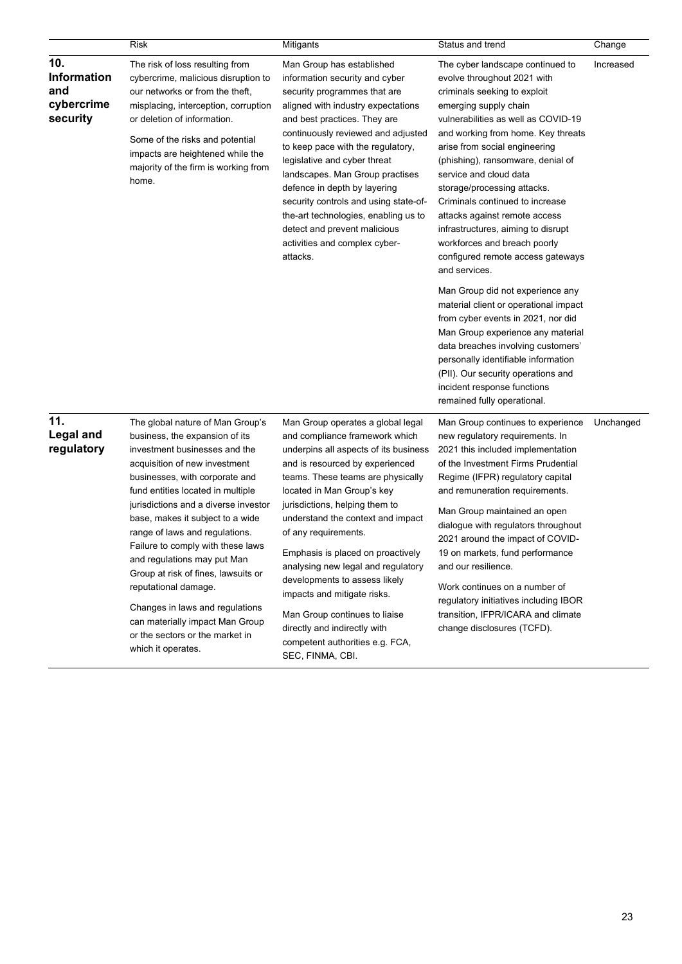|                                                            | Risk                                                                                                                                                                                                                                                                                                                                                                                                                                                                                                                                                                                        | Mitigants                                                                                                                                                                                                                                                                                                                                                                                                                                                                                                                                                                            | Status and trend                                                                                                                                                                                                                                                                                                                                                                                                                                                                                                                         | Change    |
|------------------------------------------------------------|---------------------------------------------------------------------------------------------------------------------------------------------------------------------------------------------------------------------------------------------------------------------------------------------------------------------------------------------------------------------------------------------------------------------------------------------------------------------------------------------------------------------------------------------------------------------------------------------|--------------------------------------------------------------------------------------------------------------------------------------------------------------------------------------------------------------------------------------------------------------------------------------------------------------------------------------------------------------------------------------------------------------------------------------------------------------------------------------------------------------------------------------------------------------------------------------|------------------------------------------------------------------------------------------------------------------------------------------------------------------------------------------------------------------------------------------------------------------------------------------------------------------------------------------------------------------------------------------------------------------------------------------------------------------------------------------------------------------------------------------|-----------|
| 10.<br><b>Information</b><br>and<br>cybercrime<br>security | The risk of loss resulting from<br>cybercrime, malicious disruption to<br>our networks or from the theft,<br>misplacing, interception, corruption<br>or deletion of information.<br>Some of the risks and potential<br>impacts are heightened while the<br>majority of the firm is working from<br>home.                                                                                                                                                                                                                                                                                    | Man Group has established<br>information security and cyber<br>security programmes that are<br>aligned with industry expectations<br>and best practices. They are<br>continuously reviewed and adjusted<br>to keep pace with the regulatory,<br>legislative and cyber threat<br>landscapes. Man Group practises<br>defence in depth by layering<br>security controls and using state-of-<br>the-art technologies, enabling us to<br>detect and prevent malicious<br>activities and complex cyber-<br>attacks.                                                                        | The cyber landscape continued to<br>evolve throughout 2021 with<br>criminals seeking to exploit<br>emerging supply chain<br>vulnerabilities as well as COVID-19<br>and working from home. Key threats<br>arise from social engineering<br>(phishing), ransomware, denial of<br>service and cloud data<br>storage/processing attacks.<br>Criminals continued to increase<br>attacks against remote access<br>infrastructures, aiming to disrupt<br>workforces and breach poorly<br>configured remote access gateways<br>and services.     | Increased |
|                                                            |                                                                                                                                                                                                                                                                                                                                                                                                                                                                                                                                                                                             |                                                                                                                                                                                                                                                                                                                                                                                                                                                                                                                                                                                      | Man Group did not experience any<br>material client or operational impact<br>from cyber events in 2021, nor did<br>Man Group experience any material<br>data breaches involving customers'<br>personally identifiable information<br>(PII). Our security operations and<br>incident response functions<br>remained fully operational.                                                                                                                                                                                                    |           |
| 11.<br><b>Legal and</b><br>regulatory                      | The global nature of Man Group's<br>business, the expansion of its<br>investment businesses and the<br>acquisition of new investment<br>businesses, with corporate and<br>fund entities located in multiple<br>jurisdictions and a diverse investor<br>base, makes it subject to a wide<br>range of laws and regulations.<br>Failure to comply with these laws<br>and regulations may put Man<br>Group at risk of fines, lawsuits or<br>reputational damage.<br>Changes in laws and regulations<br>can materially impact Man Group<br>or the sectors or the market in<br>which it operates. | Man Group operates a global legal<br>and compliance framework which<br>underpins all aspects of its business<br>and is resourced by experienced<br>teams. These teams are physically<br>located in Man Group's key<br>jurisdictions, helping them to<br>understand the context and impact<br>of any requirements.<br>Emphasis is placed on proactively<br>analysing new legal and regulatory<br>developments to assess likely<br>impacts and mitigate risks.<br>Man Group continues to liaise<br>directly and indirectly with<br>competent authorities e.g. FCA,<br>SEC, FINMA, CBI. | Man Group continues to experience<br>new regulatory requirements. In<br>2021 this included implementation<br>of the Investment Firms Prudential<br>Regime (IFPR) regulatory capital<br>and remuneration requirements.<br>Man Group maintained an open<br>dialogue with regulators throughout<br>2021 around the impact of COVID-<br>19 on markets, fund performance<br>and our resilience.<br>Work continues on a number of<br>regulatory initiatives including IBOR<br>transition, IFPR/ICARA and climate<br>change disclosures (TCFD). | Unchanged |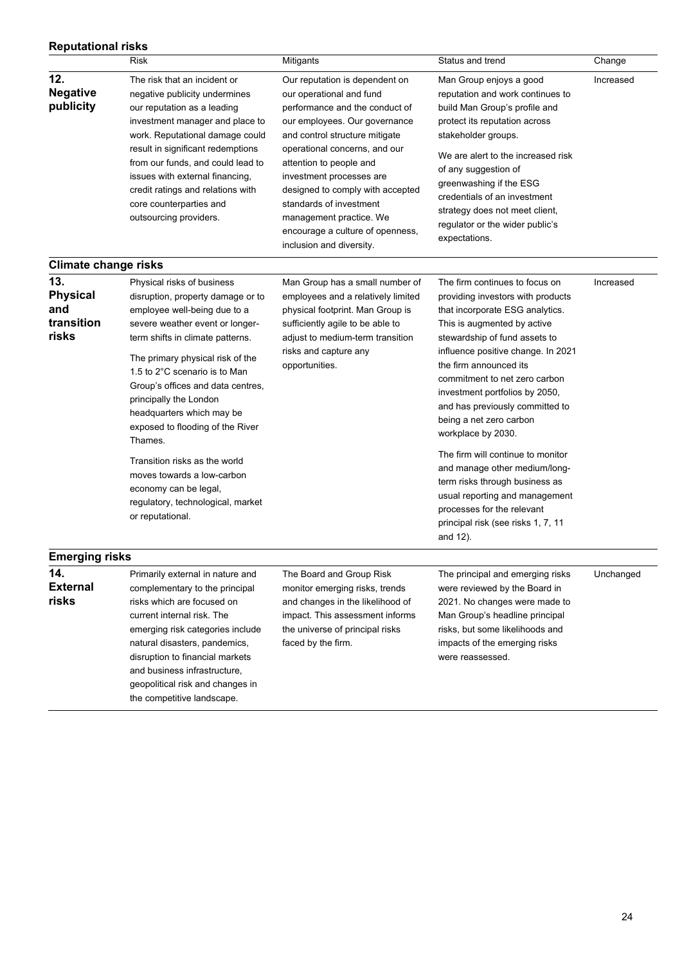# **Reputational risks**

the competitive landscape.

| - - p - - - - - - - - - - -                          | Risk                                                                                                                                                                                                                                                                                                                                                                                                                                                                                                                                    | Mitigants                                                                                                                                                                                                                                                                                                                                                                                                         | Status and trend                                                                                                                                                                                                                                                                                                                                                                                                                                                                                                                                                                                                        | Change    |
|------------------------------------------------------|-----------------------------------------------------------------------------------------------------------------------------------------------------------------------------------------------------------------------------------------------------------------------------------------------------------------------------------------------------------------------------------------------------------------------------------------------------------------------------------------------------------------------------------------|-------------------------------------------------------------------------------------------------------------------------------------------------------------------------------------------------------------------------------------------------------------------------------------------------------------------------------------------------------------------------------------------------------------------|-------------------------------------------------------------------------------------------------------------------------------------------------------------------------------------------------------------------------------------------------------------------------------------------------------------------------------------------------------------------------------------------------------------------------------------------------------------------------------------------------------------------------------------------------------------------------------------------------------------------------|-----------|
| 12.<br><b>Negative</b><br>publicity                  | The risk that an incident or<br>negative publicity undermines<br>our reputation as a leading<br>investment manager and place to<br>work. Reputational damage could<br>result in significant redemptions<br>from our funds, and could lead to<br>issues with external financing,<br>credit ratings and relations with<br>core counterparties and<br>outsourcing providers.                                                                                                                                                               | Our reputation is dependent on<br>our operational and fund<br>performance and the conduct of<br>our employees. Our governance<br>and control structure mitigate<br>operational concerns, and our<br>attention to people and<br>investment processes are<br>designed to comply with accepted<br>standards of investment<br>management practice. We<br>encourage a culture of openness,<br>inclusion and diversity. | Man Group enjoys a good<br>reputation and work continues to<br>build Man Group's profile and<br>protect its reputation across<br>stakeholder groups.<br>We are alert to the increased risk<br>of any suggestion of<br>greenwashing if the ESG<br>credentials of an investment<br>strategy does not meet client,<br>regulator or the wider public's<br>expectations.                                                                                                                                                                                                                                                     | Increased |
| <b>Climate change risks</b>                          |                                                                                                                                                                                                                                                                                                                                                                                                                                                                                                                                         |                                                                                                                                                                                                                                                                                                                                                                                                                   |                                                                                                                                                                                                                                                                                                                                                                                                                                                                                                                                                                                                                         |           |
| 13.<br><b>Physical</b><br>and<br>transition<br>risks | Physical risks of business<br>disruption, property damage or to<br>employee well-being due to a<br>severe weather event or longer-<br>term shifts in climate patterns.<br>The primary physical risk of the<br>1.5 to 2°C scenario is to Man<br>Group's offices and data centres,<br>principally the London<br>headquarters which may be<br>exposed to flooding of the River<br>Thames.<br>Transition risks as the world<br>moves towards a low-carbon<br>economy can be legal,<br>regulatory, technological, market<br>or reputational. | Man Group has a small number of<br>employees and a relatively limited<br>physical footprint. Man Group is<br>sufficiently agile to be able to<br>adjust to medium-term transition<br>risks and capture any<br>opportunities.                                                                                                                                                                                      | The firm continues to focus on<br>providing investors with products<br>that incorporate ESG analytics.<br>This is augmented by active<br>stewardship of fund assets to<br>influence positive change. In 2021<br>the firm announced its<br>commitment to net zero carbon<br>investment portfolios by 2050,<br>and has previously committed to<br>being a net zero carbon<br>workplace by 2030.<br>The firm will continue to monitor<br>and manage other medium/long-<br>term risks through business as<br>usual reporting and management<br>processes for the relevant<br>principal risk (see risks 1, 7, 11<br>and 12). | Increased |
| <b>Emerging risks</b>                                |                                                                                                                                                                                                                                                                                                                                                                                                                                                                                                                                         |                                                                                                                                                                                                                                                                                                                                                                                                                   |                                                                                                                                                                                                                                                                                                                                                                                                                                                                                                                                                                                                                         |           |
| 14.<br><b>External</b><br>risks                      | Primarily external in nature and<br>complementary to the principal<br>risks which are focused on<br>current internal risk. The<br>emerging risk categories include<br>natural disasters, pandemics,<br>disruption to financial markets<br>and business infrastructure,<br>geopolitical risk and changes in                                                                                                                                                                                                                              | The Board and Group Risk<br>monitor emerging risks, trends<br>and changes in the likelihood of<br>impact. This assessment informs<br>the universe of principal risks<br>faced by the firm.                                                                                                                                                                                                                        | The principal and emerging risks<br>were reviewed by the Board in<br>2021. No changes were made to<br>Man Group's headline principal<br>risks, but some likelihoods and<br>impacts of the emerging risks<br>were reassessed.                                                                                                                                                                                                                                                                                                                                                                                            | Unchanged |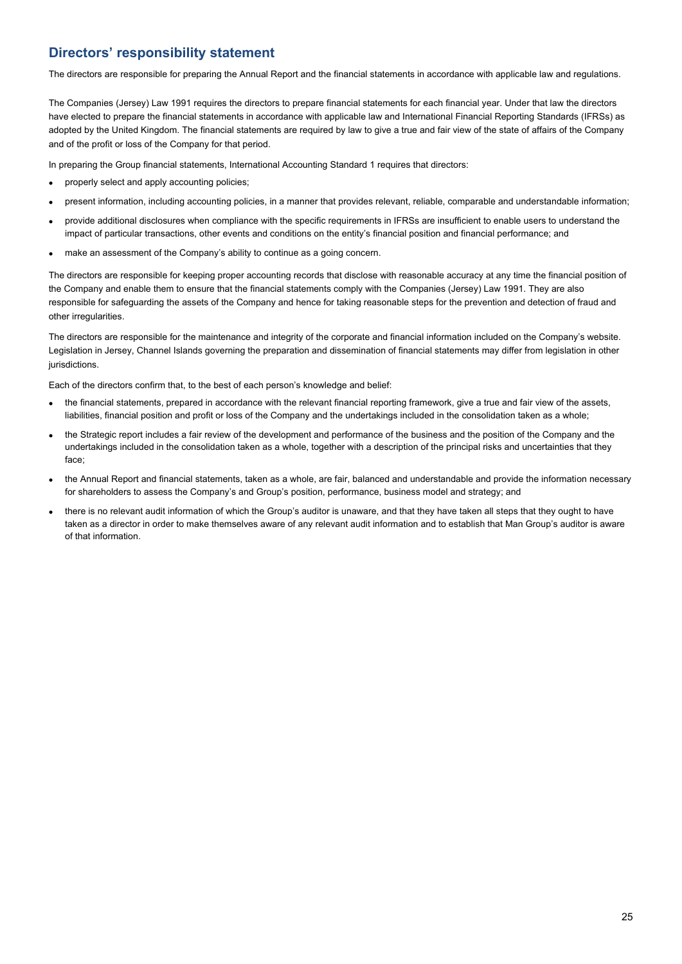# **Directors' responsibility statement**

The directors are responsible for preparing the Annual Report and the financial statements in accordance with applicable law and regulations.

The Companies (Jersey) Law 1991 requires the directors to prepare financial statements for each financial year. Under that law the directors have elected to prepare the financial statements in accordance with applicable law and International Financial Reporting Standards (IFRSs) as adopted by the United Kingdom. The financial statements are required by law to give a true and fair view of the state of affairs of the Company and of the profit or loss of the Company for that period.

In preparing the Group financial statements, International Accounting Standard 1 requires that directors:

- properly select and apply accounting policies;
- present information, including accounting policies, in a manner that provides relevant, reliable, comparable and understandable information;
- provide additional disclosures when compliance with the specific requirements in IFRSs are insufficient to enable users to understand the impact of particular transactions, other events and conditions on the entity's financial position and financial performance; and
- make an assessment of the Company's ability to continue as a going concern.

The directors are responsible for keeping proper accounting records that disclose with reasonable accuracy at any time the financial position of the Company and enable them to ensure that the financial statements comply with the Companies (Jersey) Law 1991. They are also responsible for safeguarding the assets of the Company and hence for taking reasonable steps for the prevention and detection of fraud and other irregularities.

The directors are responsible for the maintenance and integrity of the corporate and financial information included on the Company's website. Legislation in Jersey, Channel Islands governing the preparation and dissemination of financial statements may differ from legislation in other jurisdictions.

Each of the directors confirm that, to the best of each person's knowledge and belief:

- the financial statements, prepared in accordance with the relevant financial reporting framework, give a true and fair view of the assets, liabilities, financial position and profit or loss of the Company and the undertakings included in the consolidation taken as a whole;
- the Strategic report includes a fair review of the development and performance of the business and the position of the Company and the undertakings included in the consolidation taken as a whole, together with a description of the principal risks and uncertainties that they face;
- the Annual Report and financial statements, taken as a whole, are fair, balanced and understandable and provide the information necessary for shareholders to assess the Company's and Group's position, performance, business model and strategy; and
- there is no relevant audit information of which the Group's auditor is unaware, and that they have taken all steps that they ought to have taken as a director in order to make themselves aware of any relevant audit information and to establish that Man Group's auditor is aware of that information.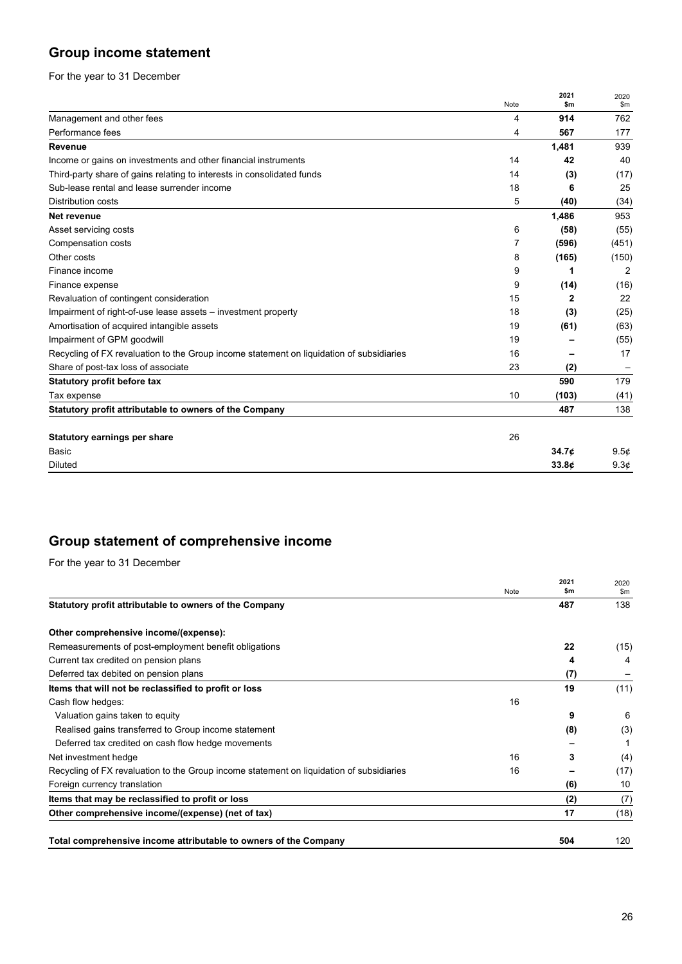# **Group income statement**

For the year to 31 December

|                                                                                          | Note | 2021<br>\$m       | 2020<br>\$m      |
|------------------------------------------------------------------------------------------|------|-------------------|------------------|
| Management and other fees                                                                | 4    | 914               | 762              |
| Performance fees                                                                         | 4    | 567               | 177              |
| Revenue                                                                                  |      | 1,481             | 939              |
| Income or gains on investments and other financial instruments                           | 14   | 42                | 40               |
| Third-party share of gains relating to interests in consolidated funds                   | 14   | (3)               | (17)             |
| Sub-lease rental and lease surrender income                                              | 18   | 6                 | 25               |
| Distribution costs                                                                       | 5    | (40)              | (34)             |
| Net revenue                                                                              |      | 1,486             | 953              |
| Asset servicing costs                                                                    | 6    | (58)              | (55)             |
| Compensation costs                                                                       | 7    | (596)             | (451)            |
| Other costs                                                                              | 8    | (165)             | (150)            |
| Finance income                                                                           | 9    | 1                 | 2                |
| Finance expense                                                                          | 9    | (14)              | (16)             |
| Revaluation of contingent consideration                                                  | 15   | $\mathbf{2}$      | 22               |
| Impairment of right-of-use lease assets - investment property                            | 18   | (3)               | (25)             |
| Amortisation of acquired intangible assets                                               | 19   | (61)              | (63)             |
| Impairment of GPM goodwill                                                               | 19   |                   | (55)             |
| Recycling of FX revaluation to the Group income statement on liquidation of subsidiaries | 16   |                   | 17               |
| Share of post-tax loss of associate                                                      | 23   | (2)               |                  |
| Statutory profit before tax                                                              |      | 590               | 179              |
| Tax expense                                                                              | 10   | (103)             | (41)             |
| Statutory profit attributable to owners of the Company                                   |      | 487               | 138              |
| <b>Statutory earnings per share</b>                                                      | 26   |                   |                  |
| Basic                                                                                    |      | 34.7 <sub>c</sub> | 9.5 <sub>c</sub> |
| <b>Diluted</b>                                                                           |      | 33.8 <sub>c</sub> | $9.3\phi$        |

# **Group statement of comprehensive income**

For the year to 31 December

|                                                                                          | Note | 2021<br>\$m | 2020<br>\$m |
|------------------------------------------------------------------------------------------|------|-------------|-------------|
| Statutory profit attributable to owners of the Company                                   |      | 487         | 138         |
| Other comprehensive income/(expense):                                                    |      |             |             |
| Remeasurements of post-employment benefit obligations                                    |      | 22          | (15)        |
| Current tax credited on pension plans                                                    |      | 4           | 4           |
| Deferred tax debited on pension plans                                                    |      | (7)         |             |
| Items that will not be reclassified to profit or loss                                    |      | 19          | (11)        |
| Cash flow hedges:                                                                        | 16   |             |             |
| Valuation gains taken to equity                                                          |      | 9           | 6           |
| Realised gains transferred to Group income statement                                     |      | (8)         | (3)         |
| Deferred tax credited on cash flow hedge movements                                       |      |             |             |
| Net investment hedge                                                                     | 16   | 3           | (4)         |
| Recycling of FX revaluation to the Group income statement on liquidation of subsidiaries | 16   |             | (17)        |
| Foreign currency translation                                                             |      | (6)         | 10          |
| Items that may be reclassified to profit or loss                                         |      | (2)         | (7)         |
| Other comprehensive income/(expense) (net of tax)                                        |      | 17          | (18)        |
| Total comprehensive income attributable to owners of the Company                         |      | 504         | 120         |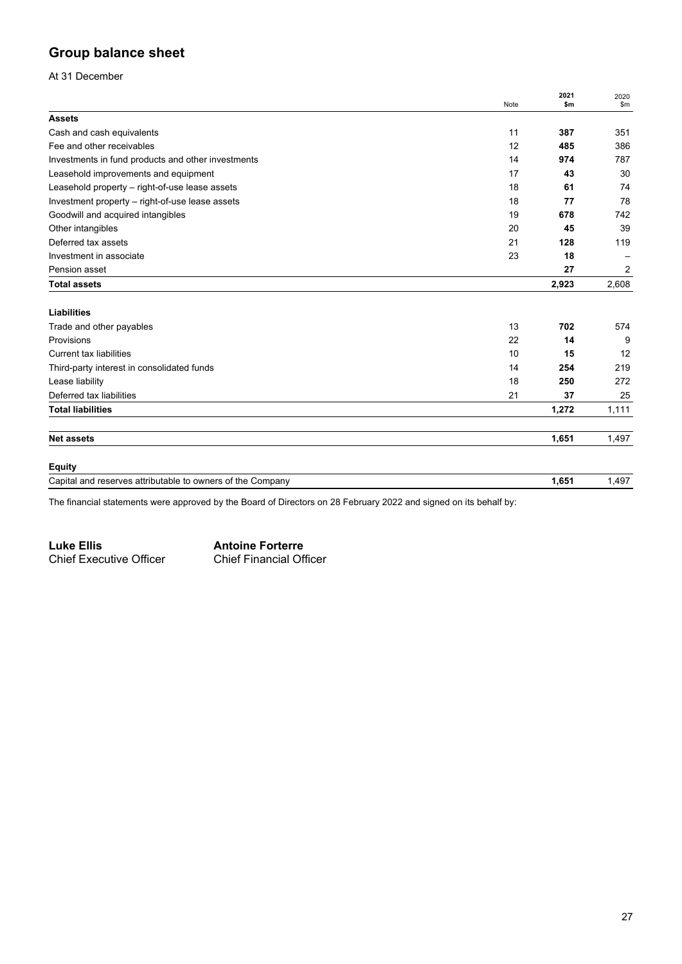# **Group balance sheet**

At 31 December

|                                                            | Note | 2021<br>\$m | 2020<br>\$m\$ |
|------------------------------------------------------------|------|-------------|---------------|
| <b>Assets</b>                                              |      |             |               |
| Cash and cash equivalents                                  | 11   | 387         | 351           |
| Fee and other receivables                                  | 12   | 485         | 386           |
| Investments in fund products and other investments         | 14   | 974         | 787           |
| Leasehold improvements and equipment                       | 17   | 43          | 30            |
| Leasehold property - right-of-use lease assets             | 18   | 61          | 74            |
| Investment property - right-of-use lease assets            | 18   | 77          | 78            |
| Goodwill and acquired intangibles                          | 19   | 678         | 742           |
| Other intangibles                                          | 20   | 45          | 39            |
| Deferred tax assets                                        | 21   | 128         | 119           |
| Investment in associate                                    | 23   | 18          |               |
| Pension asset                                              |      | 27          | 2             |
| <b>Total assets</b>                                        |      | 2,923       | 2,608         |
| <b>Liabilities</b>                                         |      |             |               |
| Trade and other payables                                   | 13   | 702         | 574           |
| Provisions                                                 | 22   | 14          | 9             |
| <b>Current tax liabilities</b>                             | 10   | 15          | 12            |
| Third-party interest in consolidated funds                 | 14   | 254         | 219           |
| Lease liability                                            | 18   | 250         | 272           |
| Deferred tax liabilities                                   | 21   | 37          | 25            |
| <b>Total liabilities</b>                                   |      | 1,272       | 1,111         |
| <b>Net assets</b>                                          |      | 1,651       | 1,497         |
| <b>Equity</b>                                              |      |             |               |
| Capital and reserves attributable to owners of the Company |      | 1,651       | 1,497         |

The financial statements were approved by the Board of Directors on 28 February 2022 and signed on its behalf by:

**Luke Ellis**<br> **Chief Executive Officer**<br> **Chief Financial Officer Chief Executive Officer**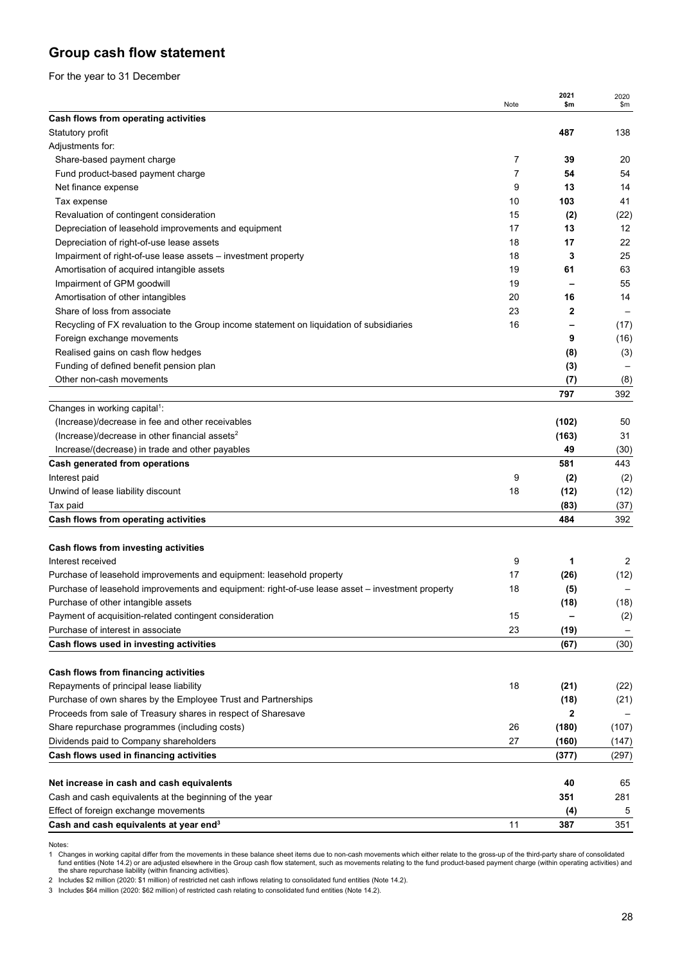# **Group cash flow statement**

For the year to 31 December

|                                                                                                  | Note           | 2021<br>\$m              | 2020<br>\$m              |
|--------------------------------------------------------------------------------------------------|----------------|--------------------------|--------------------------|
| Cash flows from operating activities                                                             |                |                          |                          |
| Statutory profit                                                                                 |                | 487                      | 138                      |
| Adjustments for:                                                                                 |                |                          |                          |
| Share-based payment charge                                                                       | 7              | 39                       | 20                       |
| Fund product-based payment charge                                                                | $\overline{7}$ | 54                       | 54                       |
| Net finance expense                                                                              | 9              | 13                       | 14                       |
| Tax expense                                                                                      | 10             | 103                      | 41                       |
| Revaluation of contingent consideration                                                          | 15             | (2)                      | (22)                     |
| Depreciation of leasehold improvements and equipment                                             | 17             | 13                       | 12                       |
| Depreciation of right-of-use lease assets                                                        | 18             | 17                       | 22                       |
| Impairment of right-of-use lease assets - investment property                                    | 18             | 3                        | 25                       |
| Amortisation of acquired intangible assets                                                       | 19             | 61                       | 63                       |
| Impairment of GPM goodwill                                                                       | 19             | $\overline{\phantom{0}}$ | 55                       |
| Amortisation of other intangibles                                                                | 20             | 16                       | 14                       |
| Share of loss from associate                                                                     | 23             | $\mathbf{2}$             | $\overline{\phantom{m}}$ |
| Recycling of FX revaluation to the Group income statement on liquidation of subsidiaries         | 16             |                          | (17)                     |
| Foreign exchange movements                                                                       |                | 9                        | (16)                     |
| Realised gains on cash flow hedges                                                               |                | (8)                      | (3)                      |
| Funding of defined benefit pension plan                                                          |                | (3)                      |                          |
| Other non-cash movements                                                                         |                | (7)                      | (8)                      |
|                                                                                                  |                | 797                      | 392                      |
| Changes in working capital <sup>1</sup> :                                                        |                |                          |                          |
| (Increase)/decrease in fee and other receivables                                                 |                | (102)                    | 50                       |
| (Increase)/decrease in other financial assets $2$                                                |                | (163)                    | 31                       |
| Increase/(decrease) in trade and other payables                                                  |                | 49                       | (30)                     |
| Cash generated from operations                                                                   |                | 581                      | 443                      |
| Interest paid                                                                                    | 9              | (2)                      | (2)                      |
| Unwind of lease liability discount                                                               | 18             | (12)                     | (12)                     |
| Tax paid                                                                                         |                | (83)                     | (37)                     |
| Cash flows from operating activities                                                             |                | 484                      | 392                      |
| Cash flows from investing activities                                                             |                |                          |                          |
| Interest received                                                                                | 9              | 1                        | 2                        |
| Purchase of leasehold improvements and equipment: leasehold property                             | 17             | (26)                     | (12)                     |
| Purchase of leasehold improvements and equipment: right-of-use lease asset - investment property | 18             | (5)                      |                          |
| Purchase of other intangible assets                                                              |                | (18)                     | (18)                     |
| Payment of acquisition-related contingent consideration                                          | 15             |                          | (2)                      |
| Purchase of interest in associate                                                                | 23             | (19)                     |                          |
| Cash flows used in investing activities                                                          |                | (67)                     | (30)                     |
| Cash flows from financing activities                                                             |                |                          |                          |
| Repayments of principal lease liability                                                          | 18             | (21)                     | (22)                     |
| Purchase of own shares by the Employee Trust and Partnerships                                    |                | (18)                     | (21)                     |
| Proceeds from sale of Treasury shares in respect of Sharesave                                    |                | 2                        |                          |
| Share repurchase programmes (including costs)                                                    | 26             | (180)                    | (107)                    |
| Dividends paid to Company shareholders                                                           | 27             | (160)                    | (147)                    |
| Cash flows used in financing activities                                                          |                | (377)                    | (297)                    |
|                                                                                                  |                |                          |                          |
| Net increase in cash and cash equivalents                                                        |                | 40                       | 65                       |
| Cash and cash equivalents at the beginning of the year                                           |                | 351                      | 281                      |
| Effect of foreign exchange movements                                                             |                | (4)                      | 5                        |
| Cash and cash equivalents at year end <sup>3</sup>                                               | 11             | 387                      | 351                      |

Notes:

1 Changes in working capital differ from the movements in these balance sheet items due to non-cash movements which either relate to the gross-up of the third-party share of consolidated<br>fund entities (Note 14.2) or are ad

2 Includes \$2 million (2020: \$1 million) of restricted net cash inflows relating to consolidated fund entities (Note 14.2).

3 Includes \$64 million (2020: \$62 million) of restricted cash relating to consolidated fund entities (Note 14.2).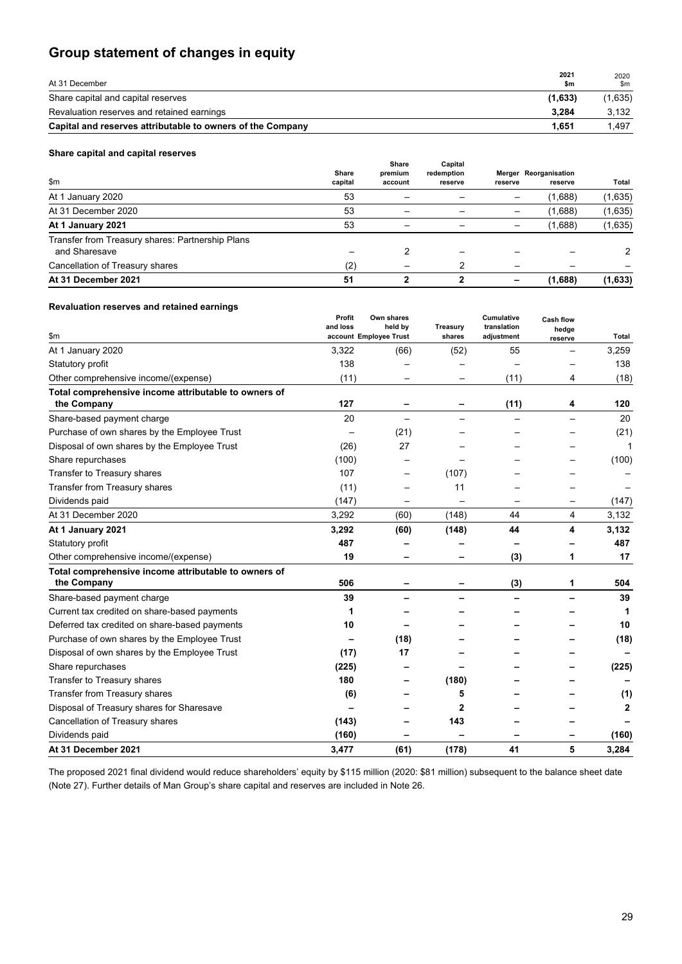# **Group statement of changes in equity**

| At 31 December                                             | 2021<br>\$m | 2020<br>\$m |
|------------------------------------------------------------|-------------|-------------|
| Share capital and capital reserves                         | (1.633)     | (1,635)     |
| Revaluation reserves and retained earnings                 | 3.284       | 3.132       |
| Capital and reserves attributable to owners of the Company | 1.651       | l.497       |

## **Share capital and capital reserves**

| \$m\$                                                             | Share<br>capital | Share<br>premium<br>account | Capital<br>redemption<br>reserve | reserve | Merger Reorganisation<br>reserve | Total   |
|-------------------------------------------------------------------|------------------|-----------------------------|----------------------------------|---------|----------------------------------|---------|
| At 1 January 2020                                                 | 53               |                             |                                  |         | (1,688)                          | (1,635) |
| At 31 December 2020                                               | 53               |                             |                                  |         | (1,688)                          | (1,635) |
| At 1 January 2021                                                 | 53               |                             |                                  |         | (1,688)                          | (1,635) |
| Transfer from Treasury shares: Partnership Plans<br>and Sharesave |                  |                             |                                  |         |                                  | 2       |
| Cancellation of Treasury shares                                   | (2)              |                             | ົ                                |         |                                  |         |
| At 31 December 2021                                               | 51               |                             |                                  |         | (1,688)                          | (1,633) |

## **Revaluation reserves and retained earnings**

| \$m\$                                                               | Profit<br>and loss | Own shares<br>held by<br>account Employee Trust | Treasury<br>shares | Cumulative<br>translation<br>adjustment | <b>Cash flow</b><br>hedge<br>reserve | Total |
|---------------------------------------------------------------------|--------------------|-------------------------------------------------|--------------------|-----------------------------------------|--------------------------------------|-------|
| At 1 January 2020                                                   | 3,322              | (66)                                            | (52)               | 55                                      |                                      | 3,259 |
| Statutory profit                                                    | 138                |                                                 |                    |                                         |                                      | 138   |
| Other comprehensive income/(expense)                                | (11)               |                                                 |                    | (11)                                    | 4                                    | (18)  |
| Total comprehensive income attributable to owners of<br>the Company | 127                |                                                 |                    | (11)                                    | 4                                    | 120   |
| Share-based payment charge                                          | 20                 |                                                 |                    |                                         |                                      | 20    |
| Purchase of own shares by the Employee Trust                        |                    | (21)                                            |                    |                                         |                                      | (21)  |
| Disposal of own shares by the Employee Trust                        | (26)               | 27                                              |                    |                                         |                                      | 1     |
| Share repurchases                                                   | (100)              |                                                 |                    |                                         |                                      | (100) |
| Transfer to Treasury shares                                         | 107                |                                                 | (107)              |                                         |                                      |       |
| Transfer from Treasury shares                                       | (11)               |                                                 | 11                 |                                         |                                      |       |
| Dividends paid                                                      | (147)              |                                                 |                    |                                         |                                      | (147) |
| At 31 December 2020                                                 | 3,292              | (60)                                            | (148)              | 44                                      | 4                                    | 3,132 |
| At 1 January 2021                                                   | 3,292              | (60)                                            | (148)              | 44                                      | 4                                    | 3,132 |
| Statutory profit                                                    | 487                |                                                 |                    |                                         |                                      | 487   |
| Other comprehensive income/(expense)                                | 19                 |                                                 |                    | (3)                                     | 1                                    | 17    |
| Total comprehensive income attributable to owners of<br>the Company | 506                |                                                 |                    | (3)                                     | 1                                    | 504   |
| Share-based payment charge                                          | 39                 |                                                 |                    |                                         |                                      | 39    |
| Current tax credited on share-based payments                        | 1                  |                                                 |                    |                                         |                                      | 1     |
| Deferred tax credited on share-based payments                       | 10                 |                                                 |                    |                                         |                                      | 10    |
| Purchase of own shares by the Employee Trust                        |                    | (18)                                            |                    |                                         |                                      | (18)  |
| Disposal of own shares by the Employee Trust                        | (17)               | 17                                              |                    |                                         |                                      |       |
| Share repurchases                                                   | (225)              |                                                 |                    |                                         |                                      | (225) |
| Transfer to Treasury shares                                         | 180                |                                                 | (180)              |                                         |                                      |       |
| Transfer from Treasury shares                                       | (6)                |                                                 | 5                  |                                         |                                      | (1)   |
| Disposal of Treasury shares for Sharesave                           |                    |                                                 | 2                  |                                         |                                      | 2     |
| Cancellation of Treasury shares                                     | (143)              |                                                 | 143                |                                         |                                      |       |
| Dividends paid                                                      | (160)              |                                                 |                    |                                         |                                      | (160) |
| At 31 December 2021                                                 | 3,477              | (61)                                            | (178)              | 41                                      | 5                                    | 3,284 |

The proposed 2021 final dividend would reduce shareholders' equity by \$115 million (2020: \$81 million) subsequent to the balance sheet date (Note 27). Further details of Man Group's share capital and reserves are included in Note 26.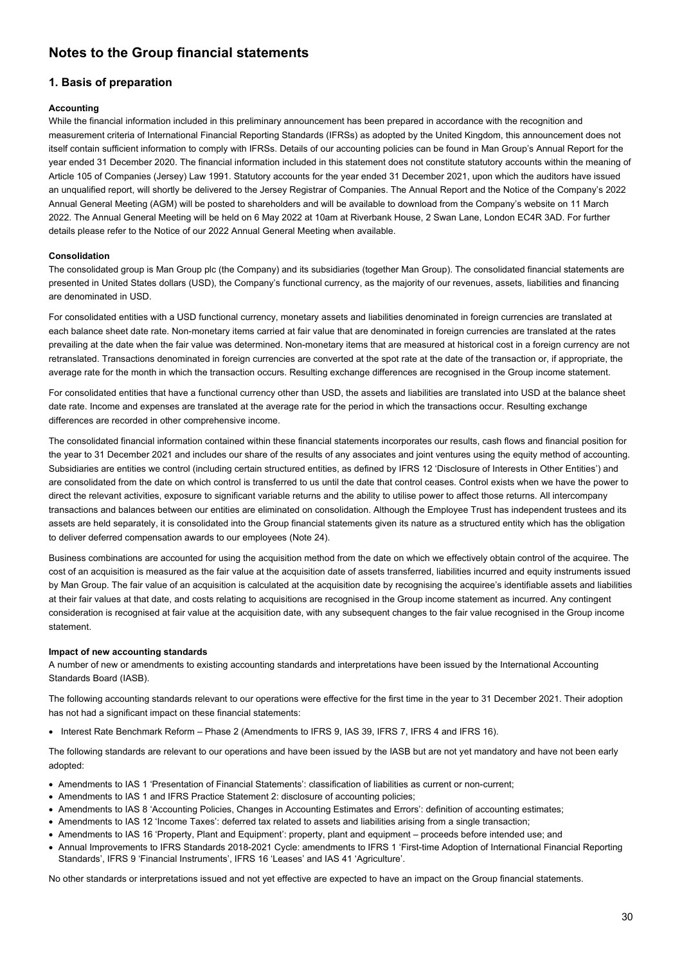# **Notes to the Group financial statements**

# **1. Basis of preparation**

### **Accounting**

While the financial information included in this preliminary announcement has been prepared in accordance with the recognition and measurement criteria of International Financial Reporting Standards (IFRSs) as adopted by the United Kingdom, this announcement does not itself contain sufficient information to comply with IFRSs. Details of our accounting policies can be found in Man Group's Annual Report for the year ended 31 December 2020. The financial information included in this statement does not constitute statutory accounts within the meaning of Article 105 of Companies (Jersey) Law 1991. Statutory accounts for the year ended 31 December 2021, upon which the auditors have issued an unqualified report, will shortly be delivered to the Jersey Registrar of Companies. The Annual Report and the Notice of the Company's 2022 Annual General Meeting (AGM) will be posted to shareholders and will be available to download from the Company's website on 11 March 2022. The Annual General Meeting will be held on 6 May 2022 at 10am at Riverbank House, 2 Swan Lane, London EC4R 3AD. For further details please refer to the Notice of our 2022 Annual General Meeting when available.

#### **Consolidation**

The consolidated group is Man Group plc (the Company) and its subsidiaries (together Man Group). The consolidated financial statements are presented in United States dollars (USD), the Company's functional currency, as the majority of our revenues, assets, liabilities and financing are denominated in USD.

For consolidated entities with a USD functional currency, monetary assets and liabilities denominated in foreign currencies are translated at each balance sheet date rate. Non-monetary items carried at fair value that are denominated in foreign currencies are translated at the rates prevailing at the date when the fair value was determined. Non-monetary items that are measured at historical cost in a foreign currency are not retranslated. Transactions denominated in foreign currencies are converted at the spot rate at the date of the transaction or, if appropriate, the average rate for the month in which the transaction occurs. Resulting exchange differences are recognised in the Group income statement.

For consolidated entities that have a functional currency other than USD, the assets and liabilities are translated into USD at the balance sheet date rate. Income and expenses are translated at the average rate for the period in which the transactions occur. Resulting exchange differences are recorded in other comprehensive income.

The consolidated financial information contained within these financial statements incorporates our results, cash flows and financial position for the year to 31 December 2021 and includes our share of the results of any associates and joint ventures using the equity method of accounting. Subsidiaries are entities we control (including certain structured entities, as defined by IFRS 12 'Disclosure of Interests in Other Entities') and are consolidated from the date on which control is transferred to us until the date that control ceases. Control exists when we have the power to direct the relevant activities, exposure to significant variable returns and the ability to utilise power to affect those returns. All intercompany transactions and balances between our entities are eliminated on consolidation. Although the Employee Trust has independent trustees and its assets are held separately, it is consolidated into the Group financial statements given its nature as a structured entity which has the obligation to deliver deferred compensation awards to our employees (Note 24).

Business combinations are accounted for using the acquisition method from the date on which we effectively obtain control of the acquiree. The cost of an acquisition is measured as the fair value at the acquisition date of assets transferred, liabilities incurred and equity instruments issued by Man Group. The fair value of an acquisition is calculated at the acquisition date by recognising the acquiree's identifiable assets and liabilities at their fair values at that date, and costs relating to acquisitions are recognised in the Group income statement as incurred. Any contingent consideration is recognised at fair value at the acquisition date, with any subsequent changes to the fair value recognised in the Group income statement.

#### **Impact of new accounting standards**

A number of new or amendments to existing accounting standards and interpretations have been issued by the International Accounting Standards Board (IASB).

The following accounting standards relevant to our operations were effective for the first time in the year to 31 December 2021. Their adoption has not had a significant impact on these financial statements:

• Interest Rate Benchmark Reform – Phase 2 (Amendments to IFRS 9, IAS 39, IFRS 7, IFRS 4 and IFRS 16).

The following standards are relevant to our operations and have been issued by the IASB but are not yet mandatory and have not been early adopted:

- Amendments to IAS 1 'Presentation of Financial Statements': classification of liabilities as current or non-current;
- Amendments to IAS 1 and IFRS Practice Statement 2: disclosure of accounting policies;
- Amendments to IAS 8 'Accounting Policies, Changes in Accounting Estimates and Errors': definition of accounting estimates;
- Amendments to IAS 12 'Income Taxes': deferred tax related to assets and liabilities arising from a single transaction;
- Amendments to IAS 16 'Property, Plant and Equipment': property, plant and equipment proceeds before intended use; and
- Annual Improvements to IFRS Standards 2018-2021 Cycle: amendments to IFRS 1 'First-time Adoption of International Financial Reporting Standards', IFRS 9 'Financial Instruments', IFRS 16 'Leases' and IAS 41 'Agriculture'.

No other standards or interpretations issued and not yet effective are expected to have an impact on the Group financial statements.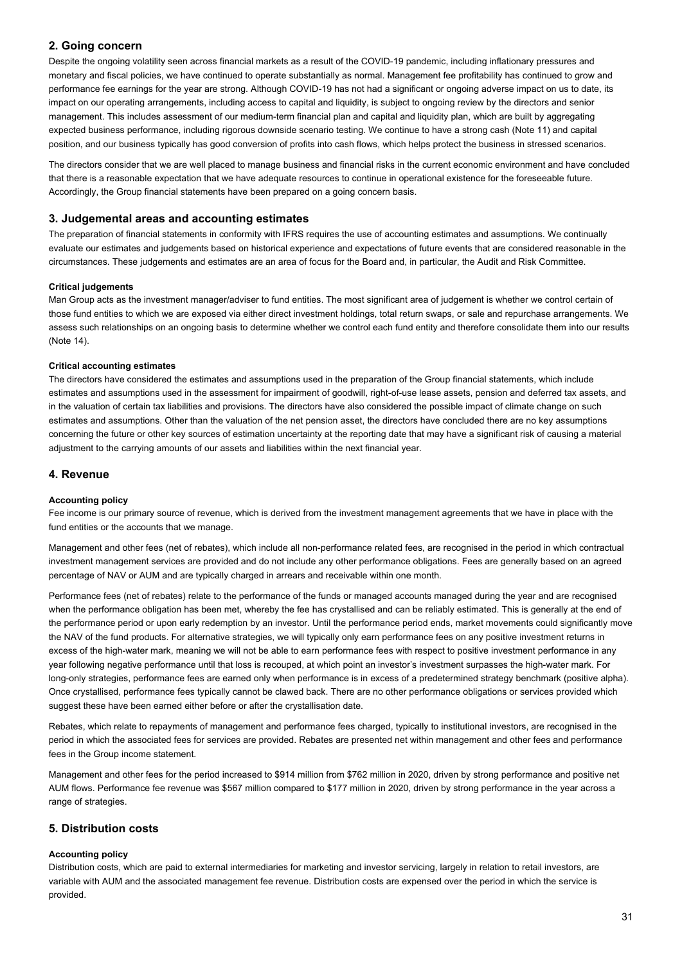# **2. Going concern**

Despite the ongoing volatility seen across financial markets as a result of the COVID-19 pandemic, including inflationary pressures and monetary and fiscal policies, we have continued to operate substantially as normal. Management fee profitability has continued to grow and performance fee earnings for the year are strong. Although COVID-19 has not had a significant or ongoing adverse impact on us to date, its impact on our operating arrangements, including access to capital and liquidity, is subject to ongoing review by the directors and senior management. This includes assessment of our medium-term financial plan and capital and liquidity plan, which are built by aggregating expected business performance, including rigorous downside scenario testing. We continue to have a strong cash (Note 11) and capital position, and our business typically has good conversion of profits into cash flows, which helps protect the business in stressed scenarios.

The directors consider that we are well placed to manage business and financial risks in the current economic environment and have concluded that there is a reasonable expectation that we have adequate resources to continue in operational existence for the foreseeable future. Accordingly, the Group financial statements have been prepared on a going concern basis.

# **3. Judgemental areas and accounting estimates**

The preparation of financial statements in conformity with IFRS requires the use of accounting estimates and assumptions. We continually evaluate our estimates and judgements based on historical experience and expectations of future events that are considered reasonable in the circumstances. These judgements and estimates are an area of focus for the Board and, in particular, the Audit and Risk Committee.

#### **Critical judgements**

Man Group acts as the investment manager/adviser to fund entities. The most significant area of judgement is whether we control certain of those fund entities to which we are exposed via either direct investment holdings, total return swaps, or sale and repurchase arrangements. We assess such relationships on an ongoing basis to determine whether we control each fund entity and therefore consolidate them into our results (Note 14).

#### **Critical accounting estimates**

The directors have considered the estimates and assumptions used in the preparation of the Group financial statements, which include estimates and assumptions used in the assessment for impairment of goodwill, right-of-use lease assets, pension and deferred tax assets, and in the valuation of certain tax liabilities and provisions. The directors have also considered the possible impact of climate change on such estimates and assumptions. Other than the valuation of the net pension asset, the directors have concluded there are no key assumptions concerning the future or other key sources of estimation uncertainty at the reporting date that may have a significant risk of causing a material adjustment to the carrying amounts of our assets and liabilities within the next financial year.

## **4. Revenue**

#### **Accounting policy**

Fee income is our primary source of revenue, which is derived from the investment management agreements that we have in place with the fund entities or the accounts that we manage.

Management and other fees (net of rebates), which include all non-performance related fees, are recognised in the period in which contractual investment management services are provided and do not include any other performance obligations. Fees are generally based on an agreed percentage of NAV or AUM and are typically charged in arrears and receivable within one month.

Performance fees (net of rebates) relate to the performance of the funds or managed accounts managed during the year and are recognised when the performance obligation has been met, whereby the fee has crystallised and can be reliably estimated. This is generally at the end of the performance period or upon early redemption by an investor. Until the performance period ends, market movements could significantly move the NAV of the fund products. For alternative strategies, we will typically only earn performance fees on any positive investment returns in excess of the high-water mark, meaning we will not be able to earn performance fees with respect to positive investment performance in any year following negative performance until that loss is recouped, at which point an investor's investment surpasses the high-water mark. For long-only strategies, performance fees are earned only when performance is in excess of a predetermined strategy benchmark (positive alpha). Once crystallised, performance fees typically cannot be clawed back. There are no other performance obligations or services provided which suggest these have been earned either before or after the crystallisation date.

Rebates, which relate to repayments of management and performance fees charged, typically to institutional investors, are recognised in the period in which the associated fees for services are provided. Rebates are presented net within management and other fees and performance fees in the Group income statement.

Management and other fees for the period increased to \$914 million from \$762 million in 2020, driven by strong performance and positive net AUM flows. Performance fee revenue was \$567 million compared to \$177 million in 2020, driven by strong performance in the year across a range of strategies.

#### **5. Distribution costs**

#### **Accounting policy**

Distribution costs, which are paid to external intermediaries for marketing and investor servicing, largely in relation to retail investors, are variable with AUM and the associated management fee revenue. Distribution costs are expensed over the period in which the service is provided.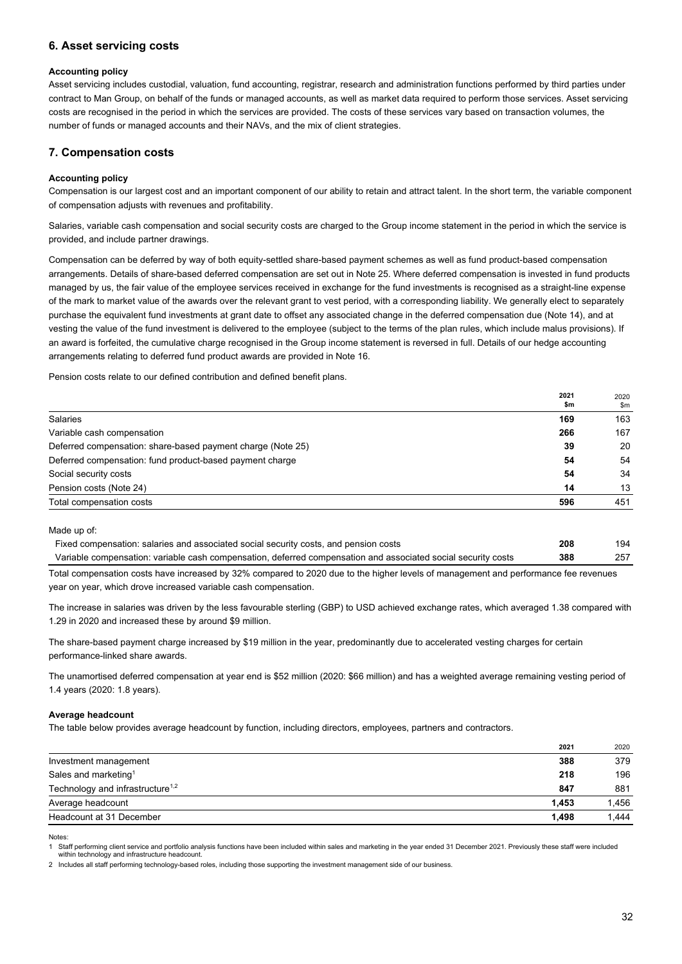# **6. Asset servicing costs**

#### **Accounting policy**

Asset servicing includes custodial, valuation, fund accounting, registrar, research and administration functions performed by third parties under contract to Man Group, on behalf of the funds or managed accounts, as well as market data required to perform those services. Asset servicing costs are recognised in the period in which the services are provided. The costs of these services vary based on transaction volumes, the number of funds or managed accounts and their NAVs, and the mix of client strategies.

# **7. Compensation costs**

#### **Accounting policy**

Compensation is our largest cost and an important component of our ability to retain and attract talent. In the short term, the variable component of compensation adjusts with revenues and profitability.

Salaries, variable cash compensation and social security costs are charged to the Group income statement in the period in which the service is provided, and include partner drawings.

Compensation can be deferred by way of both equity-settled share-based payment schemes as well as fund product-based compensation arrangements. Details of share-based deferred compensation are set out in Note 25. Where deferred compensation is invested in fund products managed by us, the fair value of the employee services received in exchange for the fund investments is recognised as a straight-line expense of the mark to market value of the awards over the relevant grant to vest period, with a corresponding liability. We generally elect to separately purchase the equivalent fund investments at grant date to offset any associated change in the deferred compensation due (Note 14), and at vesting the value of the fund investment is delivered to the employee (subject to the terms of the plan rules, which include malus provisions). If an award is forfeited, the cumulative charge recognised in the Group income statement is reversed in full. Details of our hedge accounting arrangements relating to deferred fund product awards are provided in Note 16.

Pension costs relate to our defined contribution and defined benefit plans.

|                                                             | 2021<br>\$m | 2020<br>\$m\$ |
|-------------------------------------------------------------|-------------|---------------|
| <b>Salaries</b>                                             | 169         | 163           |
| Variable cash compensation                                  | 266         | 167           |
| Deferred compensation: share-based payment charge (Note 25) | 39          | 20            |
| Deferred compensation: fund product-based payment charge    | 54          | 54            |
| Social security costs                                       | 54          | 34            |
| Pension costs (Note 24)                                     | 14          | 13            |
| Total compensation costs                                    | 596         | 451           |

Made up of:

| Fixed compensation: salaries and associated social security costs, and pension costs                          | 208 | 194 |
|---------------------------------------------------------------------------------------------------------------|-----|-----|
| Variable compensation: variable cash compensation, deferred compensation and associated social security costs | 388 | 257 |

Total compensation costs have increased by 32% compared to 2020 due to the higher levels of management and performance fee revenues year on year, which drove increased variable cash compensation.

The increase in salaries was driven by the less favourable sterling (GBP) to USD achieved exchange rates, which averaged 1.38 compared with 1.29 in 2020 and increased these by around \$9 million.

The share-based payment charge increased by \$19 million in the year, predominantly due to accelerated vesting charges for certain performance-linked share awards.

The unamortised deferred compensation at year end is \$52 million (2020: \$66 million) and has a weighted average remaining vesting period of 1.4 years (2020: 1.8 years).

#### **Average headcount**

The table below provides average headcount by function, including directors, employees, partners and contractors.

|                                              | 2021  | 2020  |
|----------------------------------------------|-------|-------|
| Investment management                        | 388   | 379   |
| Sales and marketing <sup>1</sup>             | 218   | 196   |
| Technology and infrastructure <sup>1,2</sup> | 847   | 881   |
| Average headcount                            | 1.453 | 1.456 |
| Headcount at 31 December                     | 1.498 | 1.444 |

Notes:

1 Staff performing client service and portfolio analysis functions have been included within sales and marketing in the year ended 31 December 2021. Previously these staff were included within technology and infrastructure headcount

2 Includes all staff performing technology-based roles, including those supporting the investment management side of our business.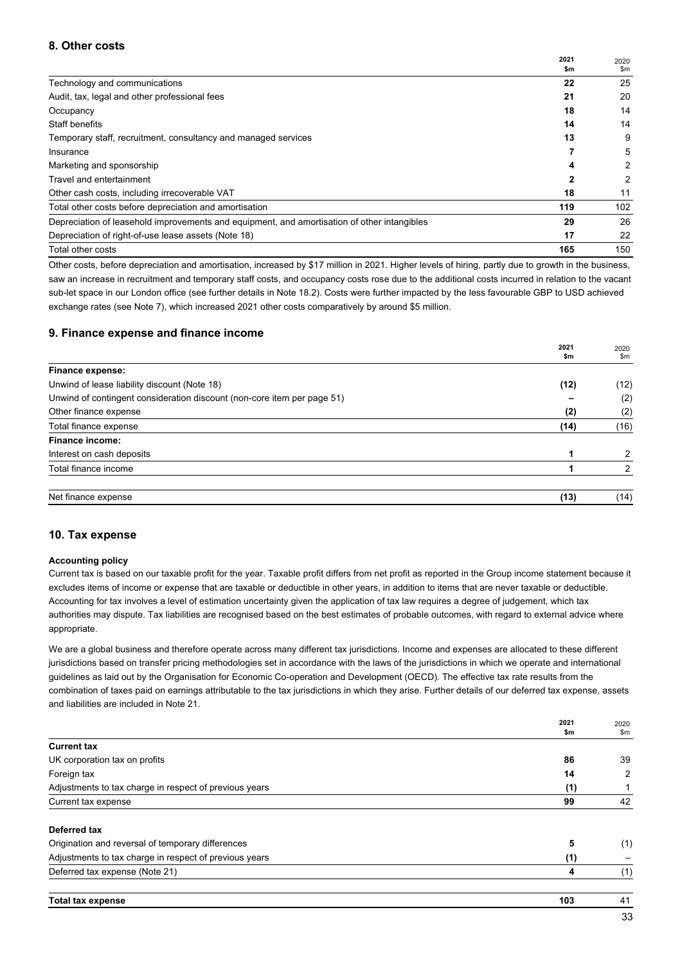# **8. Other costs**

|                                                                                             | 2021<br>\$m | 2020<br>\$m |
|---------------------------------------------------------------------------------------------|-------------|-------------|
| Technology and communications                                                               | 22          | 25          |
| Audit, tax, legal and other professional fees                                               | 21          | 20          |
| Occupancy                                                                                   | 18          | 14          |
| Staff benefits                                                                              | 14          | 14          |
| Temporary staff, recruitment, consultancy and managed services                              | 13          | 9           |
| Insurance                                                                                   |             | 5           |
| Marketing and sponsorship                                                                   | 4           | 2           |
| Travel and entertainment                                                                    | 2           | 2           |
| Other cash costs, including irrecoverable VAT                                               | 18          | 11          |
| Total other costs before depreciation and amortisation                                      | 119         | 102         |
| Depreciation of leasehold improvements and equipment, and amortisation of other intangibles | 29          | 26          |
| Depreciation of right-of-use lease assets (Note 18)                                         | 17          | 22          |
| Total other costs                                                                           | 165         | 150         |

Other costs, before depreciation and amortisation, increased by \$17 million in 2021. Higher levels of hiring, partly due to growth in the business, saw an increase in recruitment and temporary staff costs, and occupancy costs rose due to the additional costs incurred in relation to the vacant sub-let space in our London office (see further details in Note 18.2). Costs were further impacted by the less favourable GBP to USD achieved exchange rates (see Note 7), which increased 2021 other costs comparatively by around \$5 million.

# **9. Finance expense and finance income**

|                                                                         | 2021<br>\$m | 2020<br>\$m |
|-------------------------------------------------------------------------|-------------|-------------|
| <b>Finance expense:</b>                                                 |             |             |
| Unwind of lease liability discount (Note 18)                            | (12)        | (12)        |
| Unwind of contingent consideration discount (non-core item per page 51) |             | (2)         |
| Other finance expense                                                   | (2)         | (2)         |
| Total finance expense                                                   | (14)        | (16)        |
| <b>Finance income:</b>                                                  |             |             |
| Interest on cash deposits                                               |             | 2           |
| Total finance income                                                    |             | 2           |
| Net finance expense                                                     | (13)        | (14)        |

# **10. Tax expense**

#### **Accounting policy**

Current tax is based on our taxable profit for the year. Taxable profit differs from net profit as reported in the Group income statement because it excludes items of income or expense that are taxable or deductible in other years, in addition to items that are never taxable or deductible. Accounting for tax involves a level of estimation uncertainty given the application of tax law requires a degree of judgement, which tax authorities may dispute. Tax liabilities are recognised based on the best estimates of probable outcomes, with regard to external advice where appropriate.

We are a global business and therefore operate across many different tax jurisdictions. Income and expenses are allocated to these different jurisdictions based on transfer pricing methodologies set in accordance with the laws of the jurisdictions in which we operate and international guidelines as laid out by the Organisation for Economic Co-operation and Development (OECD). The effective tax rate results from the combination of taxes paid on earnings attributable to the tax jurisdictions in which they arise. Further details of our deferred tax expense, assets and liabilities are included in Note 21.

|                                                        | 2021 | 2020          |
|--------------------------------------------------------|------|---------------|
|                                                        | \$m  | $\mathsf{Sm}$ |
| <b>Current tax</b>                                     |      |               |
| UK corporation tax on profits                          | 86   | 39            |
| Foreign tax                                            | 14   | 2             |
| Adjustments to tax charge in respect of previous years | (1)  | 1             |
| Current tax expense                                    | 99   | 42            |
| Deferred tax                                           |      |               |
| Origination and reversal of temporary differences      | 5    | (1)           |
| Adjustments to tax charge in respect of previous years | (1)  |               |
| Deferred tax expense (Note 21)                         | 4    | (1)           |
| <b>Total tax expense</b>                               | 103  | 41            |
|                                                        |      |               |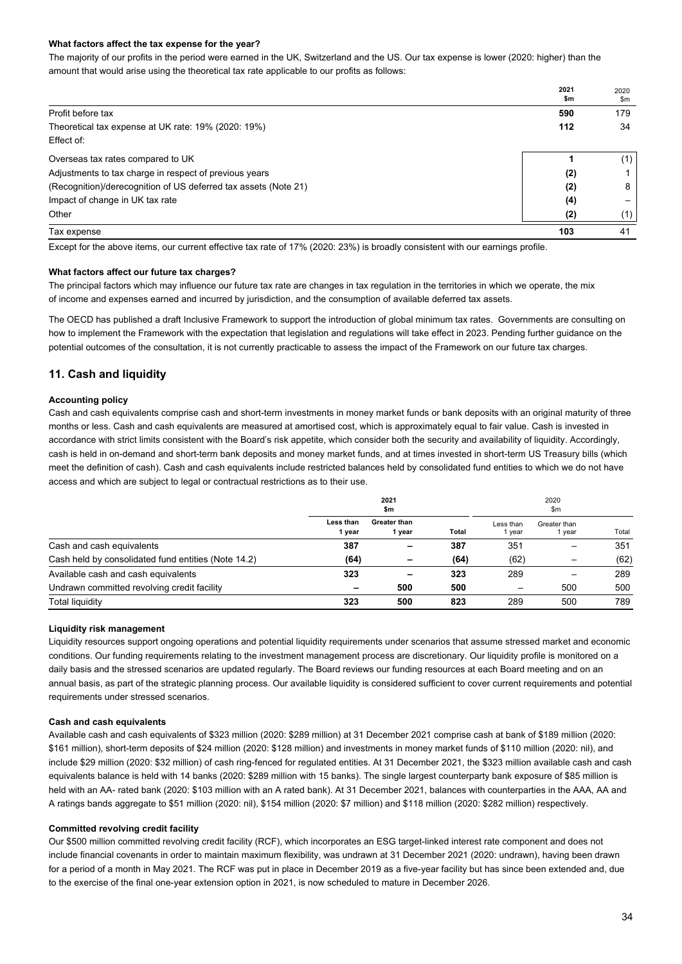#### **What factors affect the tax expense for the year?**

The majority of our profits in the period were earned in the UK, Switzerland and the US. Our tax expense is lower (2020: higher) than the amount that would arise using the theoretical tax rate applicable to our profits as follows:

|                                                                 | 2021<br>\$m | 2020<br>\$m |
|-----------------------------------------------------------------|-------------|-------------|
| Profit before tax                                               | 590         | 179         |
| Theoretical tax expense at UK rate: 19% (2020: 19%)             | 112         | 34          |
| Effect of:                                                      |             |             |
| Overseas tax rates compared to UK                               |             | (1)         |
| Adjustments to tax charge in respect of previous years          | (2)         |             |
| (Recognition)/derecognition of US deferred tax assets (Note 21) | (2)         | 8           |
| Impact of change in UK tax rate                                 | (4)         |             |
| Other                                                           | (2)         | (1)         |
| Tax expense                                                     | 103         | 41          |

Except for the above items, our current effective tax rate of 17% (2020: 23%) is broadly consistent with our earnings profile.

#### **What factors affect our future tax charges?**

The principal factors which may influence our future tax rate are changes in tax regulation in the territories in which we operate, the mix of income and expenses earned and incurred by jurisdiction, and the consumption of available deferred tax assets.

The OECD has published a draft Inclusive Framework to support the introduction of global minimum tax rates. Governments are consulting on how to implement the Framework with the expectation that legislation and regulations will take effect in 2023. Pending further guidance on the potential outcomes of the consultation, it is not currently practicable to assess the impact of the Framework on our future tax charges.

#### **11. Cash and liquidity**

#### **Accounting policy**

Cash and cash equivalents comprise cash and short-term investments in money market funds or bank deposits with an original maturity of three months or less. Cash and cash equivalents are measured at amortised cost, which is approximately equal to fair value. Cash is invested in accordance with strict limits consistent with the Board's risk appetite, which consider both the security and availability of liquidity. Accordingly, cash is held in on-demand and short-term bank deposits and money market funds, and at times invested in short-term US Treasury bills (which meet the definition of cash). Cash and cash equivalents include restricted balances held by consolidated fund entities to which we do not have access and which are subject to legal or contractual restrictions as to their use.

|                                                     | 2021<br>\$m              |                        | 2020<br>$\mathsf{Sm}$ |                   |                        |       |
|-----------------------------------------------------|--------------------------|------------------------|-----------------------|-------------------|------------------------|-------|
|                                                     | Less than<br>1 year      | Greater than<br>1 year | Total                 | Less than<br>year | Greater than<br>1 year | Total |
| Cash and cash equivalents                           | 387                      |                        | 387                   | 351               |                        | 351   |
| Cash held by consolidated fund entities (Note 14.2) | (64)                     | -                      | (64)                  | (62)              |                        | (62)  |
| Available cash and cash equivalents                 | 323                      |                        | 323                   | 289               |                        | 289   |
| Undrawn committed revolving credit facility         | $\overline{\phantom{0}}$ | 500                    | 500                   |                   | 500                    | 500   |
| <b>Total liquidity</b>                              | 323                      | 500                    | 823                   | 289               | 500                    | 789   |

#### **Liquidity risk management**

Liquidity resources support ongoing operations and potential liquidity requirements under scenarios that assume stressed market and economic conditions. Our funding requirements relating to the investment management process are discretionary. Our liquidity profile is monitored on a daily basis and the stressed scenarios are updated regularly. The Board reviews our funding resources at each Board meeting and on an annual basis, as part of the strategic planning process. Our available liquidity is considered sufficient to cover current requirements and potential requirements under stressed scenarios.

#### **Cash and cash equivalents**

Available cash and cash equivalents of \$323 million (2020: \$289 million) at 31 December 2021 comprise cash at bank of \$189 million (2020: \$161 million), short-term deposits of \$24 million (2020: \$128 million) and investments in money market funds of \$110 million (2020: nil), and include \$29 million (2020: \$32 million) of cash ring-fenced for regulated entities. At 31 December 2021, the \$323 million available cash and cash equivalents balance is held with 14 banks (2020: \$289 million with 15 banks). The single largest counterparty bank exposure of \$85 million is held with an AA- rated bank (2020: \$103 million with an A rated bank). At 31 December 2021, balances with counterparties in the AAA, AA and A ratings bands aggregate to \$51 million (2020: nil), \$154 million (2020: \$7 million) and \$118 million (2020: \$282 million) respectively.

#### **Committed revolving credit facility**

Our \$500 million committed revolving credit facility (RCF), which incorporates an ESG target-linked interest rate component and does not include financial covenants in order to maintain maximum flexibility, was undrawn at 31 December 2021 (2020: undrawn), having been drawn for a period of a month in May 2021. The RCF was put in place in December 2019 as a five-year facility but has since been extended and, due to the exercise of the final one-year extension option in 2021, is now scheduled to mature in December 2026.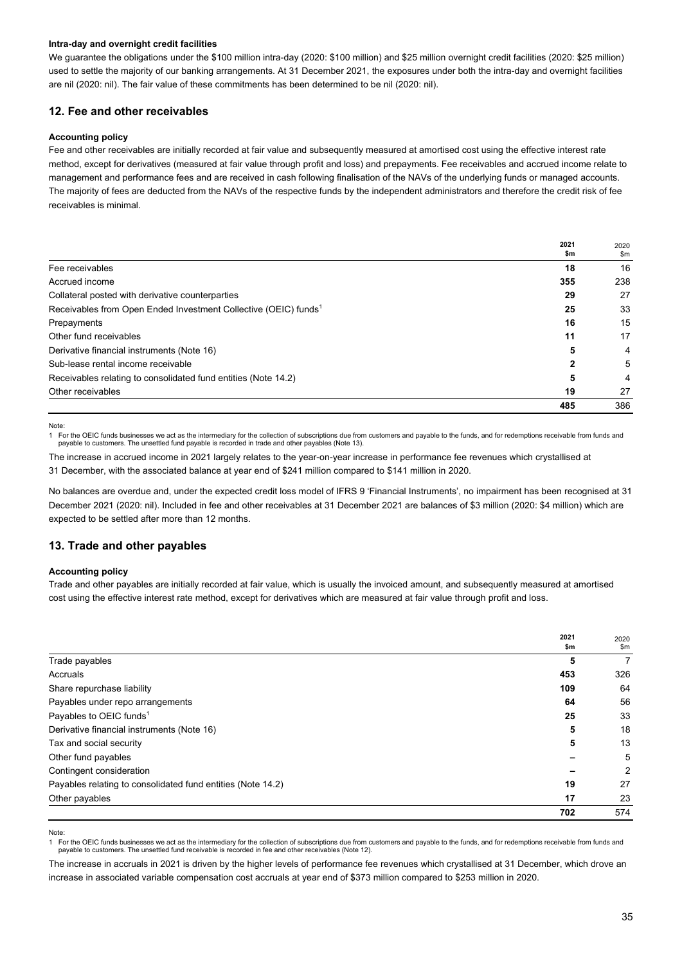#### **Intra-day and overnight credit facilities**

We guarantee the obligations under the \$100 million intra-day (2020: \$100 million) and \$25 million overnight credit facilities (2020: \$25 million) used to settle the majority of our banking arrangements. At 31 December 2021, the exposures under both the intra-day and overnight facilities are nil (2020: nil). The fair value of these commitments has been determined to be nil (2020: nil).

# **12. Fee and other receivables**

#### **Accounting policy**

Fee and other receivables are initially recorded at fair value and subsequently measured at amortised cost using the effective interest rate method, except for derivatives (measured at fair value through profit and loss) and prepayments. Fee receivables and accrued income relate to management and performance fees and are received in cash following finalisation of the NAVs of the underlying funds or managed accounts. The majority of fees are deducted from the NAVs of the respective funds by the independent administrators and therefore the credit risk of fee receivables is minimal.

|                                                                             | 2021<br>\$m | 2020<br>$\mathsf{Sm}$ |
|-----------------------------------------------------------------------------|-------------|-----------------------|
| Fee receivables                                                             | 18          | 16                    |
| Accrued income                                                              | 355         | 238                   |
| Collateral posted with derivative counterparties                            | 29          | 27                    |
| Receivables from Open Ended Investment Collective (OEIC) funds <sup>1</sup> | 25          | 33                    |
| Prepayments                                                                 | 16          | 15                    |
| Other fund receivables                                                      | 11          | 17                    |
| Derivative financial instruments (Note 16)                                  | 5           | 4                     |
| Sub-lease rental income receivable                                          | 2           | 5                     |
| Receivables relating to consolidated fund entities (Note 14.2)              | 5           | 4                     |
| Other receivables                                                           | 19          | 27                    |
|                                                                             | 485         | 386                   |

Note:

1 For the OEIC funds businesses we act as the intermediary for the collection of subscriptions due from customers and payable to the funds, and for redemptions receivable from funds and payable to customers. The unsettled fund payable is recorded in trade and other payables (Note 13).

The increase in accrued income in 2021 largely relates to the year-on-year increase in performance fee revenues which crystallised at 31 December, with the associated balance at year end of \$241 million compared to \$141 million in 2020.

No balances are overdue and, under the expected credit loss model of IFRS 9 'Financial Instruments', no impairment has been recognised at 31 December 2021 (2020: nil). Included in fee and other receivables at 31 December 2021 are balances of \$3 million (2020: \$4 million) which are expected to be settled after more than 12 months.

# **13. Trade and other payables**

#### **Accounting policy**

Trade and other payables are initially recorded at fair value, which is usually the invoiced amount, and subsequently measured at amortised cost using the effective interest rate method, except for derivatives which are measured at fair value through profit and loss.

|                                                             | 2021 | 2020          |
|-------------------------------------------------------------|------|---------------|
|                                                             | \$m  | $\mathsf{Sm}$ |
| Trade payables                                              | 5    | 7             |
| Accruals                                                    | 453  | 326           |
| Share repurchase liability                                  | 109  | 64            |
| Payables under repo arrangements                            | 64   | 56            |
| Payables to OEIC funds <sup>1</sup>                         | 25   | 33            |
| Derivative financial instruments (Note 16)                  | 5    | 18            |
| Tax and social security                                     | 5    | 13            |
| Other fund payables                                         |      | 5             |
| Contingent consideration                                    |      | 2             |
| Payables relating to consolidated fund entities (Note 14.2) | 19   | 27            |
| Other payables                                              | 17   | 23            |
|                                                             | 702  | 574           |

Note:

For the OEIC funds businesses we act as the intermediary for the collection of subscriptions due from customers and payable to the funds, and for redemptions receivable from funds and payable to customers. The unsettled fund receivable is recorded in fee and other receivables (Note 12).

The increase in accruals in 2021 is driven by the higher levels of performance fee revenues which crystallised at 31 December, which drove an increase in associated variable compensation cost accruals at year end of \$373 million compared to \$253 million in 2020.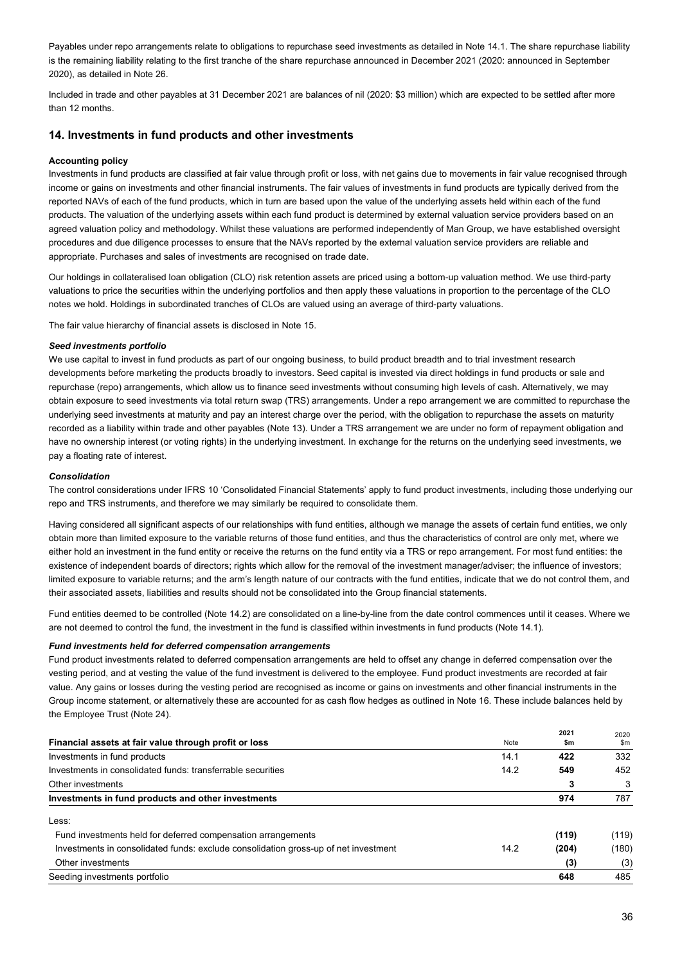Payables under repo arrangements relate to obligations to repurchase seed investments as detailed in Note 14.1. The share repurchase liability is the remaining liability relating to the first tranche of the share repurchase announced in December 2021 (2020: announced in September 2020), as detailed in Note 26.

Included in trade and other payables at 31 December 2021 are balances of nil (2020: \$3 million) which are expected to be settled after more than 12 months.

## **14. Investments in fund products and other investments**

#### **Accounting policy**

Investments in fund products are classified at fair value through profit or loss, with net gains due to movements in fair value recognised through income or gains on investments and other financial instruments. The fair values of investments in fund products are typically derived from the reported NAVs of each of the fund products, which in turn are based upon the value of the underlying assets held within each of the fund products. The valuation of the underlying assets within each fund product is determined by external valuation service providers based on an agreed valuation policy and methodology. Whilst these valuations are performed independently of Man Group, we have established oversight procedures and due diligence processes to ensure that the NAVs reported by the external valuation service providers are reliable and appropriate. Purchases and sales of investments are recognised on trade date.

Our holdings in collateralised loan obligation (CLO) risk retention assets are priced using a bottom-up valuation method. We use third-party valuations to price the securities within the underlying portfolios and then apply these valuations in proportion to the percentage of the CLO notes we hold. Holdings in subordinated tranches of CLOs are valued using an average of third-party valuations.

The fair value hierarchy of financial assets is disclosed in Note 15.

#### *Seed investments portfolio*

We use capital to invest in fund products as part of our ongoing business, to build product breadth and to trial investment research developments before marketing the products broadly to investors. Seed capital is invested via direct holdings in fund products or sale and repurchase (repo) arrangements, which allow us to finance seed investments without consuming high levels of cash. Alternatively, we may obtain exposure to seed investments via total return swap (TRS) arrangements. Under a repo arrangement we are committed to repurchase the underlying seed investments at maturity and pay an interest charge over the period, with the obligation to repurchase the assets on maturity recorded as a liability within trade and other payables (Note 13). Under a TRS arrangement we are under no form of repayment obligation and have no ownership interest (or voting rights) in the underlying investment. In exchange for the returns on the underlying seed investments, we pay a floating rate of interest.

#### *Consolidation*

The control considerations under IFRS 10 'Consolidated Financial Statements' apply to fund product investments, including those underlying our repo and TRS instruments, and therefore we may similarly be required to consolidate them.

Having considered all significant aspects of our relationships with fund entities, although we manage the assets of certain fund entities, we only obtain more than limited exposure to the variable returns of those fund entities, and thus the characteristics of control are only met, where we either hold an investment in the fund entity or receive the returns on the fund entity via a TRS or repo arrangement. For most fund entities: the existence of independent boards of directors; rights which allow for the removal of the investment manager/adviser; the influence of investors; limited exposure to variable returns; and the arm's length nature of our contracts with the fund entities, indicate that we do not control them, and their associated assets, liabilities and results should not be consolidated into the Group financial statements.

Fund entities deemed to be controlled (Note 14.2) are consolidated on a line-by-line from the date control commences until it ceases. Where we are not deemed to control the fund, the investment in the fund is classified within investments in fund products (Note 14.1).

#### *Fund investments held for deferred compensation arrangements*

Fund product investments related to deferred compensation arrangements are held to offset any change in deferred compensation over the vesting period, and at vesting the value of the fund investment is delivered to the employee. Fund product investments are recorded at fair value. Any gains or losses during the vesting period are recognised as income or gains on investments and other financial instruments in the Group income statement, or alternatively these are accounted for as cash flow hedges as outlined in Note 16. These include balances held by the Employee Trust (Note 24).

| Financial assets at fair value through profit or loss                               | Note | 2021<br>\$m | 2020<br>\$m\$ |
|-------------------------------------------------------------------------------------|------|-------------|---------------|
| Investments in fund products                                                        | 14.1 | 422         | 332           |
| Investments in consolidated funds: transferrable securities                         | 14.2 | 549         | 452           |
| Other investments                                                                   |      | 3           | 3             |
| Investments in fund products and other investments                                  |      | 974         | 787           |
| Less:                                                                               |      |             |               |
| Fund investments held for deferred compensation arrangements                        |      | (119)       | (119)         |
| Investments in consolidated funds: exclude consolidation gross-up of net investment | 14.2 | (204)       | (180)         |
| Other investments                                                                   |      | (3)         | (3)           |
| Seeding investments portfolio                                                       |      | 648         | 485           |

**2021**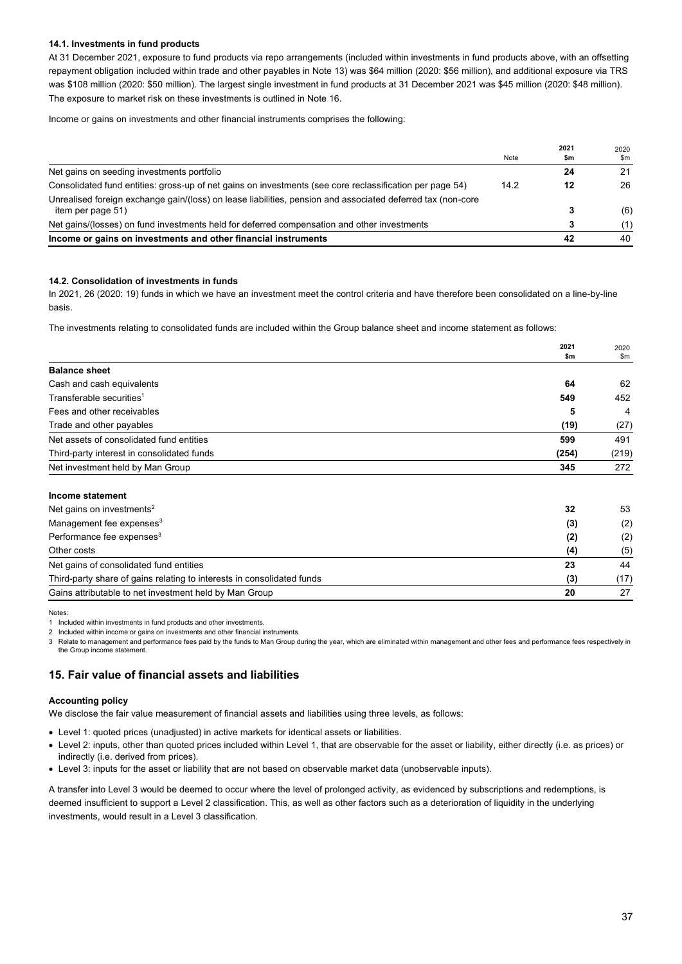#### **14.1. Investments in fund products**

At 31 December 2021, exposure to fund products via repo arrangements (included within investments in fund products above, with an offsetting repayment obligation included within trade and other payables in Note 13) was \$64 million (2020: \$56 million), and additional exposure via TRS was \$108 million (2020: \$50 million). The largest single investment in fund products at 31 December 2021 was \$45 million (2020: \$48 million). The exposure to market risk on these investments is outlined in Note 16.

Income or gains on investments and other financial instruments comprises the following:

|                                                                                                                                  | Note | 2021<br>\$m | 2020<br>\$m |
|----------------------------------------------------------------------------------------------------------------------------------|------|-------------|-------------|
| Net gains on seeding investments portfolio                                                                                       |      | 24          | 21          |
| Consolidated fund entities: gross-up of net gains on investments (see core reclassification per page 54)                         | 14.2 | 12          | 26          |
| Unrealised foreign exchange gain/(loss) on lease liabilities, pension and associated deferred tax (non-core<br>item per page 51) |      |             | (6)         |
| Net gains/(losses) on fund investments held for deferred compensation and other investments                                      |      |             | (1)         |
| Income or gains on investments and other financial instruments                                                                   |      | 42          | 40          |

# **14.2. Consolidation of investments in funds**

In 2021, 26 (2020: 19) funds in which we have an investment meet the control criteria and have therefore been consolidated on a line-by-line basis.

The investments relating to consolidated funds are included within the Group balance sheet and income statement as follows:

|                                            | 2021  | 2020           |
|--------------------------------------------|-------|----------------|
|                                            | \$m   | \$m            |
| <b>Balance sheet</b>                       |       |                |
| Cash and cash equivalents                  | 64    | 62             |
| Transferable securities <sup>1</sup>       | 549   | 452            |
| Fees and other receivables                 | 5     | $\overline{4}$ |
| Trade and other payables                   | (19)  | (27)           |
| Net assets of consolidated fund entities   | 599   | 491            |
| Third-party interest in consolidated funds | (254) | (219)          |
| Net investment held by Man Group           | 345   | 272            |

#### **Income statement**

| Net gains on investments <sup>2</sup>                                  | 32  | 53   |
|------------------------------------------------------------------------|-----|------|
| Management fee expenses <sup>3</sup>                                   | (3) | (2)  |
| Performance fee expenses <sup>3</sup>                                  | (2) | (2)  |
| Other costs                                                            | (4) | (5)  |
| Net gains of consolidated fund entities                                | 23  | 44   |
| Third-party share of gains relating to interests in consolidated funds | (3) | (17) |
| Gains attributable to net investment held by Man Group                 | 20  | 27   |

Notes:

1 Included within investments in fund products and other investments.

2 Included within income or gains on investments and other financial instruments.

3 Relate to management and performance fees paid by the funds to Man Group during the year, which are eliminated within management and other fees and performance fees respectively in the Group income statement.

# **15. Fair value of financial assets and liabilities**

#### **Accounting policy**

We disclose the fair value measurement of financial assets and liabilities using three levels, as follows:

- Level 1: quoted prices (unadjusted) in active markets for identical assets or liabilities.
- Level 2: inputs, other than quoted prices included within Level 1, that are observable for the asset or liability, either directly (i.e. as prices) or indirectly (i.e. derived from prices).
- Level 3: inputs for the asset or liability that are not based on observable market data (unobservable inputs).

A transfer into Level 3 would be deemed to occur where the level of prolonged activity, as evidenced by subscriptions and redemptions, is deemed insufficient to support a Level 2 classification. This, as well as other factors such as a deterioration of liquidity in the underlying investments, would result in a Level 3 classification.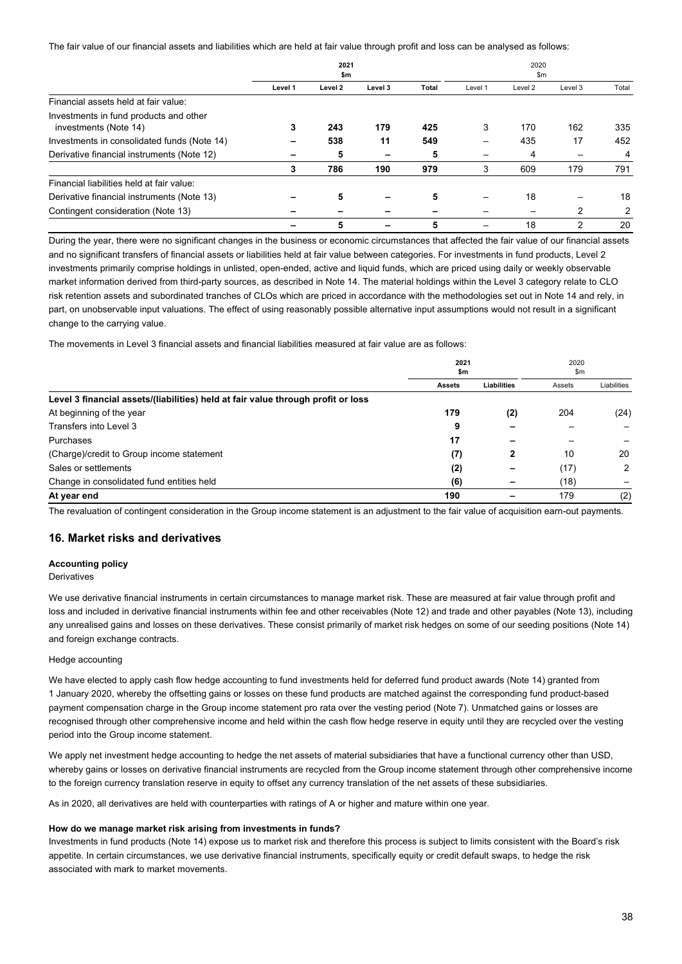The fair value of our financial assets and liabilities which are held at fair value through profit and loss can be analysed as follows:

|                                                                 | 2021<br>\$m |         |         | 2020<br>\$m\$ |         |         |         |       |
|-----------------------------------------------------------------|-------------|---------|---------|---------------|---------|---------|---------|-------|
|                                                                 | Level 1     | Level 2 | Level 3 | Total         | Level 1 | Level 2 | Level 3 | Total |
| Financial assets held at fair value:                            |             |         |         |               |         |         |         |       |
| Investments in fund products and other<br>investments (Note 14) |             | 243     | 179     | 425           | 3       | 170     | 162     | 335   |
| Investments in consolidated funds (Note 14)                     |             | 538     | 11      | 549           |         | 435     | 17      | 452   |
| Derivative financial instruments (Note 12)                      |             | 5       |         | 5             |         | 4       |         | 4     |
|                                                                 | 3           | 786     | 190     | 979           | 3       | 609     | 179     | 791   |
| Financial liabilities held at fair value:                       |             |         |         |               |         |         |         |       |
| Derivative financial instruments (Note 13)                      |             |         |         | 5             |         | 18      |         | 18    |
| Contingent consideration (Note 13)                              |             |         |         |               |         |         | 2       | 2     |
|                                                                 |             |         |         | 5             |         | 18      | 2       | 20    |

During the year, there were no significant changes in the business or economic circumstances that affected the fair value of our financial assets and no significant transfers of financial assets or liabilities held at fair value between categories. For investments in fund products, Level 2 investments primarily comprise holdings in unlisted, open-ended, active and liquid funds, which are priced using daily or weekly observable market information derived from third-party sources, as described in Note 14. The material holdings within the Level 3 category relate to CLO risk retention assets and subordinated tranches of CLOs which are priced in accordance with the methodologies set out in Note 14 and rely, in part, on unobservable input valuations. The effect of using reasonably possible alternative input assumptions would not result in a significant change to the carrying value.

The movements in Level 3 financial assets and financial liabilities measured at fair value are as follows:

|                                                                                  | 2021<br>\$m   |             | 2020<br>$\mathsf{Sm}$ |             |  |
|----------------------------------------------------------------------------------|---------------|-------------|-----------------------|-------------|--|
|                                                                                  | <b>Assets</b> | Liabilities | Assets                | Liabilities |  |
| Level 3 financial assets/(liabilities) held at fair value through profit or loss |               |             |                       |             |  |
| At beginning of the year                                                         | 179           | (2)         | 204                   | (24)        |  |
| Transfers into Level 3                                                           | 9             |             |                       |             |  |
| Purchases                                                                        | 17            | -           |                       |             |  |
| (Charge)/credit to Group income statement                                        | (7)           | 2           | 10                    | 20          |  |
| Sales or settlements                                                             | (2)           | -           | (17)                  | 2           |  |
| Change in consolidated fund entities held                                        | (6)           | -           | (18)                  |             |  |
| At year end                                                                      | 190           |             | 179                   | (2)         |  |

The revaluation of contingent consideration in the Group income statement is an adjustment to the fair value of acquisition earn-out payments.

# **16. Market risks and derivatives**

#### **Accounting policy**

Derivatives

We use derivative financial instruments in certain circumstances to manage market risk. These are measured at fair value through profit and loss and included in derivative financial instruments within fee and other receivables (Note 12) and trade and other payables (Note 13), including any unrealised gains and losses on these derivatives. These consist primarily of market risk hedges on some of our seeding positions (Note 14) and foreign exchange contracts.

#### Hedge accounting

We have elected to apply cash flow hedge accounting to fund investments held for deferred fund product awards (Note 14) granted from 1 January 2020, whereby the offsetting gains or losses on these fund products are matched against the corresponding fund product-based payment compensation charge in the Group income statement pro rata over the vesting period (Note 7). Unmatched gains or losses are recognised through other comprehensive income and held within the cash flow hedge reserve in equity until they are recycled over the vesting period into the Group income statement.

We apply net investment hedge accounting to hedge the net assets of material subsidiaries that have a functional currency other than USD, whereby gains or losses on derivative financial instruments are recycled from the Group income statement through other comprehensive income to the foreign currency translation reserve in equity to offset any currency translation of the net assets of these subsidiaries.

As in 2020, all derivatives are held with counterparties with ratings of A or higher and mature within one year.

#### **How do we manage market risk arising from investments in funds?**

Investments in fund products (Note 14) expose us to market risk and therefore this process is subject to limits consistent with the Board's risk appetite. In certain circumstances, we use derivative financial instruments, specifically equity or credit default swaps, to hedge the risk associated with mark to market movements.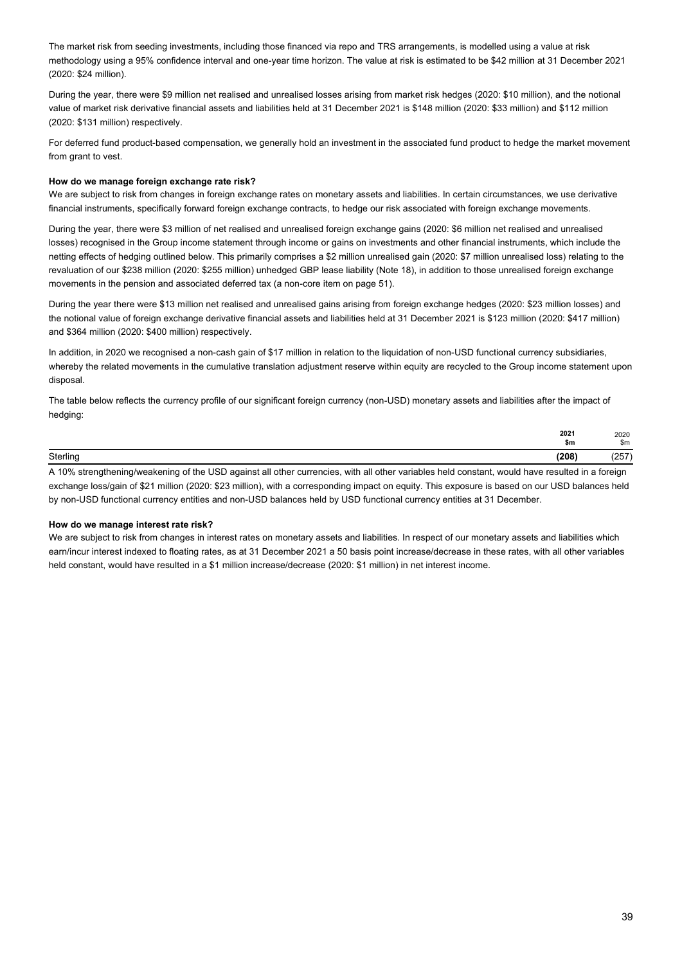The market risk from seeding investments, including those financed via repo and TRS arrangements, is modelled using a value at risk methodology using a 95% confidence interval and one-year time horizon. The value at risk is estimated to be \$42 million at 31 December 2021 (2020: \$24 million).

During the year, there were \$9 million net realised and unrealised losses arising from market risk hedges (2020: \$10 million), and the notional value of market risk derivative financial assets and liabilities held at 31 December 2021 is \$148 million (2020: \$33 million) and \$112 million (2020: \$131 million) respectively.

For deferred fund product-based compensation, we generally hold an investment in the associated fund product to hedge the market movement from grant to vest.

#### **How do we manage foreign exchange rate risk?**

We are subject to risk from changes in foreign exchange rates on monetary assets and liabilities. In certain circumstances, we use derivative financial instruments, specifically forward foreign exchange contracts, to hedge our risk associated with foreign exchange movements.

During the year, there were \$3 million of net realised and unrealised foreign exchange gains (2020: \$6 million net realised and unrealised losses) recognised in the Group income statement through income or gains on investments and other financial instruments, which include the netting effects of hedging outlined below. This primarily comprises a \$2 million unrealised gain (2020: \$7 million unrealised loss) relating to the revaluation of our \$238 million (2020: \$255 million) unhedged GBP lease liability (Note 18), in addition to those unrealised foreign exchange movements in the pension and associated deferred tax (a non-core item on page 51).

During the year there were \$13 million net realised and unrealised gains arising from foreign exchange hedges (2020: \$23 million losses) and the notional value of foreign exchange derivative financial assets and liabilities held at 31 December 2021 is \$123 million (2020: \$417 million) and \$364 million (2020: \$400 million) respectively.

In addition, in 2020 we recognised a non-cash gain of \$17 million in relation to the liquidation of non-USD functional currency subsidiaries, whereby the related movements in the cumulative translation adjustment reserve within equity are recycled to the Group income statement upon disposal.

The table below reflects the currency profile of our significant foreign currency (non-USD) monetary assets and liabilities after the impact of hedging:

|          | 2021<br>\$m | 2020<br>$\mathbf{\mathfrak{e}}$ m<br>، اللب |
|----------|-------------|---------------------------------------------|
| Sterling | (208)       | ∼                                           |

A 10% strengthening/weakening of the USD against all other currencies, with all other variables held constant, would have resulted in a foreign exchange loss/gain of \$21 million (2020: \$23 million), with a corresponding impact on equity. This exposure is based on our USD balances held by non-USD functional currency entities and non-USD balances held by USD functional currency entities at 31 December.

#### **How do we manage interest rate risk?**

We are subject to risk from changes in interest rates on monetary assets and liabilities. In respect of our monetary assets and liabilities which earn/incur interest indexed to floating rates, as at 31 December 2021 a 50 basis point increase/decrease in these rates, with all other variables held constant, would have resulted in a \$1 million increase/decrease (2020: \$1 million) in net interest income.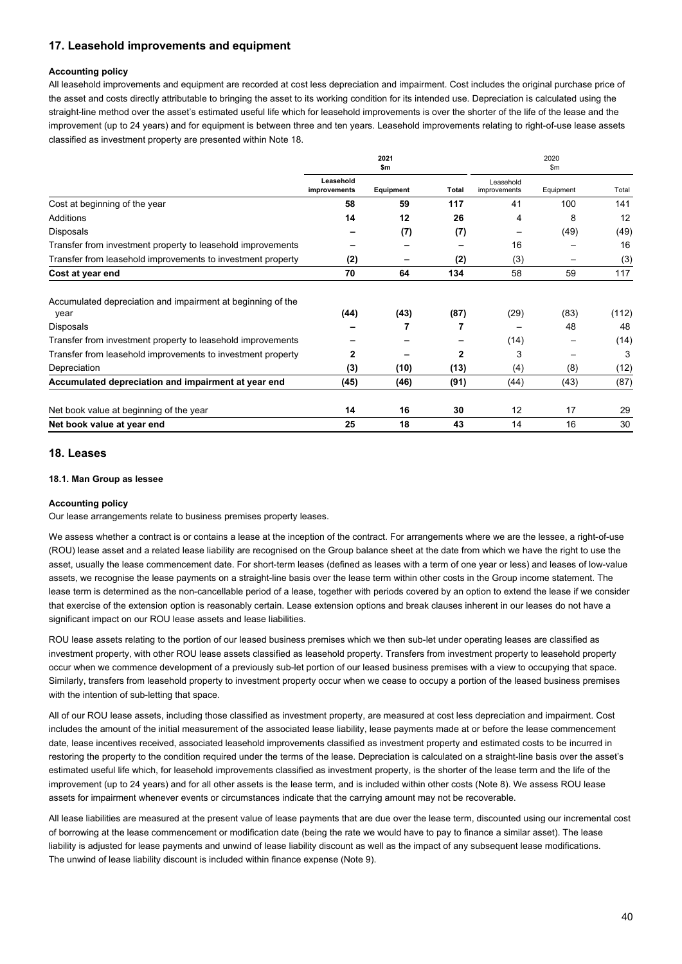# **17. Leasehold improvements and equipment**

#### **Accounting policy**

All leasehold improvements and equipment are recorded at cost less depreciation and impairment. Cost includes the original purchase price of the asset and costs directly attributable to bringing the asset to its working condition for its intended use. Depreciation is calculated using the straight-line method over the asset's estimated useful life which for leasehold improvements is over the shorter of the life of the lease and the improvement (up to 24 years) and for equipment is between three and ten years. Leasehold improvements relating to right-of-use lease assets classified as investment property are presented within Note 18.

|                                                             | 2021<br>\$m               |           |              | 2020<br>\$m\$             |           |       |  |
|-------------------------------------------------------------|---------------------------|-----------|--------------|---------------------------|-----------|-------|--|
|                                                             | Leasehold<br>improvements | Equipment | <b>Total</b> | Leasehold<br>improvements | Equipment | Total |  |
| Cost at beginning of the year                               | 58                        | 59        | 117          | 41                        | 100       | 141   |  |
| Additions                                                   | 14                        | 12        | 26           | 4                         | 8         | 12    |  |
| Disposals                                                   |                           | (7)       | (7)          | —                         | (49)      | (49)  |  |
| Transfer from investment property to leasehold improvements |                           |           |              | 16                        |           | 16    |  |
| Transfer from leasehold improvements to investment property | (2)                       |           | (2)          | (3)                       |           | (3)   |  |
| Cost at year end                                            | 70                        | 64        | 134          | 58                        | 59        | 117   |  |
| Accumulated depreciation and impairment at beginning of the |                           |           |              |                           |           |       |  |
| year                                                        | (44)                      | (43)      | (87)         | (29)                      | (83)      | (112) |  |
| <b>Disposals</b>                                            |                           |           |              |                           | 48        | 48    |  |
| Transfer from investment property to leasehold improvements |                           |           |              | (14)                      |           | (14)  |  |
| Transfer from leasehold improvements to investment property | 2                         |           | $\mathbf{2}$ | 3                         |           | 3     |  |
| Depreciation                                                | (3)                       | (10)      | (13)         | (4)                       | (8)       | (12)  |  |
| Accumulated depreciation and impairment at year end         | (45)                      | (46)      | (91)         | (44)                      | (43)      | (87)  |  |
| Net book value at beginning of the year                     | 14                        | 16        | 30           | 12                        | 17        | 29    |  |
| Net book value at year end                                  | 25                        | 18        | 43           | 14                        | 16        | 30    |  |

### **18. Leases**

#### **18.1. Man Group as lessee**

#### **Accounting policy**

Our lease arrangements relate to business premises property leases.

We assess whether a contract is or contains a lease at the inception of the contract. For arrangements where we are the lessee, a right-of-use (ROU) lease asset and a related lease liability are recognised on the Group balance sheet at the date from which we have the right to use the asset, usually the lease commencement date. For short-term leases (defined as leases with a term of one year or less) and leases of low-value assets, we recognise the lease payments on a straight-line basis over the lease term within other costs in the Group income statement. The lease term is determined as the non-cancellable period of a lease, together with periods covered by an option to extend the lease if we consider that exercise of the extension option is reasonably certain. Lease extension options and break clauses inherent in our leases do not have a significant impact on our ROU lease assets and lease liabilities.

ROU lease assets relating to the portion of our leased business premises which we then sub-let under operating leases are classified as investment property, with other ROU lease assets classified as leasehold property. Transfers from investment property to leasehold property occur when we commence development of a previously sub-let portion of our leased business premises with a view to occupying that space. Similarly, transfers from leasehold property to investment property occur when we cease to occupy a portion of the leased business premises with the intention of sub-letting that space.

All of our ROU lease assets, including those classified as investment property, are measured at cost less depreciation and impairment. Cost includes the amount of the initial measurement of the associated lease liability, lease payments made at or before the lease commencement date, lease incentives received, associated leasehold improvements classified as investment property and estimated costs to be incurred in restoring the property to the condition required under the terms of the lease. Depreciation is calculated on a straight-line basis over the asset's estimated useful life which, for leasehold improvements classified as investment property, is the shorter of the lease term and the life of the improvement (up to 24 years) and for all other assets is the lease term, and is included within other costs (Note 8). We assess ROU lease assets for impairment whenever events or circumstances indicate that the carrying amount may not be recoverable.

All lease liabilities are measured at the present value of lease payments that are due over the lease term, discounted using our incremental cost of borrowing at the lease commencement or modification date (being the rate we would have to pay to finance a similar asset). The lease liability is adjusted for lease payments and unwind of lease liability discount as well as the impact of any subsequent lease modifications. The unwind of lease liability discount is included within finance expense (Note 9).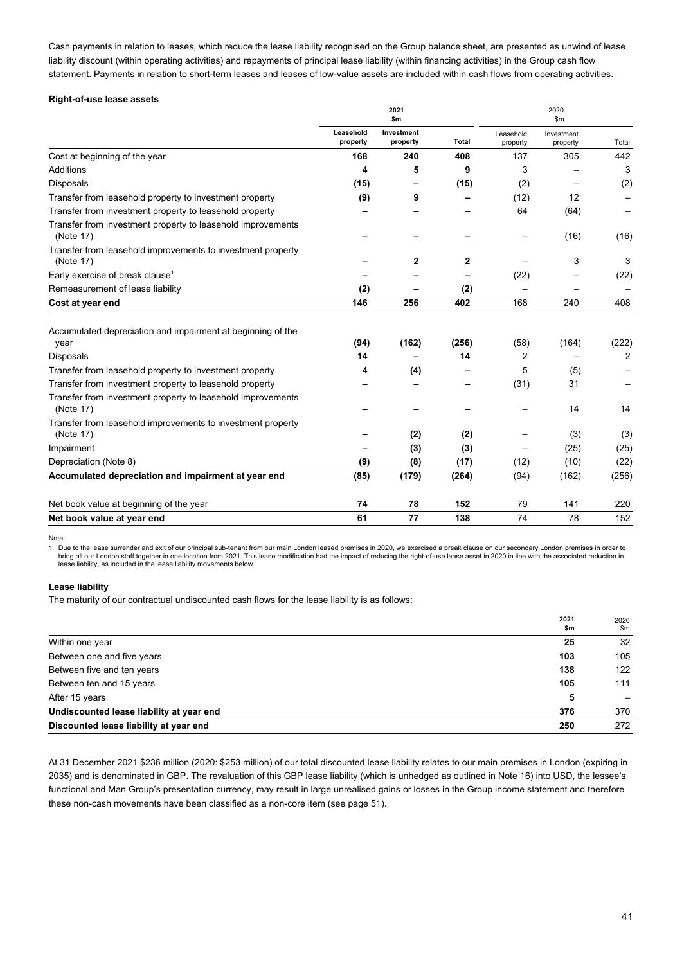Cash payments in relation to leases, which reduce the lease liability recognised on the Group balance sheet, are presented as unwind of lease liability discount (within operating activities) and repayments of principal lease liability (within financing activities) in the Group cash flow statement. Payments in relation to short-term leases and leases of low-value assets are included within cash flows from operating activities.

#### **Right-of-use lease assets**

|                                                                          | 2021<br>\$m           |                        |              | 2020<br>\$m           |                        |       |  |
|--------------------------------------------------------------------------|-----------------------|------------------------|--------------|-----------------------|------------------------|-------|--|
|                                                                          | Leasehold<br>property | Investment<br>property | Total        | Leasehold<br>property | Investment<br>property | Total |  |
| Cost at beginning of the year                                            | 168                   | 240                    | 408          | 137                   | 305                    | 442   |  |
| Additions                                                                | 4                     | 5                      | 9            | 3                     |                        | 3     |  |
| <b>Disposals</b>                                                         | (15)                  |                        | (15)         | (2)                   |                        | (2)   |  |
| Transfer from leasehold property to investment property                  | (9)                   | 9                      |              | (12)                  | 12                     |       |  |
| Transfer from investment property to leasehold property                  |                       |                        |              | 64                    | (64)                   |       |  |
| Transfer from investment property to leasehold improvements<br>(Note 17) |                       |                        |              |                       | (16)                   | (16)  |  |
| Transfer from leasehold improvements to investment property<br>(Note 17) |                       | $\mathbf{2}$           | $\mathbf{2}$ |                       | 3                      | 3     |  |
| Early exercise of break clause <sup>1</sup>                              |                       |                        |              | (22)                  |                        | (22)  |  |
| Remeasurement of lease liability                                         | (2)                   |                        | (2)          |                       | —                      |       |  |
| Cost at year end                                                         | 146                   | 256                    | 402          | 168                   | 240                    | 408   |  |
| Accumulated depreciation and impairment at beginning of the<br>year      | (94)                  | (162)                  | (256)        | (58)                  | (164)                  | (222) |  |
| <b>Disposals</b>                                                         | 14                    |                        | 14           | 2                     |                        | 2     |  |
| Transfer from leasehold property to investment property                  | 4                     | (4)                    |              | 5                     | (5)                    |       |  |
| Transfer from investment property to leasehold property                  |                       |                        |              | (31)                  | 31                     |       |  |
| Transfer from investment property to leasehold improvements<br>(Note 17) |                       |                        |              |                       | 14                     | 14    |  |
| Transfer from leasehold improvements to investment property<br>(Note 17) |                       | (2)                    | (2)          |                       | (3)                    | (3)   |  |
| Impairment                                                               |                       | (3)                    | (3)          |                       | (25)                   | (25)  |  |
| Depreciation (Note 8)                                                    | (9)                   | (8)                    | (17)         | (12)                  | (10)                   | (22)  |  |
| Accumulated depreciation and impairment at year end                      | (85)                  | (179)                  | (264)        | (94)                  | (162)                  | (256) |  |
| Net book value at beginning of the year                                  | 74                    | 78                     | 152          | 79                    | 141                    | 220   |  |
| Net book value at year end                                               | 61                    | 77                     | 138          | 74                    | 78                     | 152   |  |

Note:

1 Due to the lease surrender and exit of our principal sub-tenant from our main London leased premises in 2020, we exercised a break clause on our secondary London premises in order to bring all our London staff together in one location from 2021. This lease modification had the impact of reducing the right-of-use lease asset in 2020 in line with the associated reduction in lease liability, as included in the lease liability movements below.

#### **Lease liability**

The maturity of our contractual undiscounted cash flows for the lease liability is as follows:

|                                          | 2021<br>\$m | 2020<br>$\mathsf{Sm}$ |
|------------------------------------------|-------------|-----------------------|
| Within one year                          | 25          | 32                    |
| Between one and five years               | 103         | 105                   |
| Between five and ten years               | 138         | 122                   |
| Between ten and 15 years                 | 105         | 111                   |
| After 15 years                           | 5           |                       |
| Undiscounted lease liability at year end | 376         | 370                   |
| Discounted lease liability at year end   | 250         | 272                   |

At 31 December 2021 \$236 million (2020: \$253 million) of our total discounted lease liability relates to our main premises in London (expiring in 2035) and is denominated in GBP. The revaluation of this GBP lease liability (which is unhedged as outlined in Note 16) into USD, the lessee's functional and Man Group's presentation currency, may result in large unrealised gains or losses in the Group income statement and therefore these non-cash movements have been classified as a non-core item (see page 51).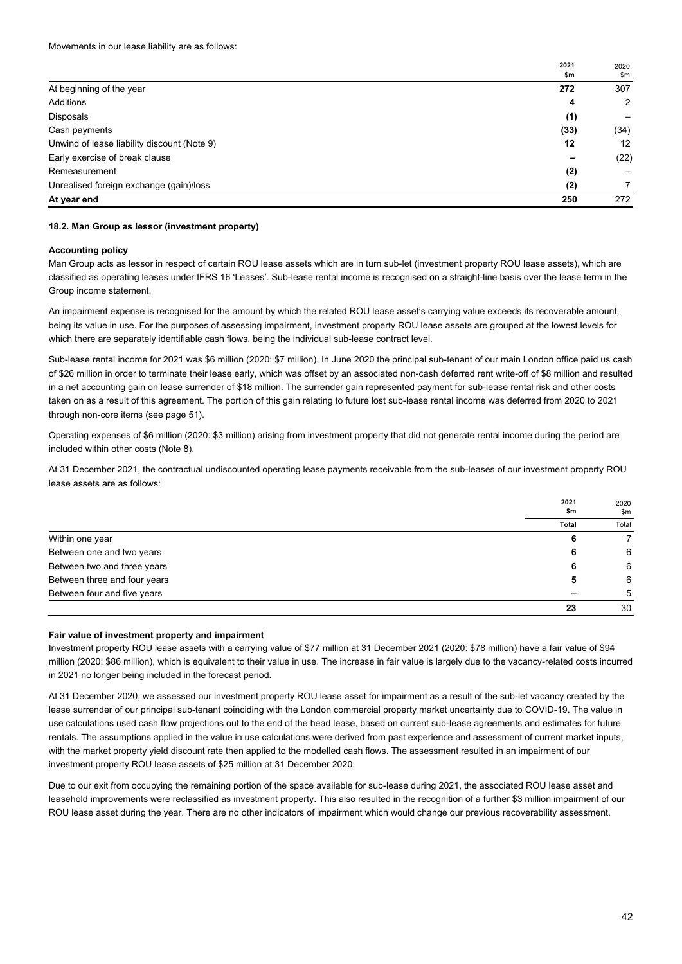Movements in our lease liability are as follows:

|                                             | 2021<br>\$m | 2020<br>$\mathsf{S}$ m |
|---------------------------------------------|-------------|------------------------|
| At beginning of the year                    | 272         | 307                    |
| Additions                                   | 4           | 2                      |
| Disposals                                   | (1)         |                        |
| Cash payments                               | (33)        | (34)                   |
| Unwind of lease liability discount (Note 9) | 12          | 12                     |
| Early exercise of break clause              |             | (22)                   |
| Remeasurement                               | (2)         |                        |
| Unrealised foreign exchange (gain)/loss     | (2)         | 7                      |
| At year end                                 | 250         | 272                    |

#### **18.2. Man Group as lessor (investment property)**

#### **Accounting policy**

Man Group acts as lessor in respect of certain ROU lease assets which are in turn sub-let (investment property ROU lease assets), which are classified as operating leases under IFRS 16 'Leases'. Sub-lease rental income is recognised on a straight-line basis over the lease term in the Group income statement.

An impairment expense is recognised for the amount by which the related ROU lease asset's carrying value exceeds its recoverable amount, being its value in use. For the purposes of assessing impairment, investment property ROU lease assets are grouped at the lowest levels for which there are separately identifiable cash flows, being the individual sub-lease contract level.

Sub-lease rental income for 2021 was \$6 million (2020: \$7 million). In June 2020 the principal sub-tenant of our main London office paid us cash of \$26 million in order to terminate their lease early, which was offset by an associated non-cash deferred rent write-off of \$8 million and resulted in a net accounting gain on lease surrender of \$18 million. The surrender gain represented payment for sub-lease rental risk and other costs taken on as a result of this agreement. The portion of this gain relating to future lost sub-lease rental income was deferred from 2020 to 2021 through non-core items (see page 51).

Operating expenses of \$6 million (2020: \$3 million) arising from investment property that did not generate rental income during the period are included within other costs (Note 8).

At 31 December 2021, the contractual undiscounted operating lease payments receivable from the sub-leases of our investment property ROU lease assets are as follows:

|                              | 2021<br>\$m | 2020<br>\$m |
|------------------------------|-------------|-------------|
|                              | Total       | Total       |
| Within one year              |             |             |
| Between one and two years    | O           | 6           |
| Between two and three years  | 6           | 6           |
| Between three and four years | 5           | 6           |
| Between four and five years  |             | 5           |
|                              | 23          | 30          |

#### **Fair value of investment property and impairment**

Investment property ROU lease assets with a carrying value of \$77 million at 31 December 2021 (2020: \$78 million) have a fair value of \$94 million (2020: \$86 million), which is equivalent to their value in use. The increase in fair value is largely due to the vacancy-related costs incurred in 2021 no longer being included in the forecast period.

At 31 December 2020, we assessed our investment property ROU lease asset for impairment as a result of the sub-let vacancy created by the lease surrender of our principal sub-tenant coinciding with the London commercial property market uncertainty due to COVID-19. The value in use calculations used cash flow projections out to the end of the head lease, based on current sub-lease agreements and estimates for future rentals. The assumptions applied in the value in use calculations were derived from past experience and assessment of current market inputs, with the market property yield discount rate then applied to the modelled cash flows. The assessment resulted in an impairment of our investment property ROU lease assets of \$25 million at 31 December 2020.

Due to our exit from occupying the remaining portion of the space available for sub-lease during 2021, the associated ROU lease asset and leasehold improvements were reclassified as investment property. This also resulted in the recognition of a further \$3 million impairment of our ROU lease asset during the year. There are no other indicators of impairment which would change our previous recoverability assessment.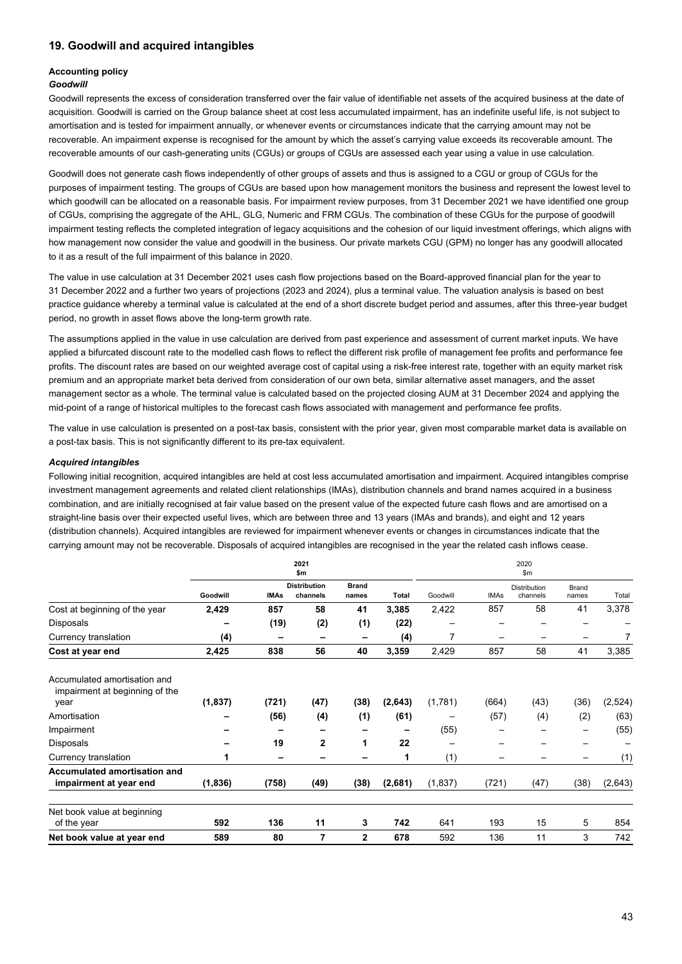# **19. Goodwill and acquired intangibles**

# **Accounting policy**

# *Goodwill*

Goodwill represents the excess of consideration transferred over the fair value of identifiable net assets of the acquired business at the date of acquisition. Goodwill is carried on the Group balance sheet at cost less accumulated impairment, has an indefinite useful life, is not subject to amortisation and is tested for impairment annually, or whenever events or circumstances indicate that the carrying amount may not be recoverable. An impairment expense is recognised for the amount by which the asset's carrying value exceeds its recoverable amount. The recoverable amounts of our cash-generating units (CGUs) or groups of CGUs are assessed each year using a value in use calculation.

Goodwill does not generate cash flows independently of other groups of assets and thus is assigned to a CGU or group of CGUs for the purposes of impairment testing. The groups of CGUs are based upon how management monitors the business and represent the lowest level to which goodwill can be allocated on a reasonable basis. For impairment review purposes, from 31 December 2021 we have identified one group of CGUs, comprising the aggregate of the AHL, GLG, Numeric and FRM CGUs. The combination of these CGUs for the purpose of goodwill impairment testing reflects the completed integration of legacy acquisitions and the cohesion of our liquid investment offerings, which aligns with how management now consider the value and goodwill in the business. Our private markets CGU (GPM) no longer has any goodwill allocated to it as a result of the full impairment of this balance in 2020.

The value in use calculation at 31 December 2021 uses cash flow projections based on the Board-approved financial plan for the year to 31 December 2022 and a further two years of projections (2023 and 2024), plus a terminal value. The valuation analysis is based on best practice guidance whereby a terminal value is calculated at the end of a short discrete budget period and assumes, after this three-year budget period, no growth in asset flows above the long-term growth rate.

The assumptions applied in the value in use calculation are derived from past experience and assessment of current market inputs. We have applied a bifurcated discount rate to the modelled cash flows to reflect the different risk profile of management fee profits and performance fee profits. The discount rates are based on our weighted average cost of capital using a risk-free interest rate, together with an equity market risk premium and an appropriate market beta derived from consideration of our own beta, similar alternative asset managers, and the asset management sector as a whole. The terminal value is calculated based on the projected closing AUM at 31 December 2024 and applying the mid-point of a range of historical multiples to the forecast cash flows associated with management and performance fee profits.

The value in use calculation is presented on a post-tax basis, consistent with the prior year, given most comparable market data is available on a post-tax basis. This is not significantly different to its pre-tax equivalent.

#### *Acquired intangibles*

Following initial recognition, acquired intangibles are held at cost less accumulated amortisation and impairment. Acquired intangibles comprise investment management agreements and related client relationships (IMAs), distribution channels and brand names acquired in a business combination, and are initially recognised at fair value based on the present value of the expected future cash flows and are amortised on a straight-line basis over their expected useful lives, which are between three and 13 years (IMAs and brands), and eight and 12 years (distribution channels). Acquired intangibles are reviewed for impairment whenever events or changes in circumstances indicate that the carrying amount may not be recoverable. Disposals of acquired intangibles are recognised in the year the related cash inflows cease.

|                                                                | 2021<br>\$m |             |                                 |                       |              | 2020<br>\$m\$ |             |                                 |                       |         |
|----------------------------------------------------------------|-------------|-------------|---------------------------------|-----------------------|--------------|---------------|-------------|---------------------------------|-----------------------|---------|
|                                                                | Goodwill    | <b>IMAs</b> | <b>Distribution</b><br>channels | <b>Brand</b><br>names | <b>Total</b> | Goodwill      | <b>IMAs</b> | <b>Distribution</b><br>channels | <b>Brand</b><br>names | Total   |
| Cost at beginning of the year                                  | 2,429       | 857         | 58                              | 41                    | 3,385        | 2,422         | 857         | 58                              | 41                    | 3,378   |
| Disposals                                                      |             | (19)        | (2)                             | (1)                   | (22)         |               |             |                                 |                       |         |
| Currency translation                                           | (4)         | -           | -                               | -                     | (4)          | 7             |             |                                 |                       | 7       |
| Cost at year end                                               | 2,425       | 838         | 56                              | 40                    | 3,359        | 2,429         | 857         | 58                              | 41                    | 3,385   |
| Accumulated amortisation and<br>impairment at beginning of the |             |             |                                 |                       |              |               |             |                                 |                       |         |
| year                                                           | (1, 837)    | (721)       | (47)                            | (38)                  | (2,643)      | (1,781)       | (664)       | (43)                            | (36)                  | (2,524) |
| Amortisation                                                   |             | (56)        | (4)                             | (1)                   | (61)         |               | (57)        | (4)                             | (2)                   | (63)    |
| Impairment                                                     |             |             |                                 |                       |              | (55)          |             |                                 | -                     | (55)    |
| Disposals                                                      |             | 19          | 2                               | 1                     | 22           |               |             |                                 |                       |         |
| Currency translation                                           | 1           |             |                                 |                       | 1            | (1)           |             |                                 |                       | (1)     |
| <b>Accumulated amortisation and</b><br>impairment at year end  | (1,836)     | (758)       | (49)                            | (38)                  | (2,681)      | (1,837)       | (721)       | (47)                            | (38)                  | (2,643) |
| Net book value at beginning                                    |             |             |                                 |                       |              |               |             |                                 |                       |         |
| of the year                                                    | 592         | 136         | 11                              | 3                     | 742          | 641           | 193         | 15                              | 5                     | 854     |
| Net book value at year end                                     | 589         | 80          | 7                               | $\overline{2}$        | 678          | 592           | 136         | 11                              | 3                     | 742     |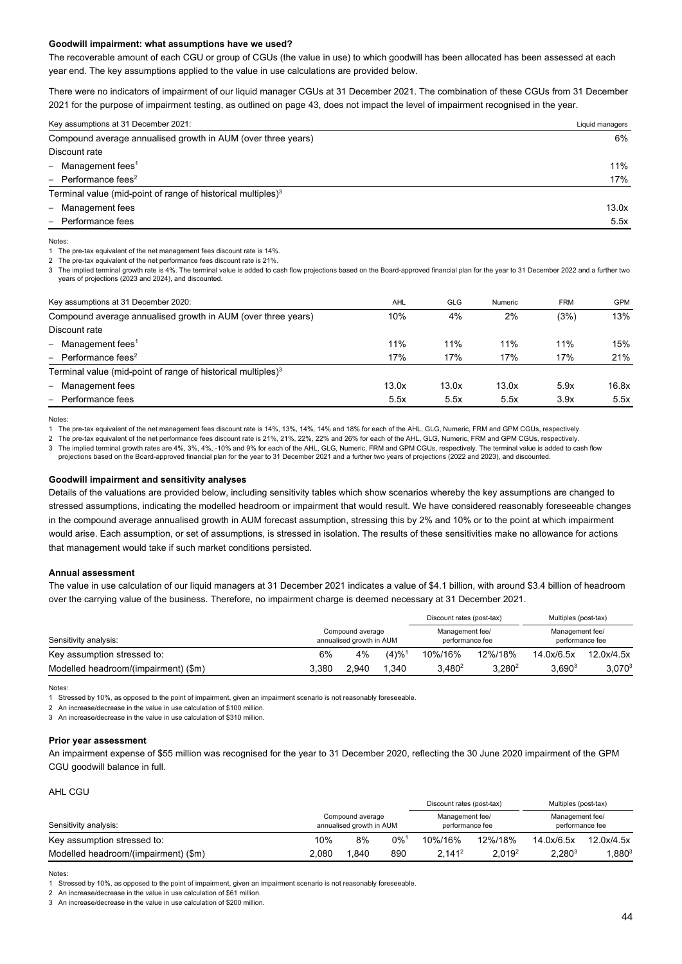#### **Goodwill impairment: what assumptions have we used?**

The recoverable amount of each CGU or group of CGUs (the value in use) to which goodwill has been allocated has been assessed at each year end. The key assumptions applied to the value in use calculations are provided below.

There were no indicators of impairment of our liquid manager CGUs at 31 December 2021. The combination of these CGUs from 31 December 2021 for the purpose of impairment testing, as outlined on page 43, does not impact the level of impairment recognised in the year.

| Key assumptions at 31 December 2021:                            | Liquid managers |
|-----------------------------------------------------------------|-----------------|
| Compound average annualised growth in AUM (over three years)    | 6%              |
| Discount rate                                                   |                 |
| $-$ Management fees <sup>1</sup>                                | 11%             |
| $-$ Performance fees <sup>2</sup>                               | 17%             |
| Terminal value (mid-point of range of historical multiples) $3$ |                 |
| - Management fees                                               | 13.0x           |
| - Performance fees                                              | 5.5x            |
|                                                                 |                 |

Notes:

1 The pre-tax equivalent of the net management fees discount rate is 14%.

2 The pre-tax equivalent of the net performance fees discount rate is 21%.

3 The implied terminal growth rate is 4%. The terminal value is added to cash flow projections based on the Board-approved financial plan for the year to 31 December 2022 and a further two years of projections (2023 and 2024), and discounted.

| Key assumptions at 31 December 2020:                            | <b>AHL</b> | <b>GLG</b> | Numeric | <b>FRM</b> | <b>GPM</b> |
|-----------------------------------------------------------------|------------|------------|---------|------------|------------|
| Compound average annualised growth in AUM (over three years)    | 10%        | 4%         | 2%      | (3%)       | 13%        |
| Discount rate                                                   |            |            |         |            |            |
| $-$ Management fees <sup>1</sup>                                | 11%        | 11%        | 11%     | 11%        | 15%        |
| - Performance fees <sup>2</sup>                                 | 17%        | 17%        | 17%     | 17%        | 21%        |
| Terminal value (mid-point of range of historical multiples) $3$ |            |            |         |            |            |
| Management fees<br>$\qquad \qquad -$                            | 13.0x      | 13.0x      | 13.0x   | 5.9x       | 16.8x      |
| - Performance fees                                              | 5.5x       | 5.5x       | 5.5x    | 3.9x       | 5.5x       |

Notes:

1 The pre-tax equivalent of the net management fees discount rate is 14%, 13%, 14%, 14% and 18% for each of the AHL, GLG, Numeric, FRM and GPM CGUs, respectively.

2 The pre-tax equivalent of the net performance fees discount rate is 21%, 21%, 22%, 22% and 26% for each of the AHL, GLG, Numeric, FRM and GPM CGUs, respectively.

3 The implied terminal growth rates are 4%, 3%, 4%, -10% and 9% for each of the AHL, GLG, Numeric, FRM and GPM CGUs, respectively. The terminal value is added to cash flow projections based on the Board-approved financial plan for the year to 31 December 2021 and a further two years of projections (2022 and 2023), and discounted.

#### **Goodwill impairment and sensitivity analyses**

Details of the valuations are provided below, including sensitivity tables which show scenarios whereby the key assumptions are changed to stressed assumptions, indicating the modelled headroom or impairment that would result. We have considered reasonably foreseeable changes in the compound average annualised growth in AUM forecast assumption, stressing this by 2% and 10% or to the point at which impairment would arise. Each assumption, or set of assumptions, is stressed in isolation. The results of these sensitivities make no allowance for actions that management would take if such market conditions persisted.

#### **Annual assessment**

The value in use calculation of our liquid managers at 31 December 2021 indicates a value of \$4.1 billion, with around \$3.4 billion of headroom over the carrying value of the business. Therefore, no impairment charge is deemed necessary at 31 December 2021.

|                                      |                                              |       |                                    | Discount rates (post-tax) |                                    | Multiples (post-tax) |            |  |
|--------------------------------------|----------------------------------------------|-------|------------------------------------|---------------------------|------------------------------------|----------------------|------------|--|
| Sensitivity analysis:                | Compound average<br>annualised growth in AUM |       | Management fee/<br>performance fee |                           | Management fee/<br>performance fee |                      |            |  |
| Key assumption stressed to:          | 6%                                           | 4%    | $(4) \%$ <sup>1</sup>              | 10%/16%                   | 12%/18%                            | 14.0x/6.5x           | 12.0x/4.5x |  |
| Modelled headroom/(impairment) (\$m) | 3.380                                        | 2.940 | 1.340                              | 3.480 <sup>2</sup>        | 3.280 <sup>2</sup>                 | 3.690 <sup>3</sup>   | $3,070^3$  |  |

Notes:

1 Stressed by 10%, as opposed to the point of impairment, given an impairment scenario is not reasonably foreseeable.

2 An increase/decrease in the value in use calculation of \$100 million.

3 An increase/decrease in the value in use calculation of \$310 million.

#### **Prior year assessment**

An impairment expense of \$55 million was recognised for the year to 31 December 2020, reflecting the 30 June 2020 impairment of the GPM CGU goodwill balance in full.

AHL CGU

|                                      |       |                                              |                    | Discount rates (post-tax) |                                    | Multiples (post-tax) |                                    |  |
|--------------------------------------|-------|----------------------------------------------|--------------------|---------------------------|------------------------------------|----------------------|------------------------------------|--|
| Sensitivity analysis:                |       | Compound average<br>annualised growth in AUM |                    |                           | Management fee/<br>performance fee |                      | Management fee/<br>performance fee |  |
| Key assumption stressed to:          | 10%   | 8%                                           | $0\%$ <sup>1</sup> | 10%/16%                   | 12%/18%                            | 14.0x/6.5x           | 12.0x/4.5x                         |  |
| Modelled headroom/(impairment) (\$m) | 2.080 | .840                                         | 890                | 2.141 <sup>2</sup>        | 2.019 <sup>2</sup>                 | 2.280 <sup>3</sup>   | .880 <sup>3</sup>                  |  |

Notes:

1 Stressed by 10%, as opposed to the point of impairment, given an impairment scenario is not reasonably foreseeable.

2 An increase/decrease in the value in use calculation of \$61 million.

3 An increase/decrease in the value in use calculation of \$200 million.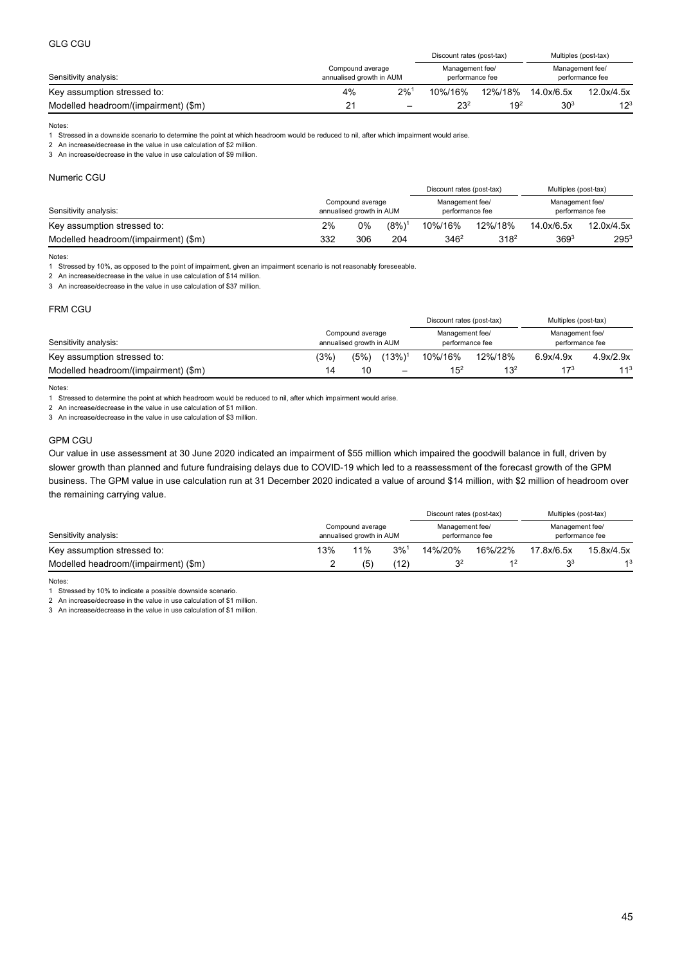|                                      |    |                                              | Discount rates (post-tax) |                                    | Multiples (post-tax)               |            |
|--------------------------------------|----|----------------------------------------------|---------------------------|------------------------------------|------------------------------------|------------|
| Sensitivity analysis:                |    | Compound average<br>annualised growth in AUM |                           | Management fee/<br>performance fee | Management fee/<br>performance fee |            |
| Key assumption stressed to:          | 4% | $2\%$ <sup>1</sup>                           | 10%/16%                   | 12%/18%                            | 14.0x/6.5x                         | 12.0x/4.5x |
| Modelled headroom/(impairment) (\$m) | 21 |                                              | 232                       | 1Q <sup>2</sup>                    | 30 <sup>3</sup>                    | $12^{3}$   |

Notes:

1 Stressed in a downside scenario to determine the point at which headroom would be reduced to nil, after which impairment would arise.

2 An increase/decrease in the value in use calculation of \$2 million.

3 An increase/decrease in the value in use calculation of \$9 million.

#### Numeric CGU

| Sensitivity analysis:                |     |                                              |      | Discount rates (post-tax) |                                    | Multiples (post-tax) |                                    |
|--------------------------------------|-----|----------------------------------------------|------|---------------------------|------------------------------------|----------------------|------------------------------------|
|                                      |     | Compound average<br>annualised growth in AUM |      |                           | Management fee/<br>performance fee |                      | Management fee/<br>performance fee |
| Key assumption stressed to:          | 2%  | 0%                                           | (8%) | 10%/16%                   | 12%/18%                            | 14.0x/6.5x           | 12.0x/4.5x                         |
| Modelled headroom/(impairment) (\$m) | 332 | 306                                          | 204  | $346^2$                   | $318^2$                            | 369 <sup>3</sup>     | $295^3$                            |

Notes:

1 Stressed by 10%, as opposed to the point of impairment, given an impairment scenario is not reasonably foreseeable.

2 An increase/decrease in the value in use calculation of \$14 million.

3 An increase/decrease in the value in use calculation of \$37 million.

## FRM CGU

|                                      |                                              |      |                    | Discount rates (post-tax)          |          | Multiples (post-tax)               |                 |
|--------------------------------------|----------------------------------------------|------|--------------------|------------------------------------|----------|------------------------------------|-----------------|
| Sensitivity analysis:                | Compound average<br>annualised growth in AUM |      |                    | Management fee/<br>performance fee |          | Management fee/<br>performance fee |                 |
| Key assumption stressed to:          | (3%)                                         | (5%) | (13%) <sup>1</sup> | 10%/16%                            | 12%/18%  | 6.9x/4.9x                          | 4.9x/2.9x       |
| Modelled headroom/(impairment) (\$m) | 14                                           | 10   |                    | $15^{2}$                           | $13^{2}$ | 17 <sup>3</sup>                    | 11 <sup>3</sup> |

Notes:

1 Stressed to determine the point at which headroom would be reduced to nil, after which impairment would arise.

2 An increase/decrease in the value in use calculation of \$1 million.

3 An increase/decrease in the value in use calculation of \$3 million.

#### GPM CGU

Our value in use assessment at 30 June 2020 indicated an impairment of \$55 million which impaired the goodwill balance in full, driven by slower growth than planned and future fundraising delays due to COVID-19 which led to a reassessment of the forecast growth of the GPM business. The GPM value in use calculation run at 31 December 2020 indicated a value of around \$14 million, with \$2 million of headroom over the remaining carrying value.

|                                      |     |                                              |      | Discount rates (post-tax) |                                    | Multiples (post-tax) |                                    |  |
|--------------------------------------|-----|----------------------------------------------|------|---------------------------|------------------------------------|----------------------|------------------------------------|--|
| Sensitivity analysis:                |     | Compound average<br>annualised growth in AUM |      |                           | Management fee/<br>performance fee |                      | Management fee/<br>performance fee |  |
| Key assumption stressed to:          | 13% | 11%                                          | 3%   | 14%/20%                   | 16%/22%                            | 17.8x/6.5x           | 15.8x/4.5x                         |  |
| Modelled headroom/(impairment) (\$m) |     |                                              | (12) | $2^2$                     |                                    | 2 <sup>3</sup>       | 1 <sup>3</sup>                     |  |

Notes:

1 Stressed by 10% to indicate a possible downside scenario.

2 An increase/decrease in the value in use calculation of \$1 million.

3 An increase/decrease in the value in use calculation of \$1 million.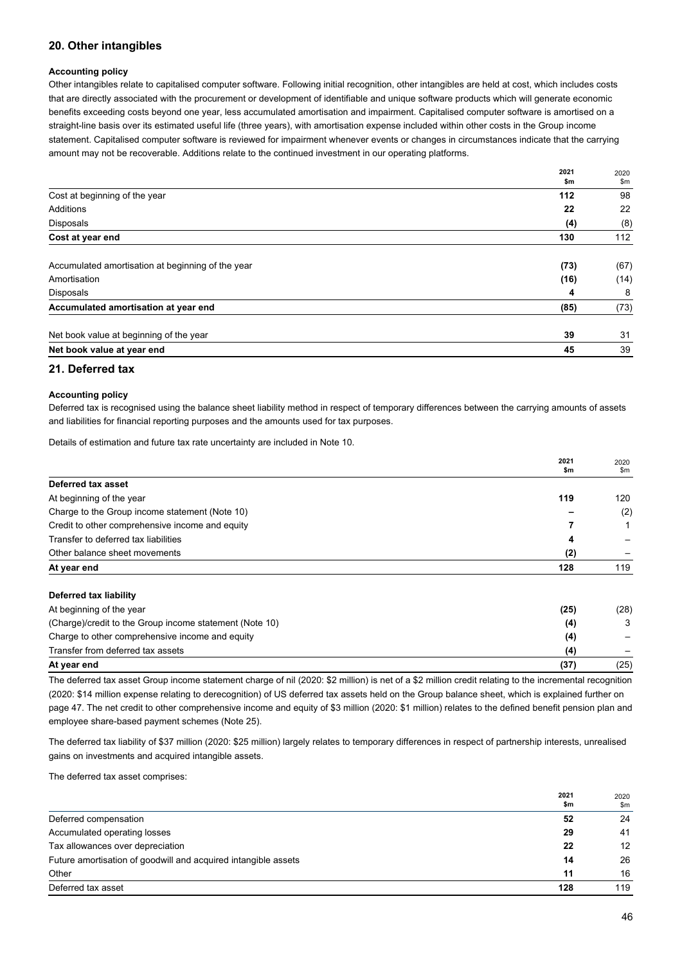# **20. Other intangibles**

#### **Accounting policy**

Other intangibles relate to capitalised computer software. Following initial recognition, other intangibles are held at cost, which includes costs that are directly associated with the procurement or development of identifiable and unique software products which will generate economic benefits exceeding costs beyond one year, less accumulated amortisation and impairment. Capitalised computer software is amortised on a straight-line basis over its estimated useful life (three years), with amortisation expense included within other costs in the Group income statement. Capitalised computer software is reviewed for impairment whenever events or changes in circumstances indicate that the carrying amount may not be recoverable. Additions relate to the continued investment in our operating platforms.

|                                                   | 2021<br>\$m | 2020<br>$\mathsf{S}$ m |
|---------------------------------------------------|-------------|------------------------|
| Cost at beginning of the year                     | 112         | 98                     |
| Additions                                         | 22          | 22                     |
| Disposals                                         | (4)         | (8)                    |
| Cost at year end                                  | 130         | 112                    |
| Accumulated amortisation at beginning of the year | (73)        | (67)                   |
| Amortisation                                      | (16)        | (14)                   |
| Disposals                                         | 4           | 8                      |
| Accumulated amortisation at year end              | (85)        | (73)                   |
| Net book value at beginning of the year           | 39          | 31                     |
| Net book value at year end                        | 45          | 39                     |
|                                                   |             |                        |

# **21. Deferred tax**

## **Accounting policy**

Deferred tax is recognised using the balance sheet liability method in respect of temporary differences between the carrying amounts of assets and liabilities for financial reporting purposes and the amounts used for tax purposes.

Details of estimation and future tax rate uncertainty are included in Note 10.

| Transfer to deferred tax liabilities<br>Other balance sheet movements | 4<br>(2)    |             |
|-----------------------------------------------------------------------|-------------|-------------|
| Credit to other comprehensive income and equity                       |             | (2)         |
| Charge to the Group income statement (Note 10)                        |             |             |
| At beginning of the year                                              | 119         | 120         |
| Deferred tax asset                                                    |             |             |
|                                                                       | 2021<br>\$m | 2020<br>\$m |

### **Deferred tax liability**

| At year end                                             | (37) | (25) |
|---------------------------------------------------------|------|------|
| Transfer from deferred tax assets                       | (4)  |      |
| Charge to other comprehensive income and equity         | (4)  |      |
| (Charge)/credit to the Group income statement (Note 10) | (4)  |      |
| At beginning of the year                                | (25) | (28) |
|                                                         |      |      |

The deferred tax asset Group income statement charge of nil (2020: \$2 million) is net of a \$2 million credit relating to the incremental recognition (2020: \$14 million expense relating to derecognition) of US deferred tax assets held on the Group balance sheet, which is explained further on page 47. The net credit to other comprehensive income and equity of \$3 million (2020: \$1 million) relates to the defined benefit pension plan and employee share-based payment schemes (Note 25).

The deferred tax liability of \$37 million (2020: \$25 million) largely relates to temporary differences in respect of partnership interests, unrealised gains on investments and acquired intangible assets.

The deferred tax asset comprises:

|                                                                | 2021<br>\$m | 2020<br>\$m\$ |
|----------------------------------------------------------------|-------------|---------------|
| Deferred compensation                                          | 52          | 24            |
| Accumulated operating losses                                   | 29          | 41            |
| Tax allowances over depreciation                               | 22          | 12            |
| Future amortisation of goodwill and acquired intangible assets | 14          | 26            |
| Other                                                          | 11          | 16            |
| Deferred tax asset                                             | 128         | 119           |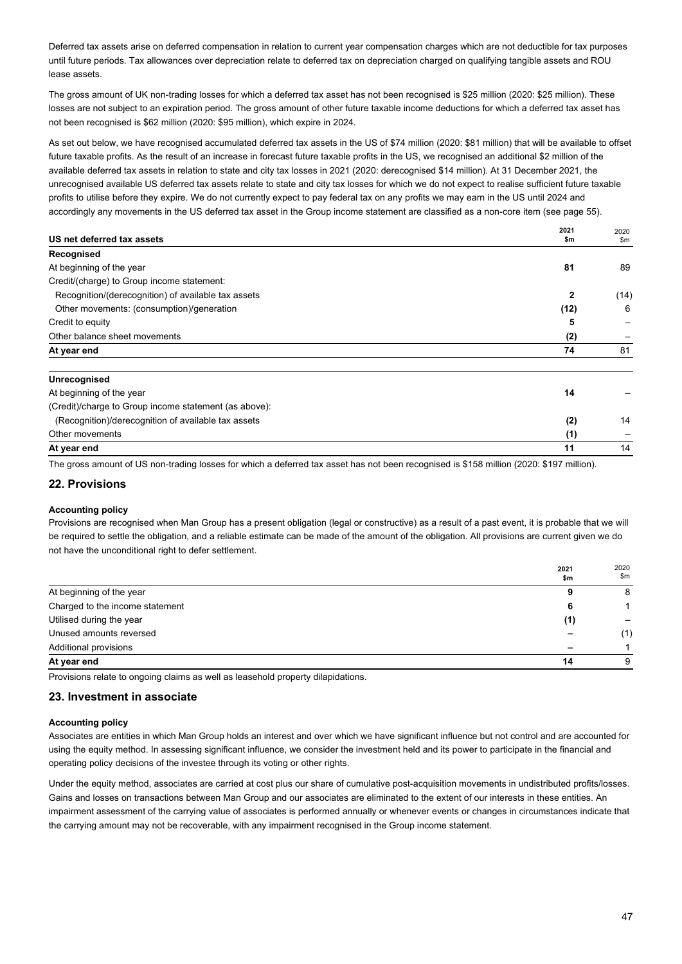Deferred tax assets arise on deferred compensation in relation to current year compensation charges which are not deductible for tax purposes until future periods. Tax allowances over depreciation relate to deferred tax on depreciation charged on qualifying tangible assets and ROU lease assets.

The gross amount of UK non-trading losses for which a deferred tax asset has not been recognised is \$25 million (2020: \$25 million). These losses are not subject to an expiration period. The gross amount of other future taxable income deductions for which a deferred tax asset has not been recognised is \$62 million (2020: \$95 million), which expire in 2024.

As set out below, we have recognised accumulated deferred tax assets in the US of \$74 million (2020: \$81 million) that will be available to offset future taxable profits. As the result of an increase in forecast future taxable profits in the US, we recognised an additional \$2 million of the available deferred tax assets in relation to state and city tax losses in 2021 (2020: derecognised \$14 million). At 31 December 2021, the unrecognised available US deferred tax assets relate to state and city tax losses for which we do not expect to realise sufficient future taxable profits to utilise before they expire. We do not currently expect to pay federal tax on any profits we may earn in the US until 2024 and accordingly any movements in the US deferred tax asset in the Group income statement are classified as a non-core item (see page 55).

| US net deferred tax assets                            | 2021<br>\$m | 2020<br>$\mathsf{Sm}$ |
|-------------------------------------------------------|-------------|-----------------------|
| Recognised                                            |             |                       |
| At beginning of the year                              | 81          | 89                    |
| Credit/(charge) to Group income statement:            |             |                       |
| Recognition/(derecognition) of available tax assets   | 2           | (14)                  |
| Other movements: (consumption)/generation             | (12)        | 6                     |
| Credit to equity                                      | 5           |                       |
| Other balance sheet movements                         | (2)         |                       |
| At year end                                           | 74          | 81                    |
| Unrecognised                                          |             |                       |
| At beginning of the year                              | 14          |                       |
| (Credit)/charge to Group income statement (as above): |             |                       |
| (Recognition)/derecognition of available tax assets   | (2)         | 14                    |
| Other movements                                       | (1)         |                       |
| At year end                                           | 11          | 14                    |

The gross amount of US non-trading losses for which a deferred tax asset has not been recognised is \$158 million (2020: \$197 million).

# **22. Provisions**

## **Accounting policy**

Provisions are recognised when Man Group has a present obligation (legal or constructive) as a result of a past event, it is probable that we will be required to settle the obligation, and a reliable estimate can be made of the amount of the obligation. All provisions are current given we do not have the unconditional right to defer settlement.

|                                 | 2021<br>\$m | 2020<br>\$m |
|---------------------------------|-------------|-------------|
| At beginning of the year        |             | 8           |
| Charged to the income statement |             |             |
| Utilised during the year        | (1)         |             |
| Unused amounts reversed         | -           | (1)         |
| Additional provisions           |             |             |
| At year end                     | 14          | 9           |

Provisions relate to ongoing claims as well as leasehold property dilapidations.

### **23. Investment in associate**

#### **Accounting policy**

Associates are entities in which Man Group holds an interest and over which we have significant influence but not control and are accounted for using the equity method. In assessing significant influence, we consider the investment held and its power to participate in the financial and operating policy decisions of the investee through its voting or other rights.

Under the equity method, associates are carried at cost plus our share of cumulative post-acquisition movements in undistributed profits/losses. Gains and losses on transactions between Man Group and our associates are eliminated to the extent of our interests in these entities. An impairment assessment of the carrying value of associates is performed annually or whenever events or changes in circumstances indicate that the carrying amount may not be recoverable, with any impairment recognised in the Group income statement.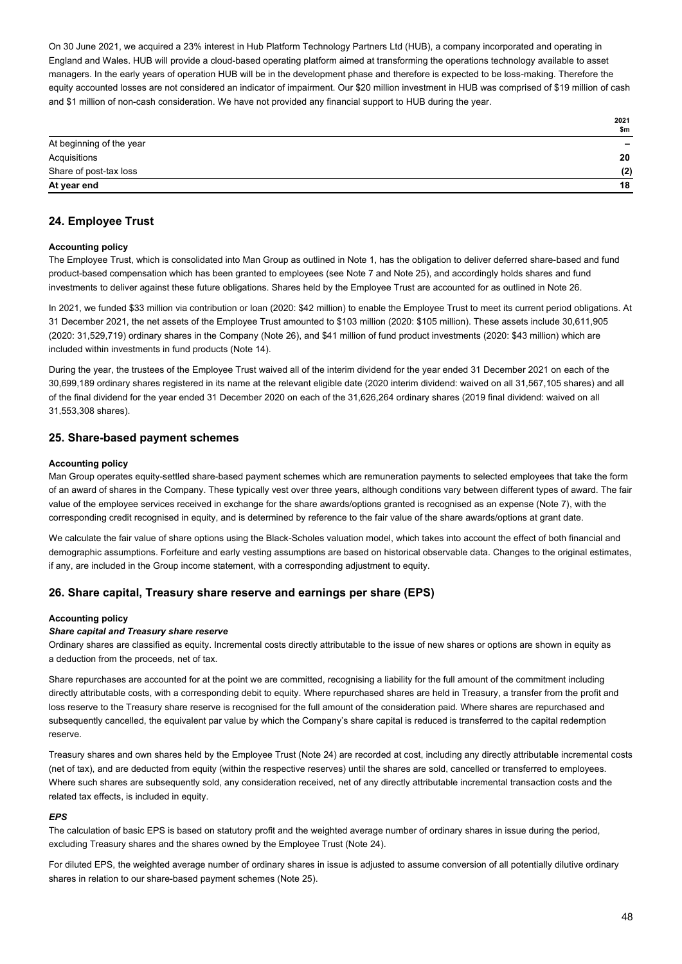On 30 June 2021, we acquired a 23% interest in Hub Platform Technology Partners Ltd (HUB), a company incorporated and operating in England and Wales. HUB will provide a cloud-based operating platform aimed at transforming the operations technology available to asset managers. In the early years of operation HUB will be in the development phase and therefore is expected to be loss-making. Therefore the equity accounted losses are not considered an indicator of impairment. Our \$20 million investment in HUB was comprised of \$19 million of cash and \$1 million of non-cash consideration. We have not provided any financial support to HUB during the year.

|                          | 2021<br>\$m |
|--------------------------|-------------|
| At beginning of the year | -           |
| Acquisitions             | 20          |
| Share of post-tax loss   | (2)         |
| At year end              | 18          |

# **24. Employee Trust**

#### **Accounting policy**

The Employee Trust, which is consolidated into Man Group as outlined in Note 1, has the obligation to deliver deferred share-based and fund product-based compensation which has been granted to employees (see Note 7 and Note 25), and accordingly holds shares and fund investments to deliver against these future obligations. Shares held by the Employee Trust are accounted for as outlined in Note 26.

In 2021, we funded \$33 million via contribution or loan (2020: \$42 million) to enable the Employee Trust to meet its current period obligations. At 31 December 2021, the net assets of the Employee Trust amounted to \$103 million (2020: \$105 million). These assets include 30,611,905 (2020: 31,529,719) ordinary shares in the Company (Note 26), and \$41 million of fund product investments (2020: \$43 million) which are included within investments in fund products (Note 14).

During the year, the trustees of the Employee Trust waived all of the interim dividend for the year ended 31 December 2021 on each of the 30,699,189 ordinary shares registered in its name at the relevant eligible date (2020 interim dividend: waived on all 31,567,105 shares) and all of the final dividend for the year ended 31 December 2020 on each of the 31,626,264 ordinary shares (2019 final dividend: waived on all 31,553,308 shares).

## **25. Share-based payment schemes**

#### **Accounting policy**

Man Group operates equity-settled share-based payment schemes which are remuneration payments to selected employees that take the form of an award of shares in the Company. These typically vest over three years, although conditions vary between different types of award. The fair value of the employee services received in exchange for the share awards/options granted is recognised as an expense (Note 7), with the corresponding credit recognised in equity, and is determined by reference to the fair value of the share awards/options at grant date.

We calculate the fair value of share options using the Black-Scholes valuation model, which takes into account the effect of both financial and demographic assumptions. Forfeiture and early vesting assumptions are based on historical observable data. Changes to the original estimates, if any, are included in the Group income statement, with a corresponding adjustment to equity.

# **26. Share capital, Treasury share reserve and earnings per share (EPS)**

#### **Accounting policy**

#### *Share capital and Treasury share reserve*

Ordinary shares are classified as equity. Incremental costs directly attributable to the issue of new shares or options are shown in equity as a deduction from the proceeds, net of tax.

Share repurchases are accounted for at the point we are committed, recognising a liability for the full amount of the commitment including directly attributable costs, with a corresponding debit to equity. Where repurchased shares are held in Treasury, a transfer from the profit and loss reserve to the Treasury share reserve is recognised for the full amount of the consideration paid. Where shares are repurchased and subsequently cancelled, the equivalent par value by which the Company's share capital is reduced is transferred to the capital redemption reserve.

Treasury shares and own shares held by the Employee Trust (Note 24) are recorded at cost, including any directly attributable incremental costs (net of tax), and are deducted from equity (within the respective reserves) until the shares are sold, cancelled or transferred to employees. Where such shares are subsequently sold, any consideration received, net of any directly attributable incremental transaction costs and the related tax effects, is included in equity.

#### *EPS*

The calculation of basic EPS is based on statutory profit and the weighted average number of ordinary shares in issue during the period, excluding Treasury shares and the shares owned by the Employee Trust (Note 24).

For diluted EPS, the weighted average number of ordinary shares in issue is adjusted to assume conversion of all potentially dilutive ordinary shares in relation to our share-based payment schemes (Note 25).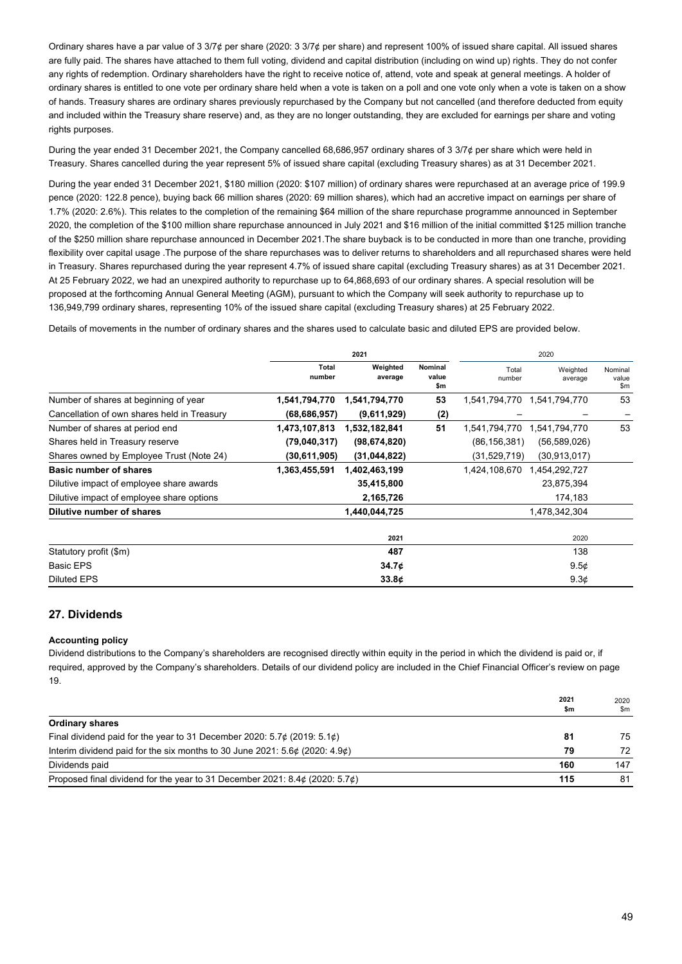Ordinary shares have a par value of 3 3/7¢ per share (2020: 3 3/7¢ per share) and represent 100% of issued share capital. All issued shares are fully paid. The shares have attached to them full voting, dividend and capital distribution (including on wind up) rights. They do not confer any rights of redemption. Ordinary shareholders have the right to receive notice of, attend, vote and speak at general meetings. A holder of ordinary shares is entitled to one vote per ordinary share held when a vote is taken on a poll and one vote only when a vote is taken on a show of hands. Treasury shares are ordinary shares previously repurchased by the Company but not cancelled (and therefore deducted from equity and included within the Treasury share reserve) and, as they are no longer outstanding, they are excluded for earnings per share and voting rights purposes.

During the year ended 31 December 2021, the Company cancelled 68,686,957 ordinary shares of 3 3/7¢ per share which were held in Treasury. Shares cancelled during the year represent 5% of issued share capital (excluding Treasury shares) as at 31 December 2021.

During the year ended 31 December 2021, \$180 million (2020: \$107 million) of ordinary shares were repurchased at an average price of 199.9 pence (2020: 122.8 pence), buying back 66 million shares (2020: 69 million shares), which had an accretive impact on earnings per share of 1.7% (2020: 2.6%). This relates to the completion of the remaining \$64 million of the share repurchase programme announced in September 2020, the completion of the \$100 million share repurchase announced in July 2021 and \$16 million of the initial committed \$125 million tranche of the \$250 million share repurchase announced in December 2021.The share buyback is to be conducted in more than one tranche, providing flexibility over capital usage .The purpose of the share repurchases was to deliver returns to shareholders and all repurchased shares were held in Treasury. Shares repurchased during the year represent 4.7% of issued share capital (excluding Treasury shares) as at 31 December 2021. At 25 February 2022, we had an unexpired authority to repurchase up to 64,868,693 of our ordinary shares. A special resolution will be proposed at the forthcoming Annual General Meeting (AGM), pursuant to which the Company will seek authority to repurchase up to 136,949,799 ordinary shares, representing 10% of the issued share capital (excluding Treasury shares) at 25 February 2022.

Details of movements in the number of ordinary shares and the shares used to calculate basic and diluted EPS are provided below.

|                                             | 2021            |                     |                         | 2020            |                     |                           |
|---------------------------------------------|-----------------|---------------------|-------------------------|-----------------|---------------------|---------------------------|
|                                             | Total<br>number | Weighted<br>average | Nominal<br>value<br>\$m | Total<br>number | Weighted<br>average | Nominal<br>value<br>\$m\$ |
| Number of shares at beginning of year       | 1,541,794,770   | 1,541,794,770       | 53                      | 1,541,794,770   | 1,541,794,770       | 53                        |
| Cancellation of own shares held in Treasury | (68, 686, 957)  | (9,611,929)         | (2)                     |                 |                     |                           |
| Number of shares at period end              | 1,473,107,813   | 1,532,182,841       | 51                      | 1,541,794,770   | 1,541,794,770       | 53                        |
| Shares held in Treasury reserve             | (79,040,317)    | (98, 674, 820)      |                         | (86, 156, 381)  | (56, 589, 026)      |                           |
| Shares owned by Employee Trust (Note 24)    | (30,611,905)    | (31,044,822)        |                         | (31,529,719)    | (30, 913, 017)      |                           |
| <b>Basic number of shares</b>               | 1,363,455,591   | 1,402,463,199       |                         | 1,424,108,670   | 1,454,292,727       |                           |
| Dilutive impact of employee share awards    |                 | 35,415,800          |                         |                 | 23,875,394          |                           |
| Dilutive impact of employee share options   |                 | 2,165,726           |                         |                 | 174,183             |                           |
| Dilutive number of shares                   |                 | 1,440,044,725       |                         |                 | 1,478,342,304       |                           |
|                                             |                 | 2021                |                         |                 | 2020                |                           |
| Statutory profit (\$m)                      |                 | 487                 |                         |                 | 138                 |                           |
| <b>Basic EPS</b>                            |                 | 34.7 <sub>¢</sub>   |                         |                 | 9.5¢                |                           |
| <b>Diluted EPS</b>                          |                 | 33.8 <sub>0</sub>   |                         |                 | 9.3¢                |                           |

# **27. Dividends**

#### **Accounting policy**

Dividend distributions to the Company's shareholders are recognised directly within equity in the period in which the dividend is paid or, if required, approved by the Company's shareholders. Details of our dividend policy are included in the Chief Financial Officer's review on page 19.

|                                                                                        | 2021<br>\$m | 2020<br>\$m |
|----------------------------------------------------------------------------------------|-------------|-------------|
| <b>Ordinary shares</b>                                                                 |             |             |
| Final dividend paid for the year to 31 December 2020: 5.7 $\phi$ (2019: 5.1 $\phi$ )   | 81          | 75          |
| Interim dividend paid for the six months to 30 June 2021: $5.6\ell$ (2020: $4.9\ell$ ) | 79          | 72          |
| Dividends paid                                                                         | 160         | 147         |
| Proposed final dividend for the year to 31 December 2021: $8.4\ell$ (2020: $5.7\ell$ ) | 115         | 81          |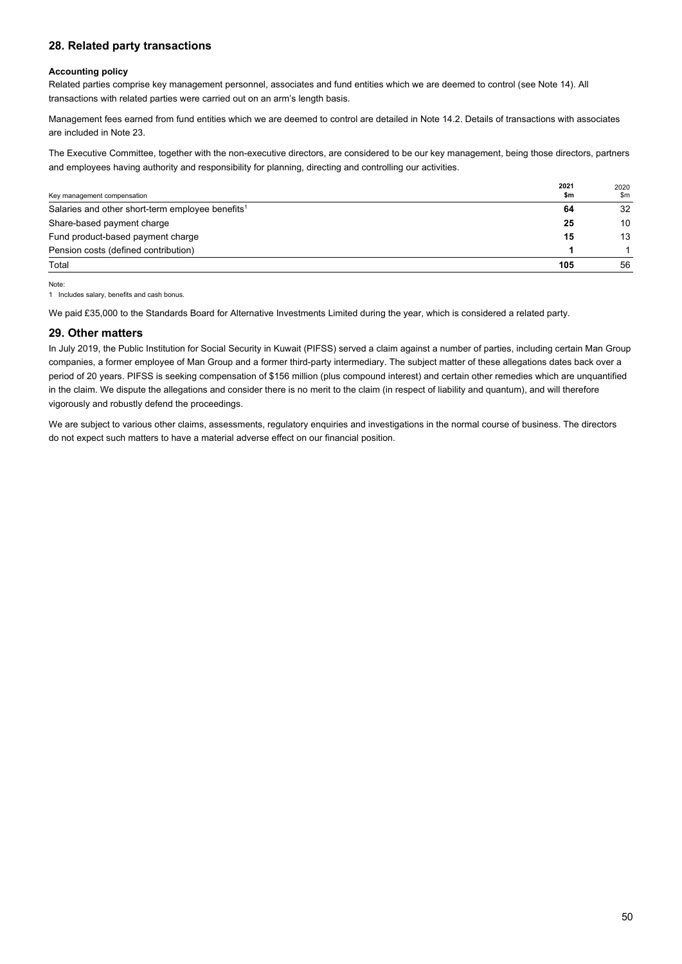# **28. Related party transactions**

#### **Accounting policy**

Related parties comprise key management personnel, associates and fund entities which we are deemed to control (see Note 14). All transactions with related parties were carried out on an arm's length basis.

Management fees earned from fund entities which we are deemed to control are detailed in Note 14.2. Details of transactions with associates are included in Note 23.

The Executive Committee, together with the non-executive directors, are considered to be our key management, being those directors, partners and employees having authority and responsibility for planning, directing and controlling our activities.

| Key management compensation                                  | 2021<br>\$m | 2020<br>$\mathsf{Sm}$ |
|--------------------------------------------------------------|-------------|-----------------------|
| Salaries and other short-term employee benefits <sup>1</sup> | 64          | 32                    |
| Share-based payment charge                                   | 25          | 10                    |
| Fund product-based payment charge                            | 15          | 13                    |
| Pension costs (defined contribution)                         |             |                       |
| Total                                                        | 105         | 56                    |

Note:

1 Includes salary, benefits and cash bonus.

We paid £35,000 to the Standards Board for Alternative Investments Limited during the year, which is considered a related party.

## **29. Other matters**

In July 2019, the Public Institution for Social Security in Kuwait (PIFSS) served a claim against a number of parties, including certain Man Group companies, a former employee of Man Group and a former third-party intermediary. The subject matter of these allegations dates back over a period of 20 years. PIFSS is seeking compensation of \$156 million (plus compound interest) and certain other remedies which are unquantified in the claim. We dispute the allegations and consider there is no merit to the claim (in respect of liability and quantum), and will therefore vigorously and robustly defend the proceedings.

We are subject to various other claims, assessments, regulatory enquiries and investigations in the normal course of business. The directors do not expect such matters to have a material adverse effect on our financial position.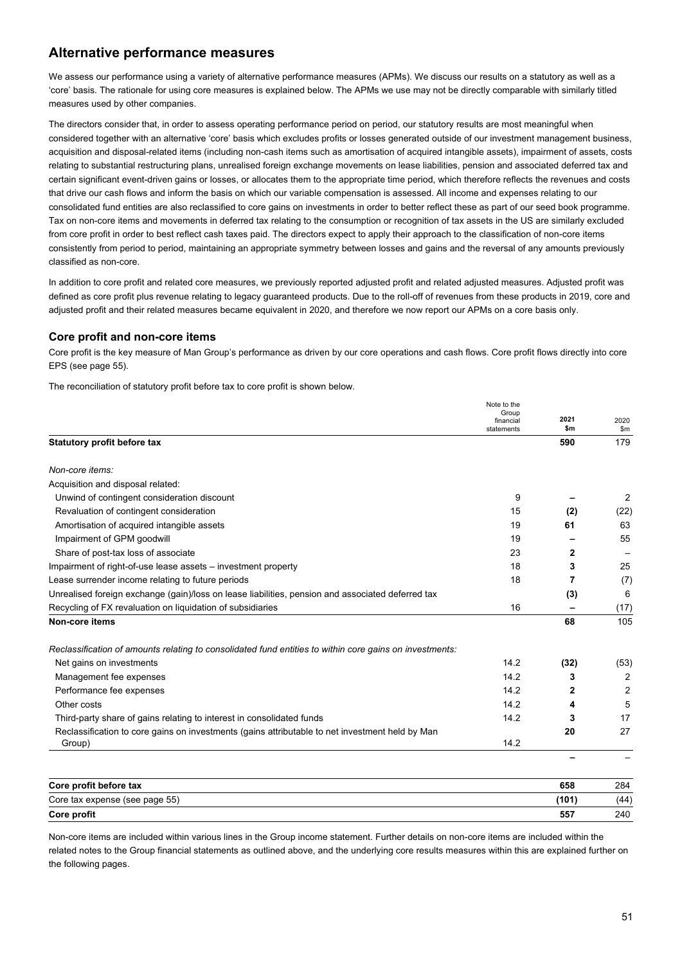# **Alternative performance measures**

We assess our performance using a variety of alternative performance measures (APMs). We discuss our results on a statutory as well as a 'core' basis. The rationale for using core measures is explained below. The APMs we use may not be directly comparable with similarly titled measures used by other companies.

The directors consider that, in order to assess operating performance period on period, our statutory results are most meaningful when considered together with an alternative 'core' basis which excludes profits or losses generated outside of our investment management business, acquisition and disposal-related items (including non-cash items such as amortisation of acquired intangible assets), impairment of assets, costs relating to substantial restructuring plans, unrealised foreign exchange movements on lease liabilities, pension and associated deferred tax and certain significant event-driven gains or losses, or allocates them to the appropriate time period, which therefore reflects the revenues and costs that drive our cash flows and inform the basis on which our variable compensation is assessed. All income and expenses relating to our consolidated fund entities are also reclassified to core gains on investments in order to better reflect these as part of our seed book programme. Tax on non-core items and movements in deferred tax relating to the consumption or recognition of tax assets in the US are similarly excluded from core profit in order to best reflect cash taxes paid. The directors expect to apply their approach to the classification of non-core items consistently from period to period, maintaining an appropriate symmetry between losses and gains and the reversal of any amounts previously classified as non-core.

In addition to core profit and related core measures, we previously reported adjusted profit and related adjusted measures. Adjusted profit was defined as core profit plus revenue relating to legacy guaranteed products. Due to the roll-off of revenues from these products in 2019, core and adjusted profit and their related measures became equivalent in 2020, and therefore we now report our APMs on a core basis only.

# **Core profit and non-core items**

Core profit is the key measure of Man Group's performance as driven by our core operations and cash flows. Core profit flows directly into core EPS (see page 55).

The reconciliation of statutory profit before tax to core profit is shown below.

|                                                                                                         | Note to the<br>Group<br>financial<br>statements | 2021<br>\$m  | 2020<br>\$m |
|---------------------------------------------------------------------------------------------------------|-------------------------------------------------|--------------|-------------|
| <b>Statutory profit before tax</b>                                                                      |                                                 | 590          | 179         |
| Non-core items:                                                                                         |                                                 |              |             |
| Acquisition and disposal related:                                                                       |                                                 |              |             |
| Unwind of contingent consideration discount                                                             | 9                                               |              | 2           |
| Revaluation of contingent consideration                                                                 | 15                                              | (2)          | (22)        |
| Amortisation of acquired intangible assets                                                              | 19                                              | 61           | 63          |
| Impairment of GPM goodwill                                                                              | 19                                              |              | 55          |
| Share of post-tax loss of associate                                                                     | 23                                              | 2            |             |
| Impairment of right-of-use lease assets - investment property                                           | 18                                              | 3            | 25          |
| Lease surrender income relating to future periods                                                       | 18                                              | 7            | (7)         |
| Unrealised foreign exchange (gain)/loss on lease liabilities, pension and associated deferred tax       |                                                 | (3)          | 6           |
| Recycling of FX revaluation on liquidation of subsidiaries                                              | 16                                              |              | (17)        |
| Non-core items                                                                                          |                                                 | 68           | 105         |
| Reclassification of amounts relating to consolidated fund entities to within core gains on investments: |                                                 |              |             |
| Net gains on investments                                                                                | 14.2                                            | (32)         | (53)        |
| Management fee expenses                                                                                 | 14.2                                            | 3            | 2           |
| Performance fee expenses                                                                                | 14.2                                            | $\mathbf{2}$ | 2           |
| Other costs                                                                                             | 14.2                                            | 4            | 5           |
| Third-party share of gains relating to interest in consolidated funds                                   | 14.2                                            | 3            | 17          |
| Reclassification to core gains on investments (gains attributable to net investment held by Man         |                                                 | 20           | 27          |
| Group)                                                                                                  | 14.2                                            |              |             |
|                                                                                                         |                                                 |              |             |
| Core profit before tax                                                                                  |                                                 | 658          | 284         |
| Core tax expense (see page 55)                                                                          |                                                 | (101)        | (44)        |
| Core profit                                                                                             |                                                 | 557          | 240         |

Non-core items are included within various lines in the Group income statement. Further details on non-core items are included within the related notes to the Group financial statements as outlined above, and the underlying core results measures within this are explained further on the following pages.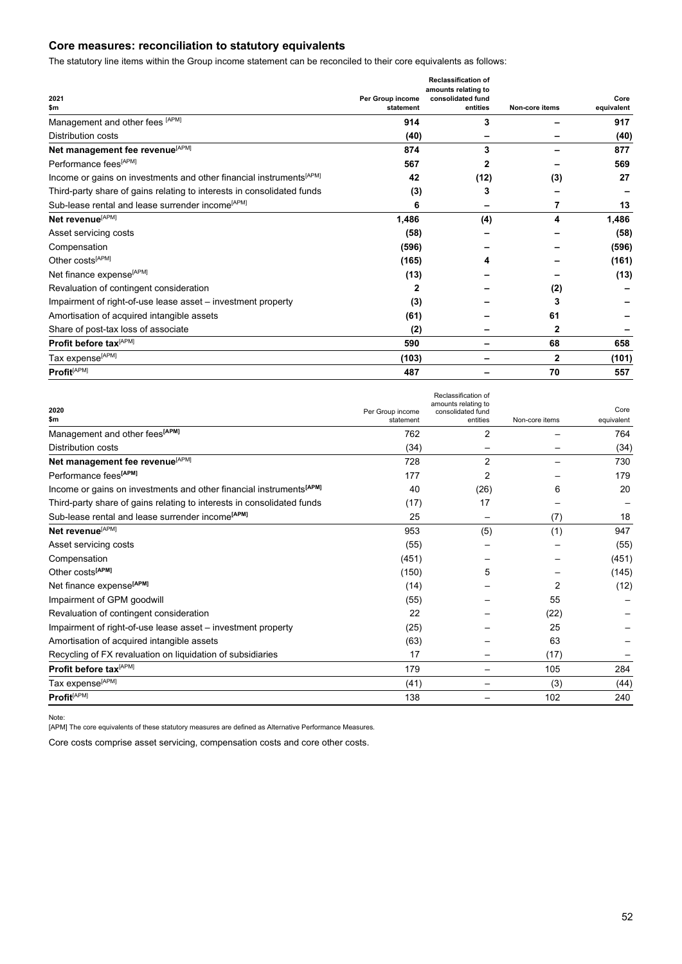# **Core measures: reconciliation to statutory equivalents**

The statutory line items within the Group income statement can be reconciled to their core equivalents as follows:

|                                                                                 |                  | <b>Reclassification of</b><br>amounts relating to |                |            |
|---------------------------------------------------------------------------------|------------------|---------------------------------------------------|----------------|------------|
| 2021                                                                            | Per Group income | consolidated fund                                 |                | Core       |
| \$m                                                                             | statement        | entities                                          | Non-core items | equivalent |
| Management and other fees [APM]                                                 | 914              | 3                                                 |                | 917        |
| Distribution costs                                                              | (40)             |                                                   |                | (40)       |
| Net management fee revenue [APM]                                                | 874              | 3                                                 |                | 877        |
| Performance fees <sup>[APM]</sup>                                               | 567              |                                                   |                | 569        |
| Income or gains on investments and other financial instruments <sup>[APM]</sup> | 42               | (12)                                              | (3)            | 27         |
| Third-party share of gains relating to interests in consolidated funds          | (3)              | 3                                                 |                |            |
| Sub-lease rental and lease surrender income <sup>[APM]</sup>                    | 6                |                                                   | 7              | 13         |
| Net revenue<br>[APM]                                                            | 1,486            | (4)                                               | 4              | 1,486      |
| Asset servicing costs                                                           | (58)             |                                                   |                | (58)       |
| Compensation                                                                    | (596)            |                                                   |                | (596)      |
| Other costs <sup>[APM]</sup>                                                    | (165)            |                                                   |                | (161)      |
| Net finance expense <sup>[APM]</sup>                                            | (13)             |                                                   |                | (13)       |
| Revaluation of contingent consideration                                         | 2                |                                                   | (2)            |            |
| Impairment of right-of-use lease asset – investment property                    | (3)              |                                                   | 3              |            |
| Amortisation of acquired intangible assets                                      | (61)             |                                                   | 61             |            |
| Share of post-tax loss of associate                                             | (2)              |                                                   | 2              |            |
| Profit before tax <sup>[APM]</sup>                                              | 590              |                                                   | 68             | 658        |
| Tax expense <sup>[APM]</sup>                                                    | (103)            |                                                   | 2              | (101)      |
| Profit <sup>[APM]</sup>                                                         | 487              |                                                   | 70             | 557        |

| 2020<br>\$m                                                                     | Per Group income<br>statement | Reclassification of<br>amounts relating to<br>consolidated fund<br>entities | Non-core items | Core<br>equivalent |
|---------------------------------------------------------------------------------|-------------------------------|-----------------------------------------------------------------------------|----------------|--------------------|
| Management and other fees <sup>[APM]</sup>                                      | 762                           | $\overline{2}$                                                              |                | 764                |
| Distribution costs                                                              | (34)                          |                                                                             |                | (34)               |
| Net management fee revenue [APM]                                                | 728                           | 2                                                                           |                | 730                |
| Performance fees <sup>[APM]</sup>                                               | 177                           | 2                                                                           |                | 179                |
| Income or gains on investments and other financial instruments <sup>[APM]</sup> | 40                            | (26)                                                                        | 6              | 20                 |
| Third-party share of gains relating to interests in consolidated funds          | (17)                          | 17                                                                          |                |                    |
| Sub-lease rental and lease surrender income <sup>[APM]</sup>                    | 25                            | -                                                                           | (7)            | 18                 |
| Net revenue <sup>[APM]</sup>                                                    | 953                           | (5)                                                                         | (1)            | 947                |
| Asset servicing costs                                                           | (55)                          |                                                                             |                | (55)               |
| Compensation                                                                    | (451)                         |                                                                             |                | (451)              |
| Other costs <sup>[APM]</sup>                                                    | (150)                         | 5                                                                           |                | (145)              |
| Net finance expense <sup>[APM]</sup>                                            | (14)                          |                                                                             | 2              | (12)               |
| Impairment of GPM goodwill                                                      | (55)                          |                                                                             | 55             |                    |
| Revaluation of contingent consideration                                         | 22                            |                                                                             | (22)           |                    |
| Impairment of right-of-use lease asset – investment property                    | (25)                          |                                                                             | 25             |                    |
| Amortisation of acquired intangible assets                                      | (63)                          |                                                                             | 63             |                    |
| Recycling of FX revaluation on liquidation of subsidiaries                      | 17                            |                                                                             | (17)           |                    |
| Profit before tax <sup>[APM]</sup>                                              | 179                           | —                                                                           | 105            | 284                |
| Tax expense <sup>[APM]</sup>                                                    | (41)                          |                                                                             | (3)            | (44)               |
| Profit <sup>[APM]</sup>                                                         | 138                           |                                                                             | 102            | 240                |

Note:

[APM] The core equivalents of these statutory measures are defined as Alternative Performance Measures.

Core costs comprise asset servicing, compensation costs and core other costs.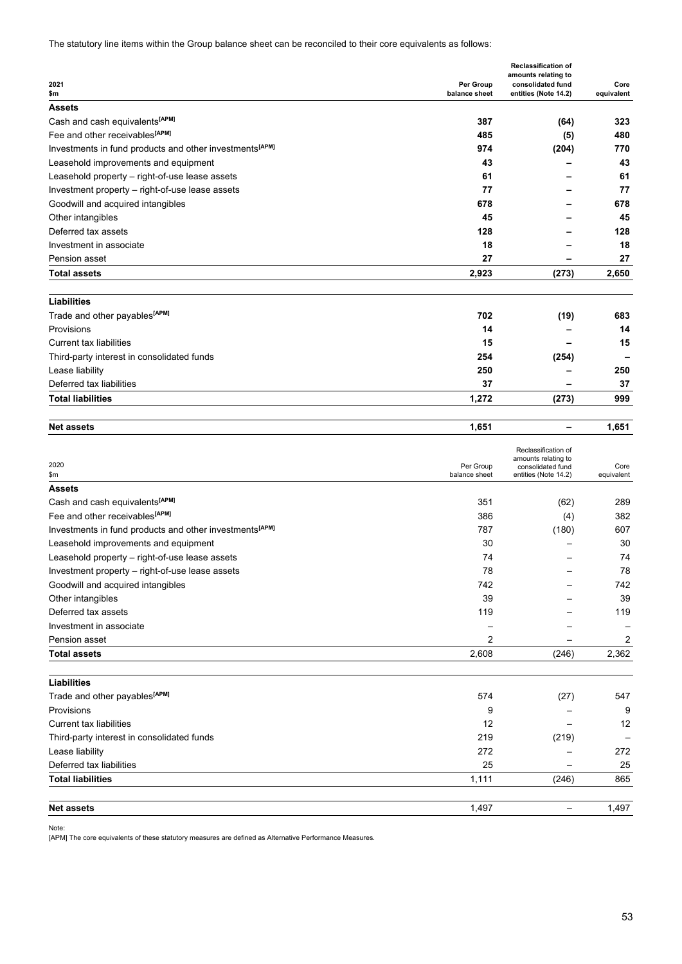The statutory line items within the Group balance sheet can be reconciled to their core equivalents as follows:

| 2021                                                                                     | Per Group<br>balance sheet | <b>Reclassification of</b><br>amounts relating to<br>consolidated fund | Core               |
|------------------------------------------------------------------------------------------|----------------------------|------------------------------------------------------------------------|--------------------|
| \$m                                                                                      |                            | entities (Note 14.2)                                                   | equivalent         |
| <b>Assets</b>                                                                            |                            |                                                                        |                    |
| Cash and cash equivalents <sup>[APM]</sup><br>Fee and other receivables <sup>[APM]</sup> | 387                        | (64)                                                                   | 323                |
|                                                                                          | 485                        | (5)                                                                    | 480                |
| Investments in fund products and other investments <sup>[APM]</sup>                      | 974                        | (204)                                                                  | 770                |
| Leasehold improvements and equipment                                                     | 43                         |                                                                        | 43                 |
| Leasehold property - right-of-use lease assets                                           | 61                         |                                                                        | 61                 |
| Investment property - right-of-use lease assets                                          | 77                         |                                                                        | 77                 |
| Goodwill and acquired intangibles                                                        | 678                        |                                                                        | 678                |
| Other intangibles                                                                        | 45                         |                                                                        | 45                 |
| Deferred tax assets                                                                      | 128                        |                                                                        | 128                |
| Investment in associate                                                                  | 18                         |                                                                        | 18                 |
| Pension asset                                                                            | 27                         | -                                                                      | 27                 |
| <b>Total assets</b>                                                                      | 2,923                      | (273)                                                                  | 2,650              |
| <b>Liabilities</b>                                                                       |                            |                                                                        |                    |
| Trade and other payables <sup>[APM]</sup>                                                | 702                        | (19)                                                                   | 683                |
| Provisions                                                                               | 14                         |                                                                        | 14                 |
| <b>Current tax liabilities</b>                                                           | 15                         |                                                                        | 15                 |
|                                                                                          | 254                        |                                                                        |                    |
| Third-party interest in consolidated funds                                               |                            | (254)                                                                  |                    |
| Lease liability<br>Deferred tax liabilities                                              | 250                        |                                                                        | 250                |
| <b>Total liabilities</b>                                                                 | 37<br>1,272                | (273)                                                                  | 37<br>999          |
|                                                                                          |                            |                                                                        |                    |
| <b>Net assets</b>                                                                        | 1,651                      |                                                                        | 1,651              |
|                                                                                          |                            | Reclassification of                                                    |                    |
| 2020                                                                                     |                            | amounts relating to                                                    |                    |
| \$m                                                                                      | Per Group<br>balance sheet | consolidated fund<br>entities (Note 14.2)                              | Core<br>equivalent |
| Assets                                                                                   |                            |                                                                        |                    |
| Cash and cash equivalents <sup>[APM]</sup>                                               | 351                        | (62)                                                                   | 289                |
| Fee and other receivables <sup>[APM]</sup>                                               | 386                        | (4)                                                                    | 382                |
| Investments in fund products and other investments <sup>[APM]</sup>                      | 787                        | (180)                                                                  | 607                |
| Leasehold improvements and equipment                                                     | 30                         |                                                                        | 30                 |
| Leasehold property - right-of-use lease assets                                           | 74                         |                                                                        | 74                 |
| Investment property - right-of-use lease assets                                          | 78                         |                                                                        | 78                 |
| Goodwill and acquired intangibles                                                        | 742                        |                                                                        | 742                |
| Other intangibles                                                                        | 39                         |                                                                        | 39                 |
| Deferred tax assets                                                                      | 119                        |                                                                        | 119                |
| Investment in associate                                                                  |                            |                                                                        |                    |
| Pension asset                                                                            | $\overline{2}$             |                                                                        | 2                  |
| <b>Total assets</b>                                                                      | 2,608                      | (246)                                                                  | 2,362              |
|                                                                                          |                            |                                                                        |                    |
| <b>Liabilities</b>                                                                       |                            |                                                                        |                    |
| Trade and other payables <sup>[APM]</sup>                                                | 574                        | (27)                                                                   | 547                |
| Provisions                                                                               | 9                          |                                                                        | 9                  |
| <b>Current tax liabilities</b>                                                           | 12                         |                                                                        | 12                 |
| Third-party interest in consolidated funds                                               | 219                        | (219)                                                                  |                    |
| Lease liability                                                                          | 272                        |                                                                        | 272                |
| Deferred tax liabilities                                                                 | 25                         |                                                                        | 25                 |
| <b>Total liabilities</b>                                                                 | 1,111                      | (246)                                                                  | 865                |
|                                                                                          |                            |                                                                        |                    |
| <b>Net assets</b>                                                                        | 1,497                      | $\qquad \qquad -$                                                      | 1,497              |

Note:

[APM] The core equivalents of these statutory measures are defined as Alternative Performance Measures.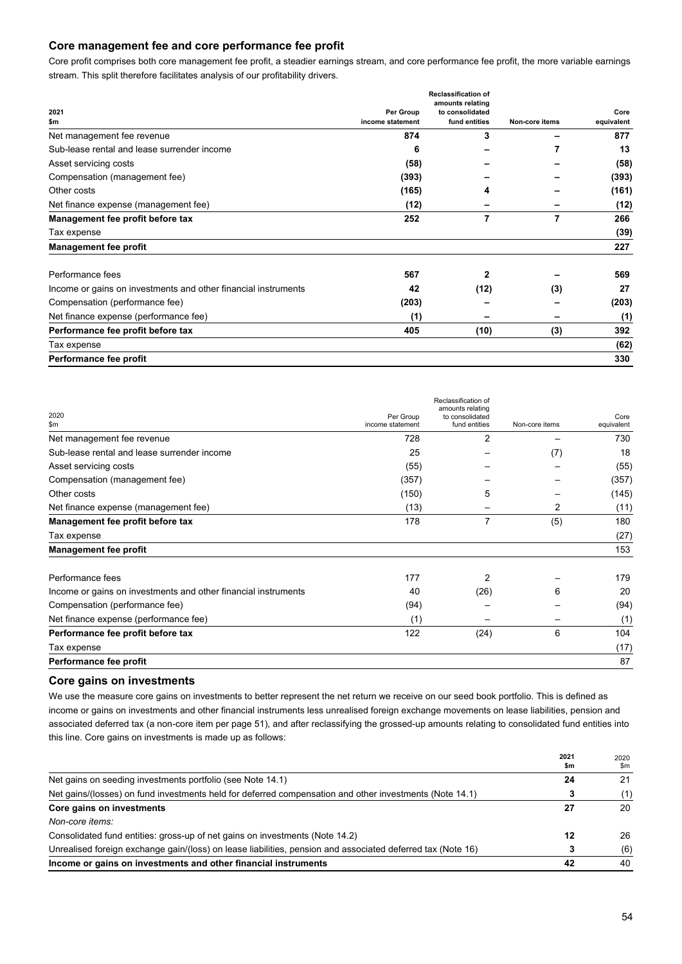# **Core management fee and core performance fee profit**

Core profit comprises both core management fee profit, a steadier earnings stream, and core performance fee profit, the more variable earnings stream. This split therefore facilitates analysis of our profitability drivers.

|                                                                |                               | <b>Reclassification of</b>                           |                |                    |
|----------------------------------------------------------------|-------------------------------|------------------------------------------------------|----------------|--------------------|
| 2021<br>\$m                                                    | Per Group<br>income statement | amounts relating<br>to consolidated<br>fund entities | Non-core items | Core<br>equivalent |
| Net management fee revenue                                     | 874                           | 3                                                    |                | 877                |
| Sub-lease rental and lease surrender income                    | 6                             |                                                      |                | 13                 |
| Asset servicing costs                                          | (58)                          |                                                      |                | (58)               |
| Compensation (management fee)                                  | (393)                         |                                                      |                | (393)              |
| Other costs                                                    | (165)                         | 4                                                    |                | (161)              |
| Net finance expense (management fee)                           | (12)                          |                                                      |                | (12)               |
| Management fee profit before tax                               | 252                           | 7                                                    | 7              | 266                |
| Tax expense                                                    |                               |                                                      |                | (39)               |
| <b>Management fee profit</b>                                   |                               |                                                      |                | 227                |
| Performance fees                                               | 567                           | 2                                                    |                | 569                |
| Income or gains on investments and other financial instruments | 42                            | (12)                                                 | (3)            | 27                 |
| Compensation (performance fee)                                 | (203)                         |                                                      |                | (203)              |
| Net finance expense (performance fee)                          | (1)                           |                                                      |                | (1)                |
| Performance fee profit before tax                              | 405                           | (10)                                                 | (3)            | 392                |
| Tax expense                                                    |                               |                                                      |                | (62)               |
| Performance fee profit                                         |                               |                                                      |                | 330                |

| 2020<br>\$m                                                    | Per Group<br>income statement | Reclassification of<br>amounts relating<br>to consolidated<br>fund entities | Non-core items | Core<br>equivalent |
|----------------------------------------------------------------|-------------------------------|-----------------------------------------------------------------------------|----------------|--------------------|
| Net management fee revenue                                     | 728                           | $\overline{2}$                                                              |                | 730                |
| Sub-lease rental and lease surrender income                    | 25                            |                                                                             | (7)            | 18                 |
| Asset servicing costs                                          | (55)                          |                                                                             |                | (55)               |
| Compensation (management fee)                                  | (357)                         |                                                                             |                | (357)              |
| Other costs                                                    | (150)                         | 5                                                                           |                | (145)              |
| Net finance expense (management fee)                           | (13)                          |                                                                             | 2              | (11)               |
| Management fee profit before tax                               | 178                           | 7                                                                           | (5)            | 180                |
| Tax expense                                                    |                               |                                                                             |                | (27)               |
| <b>Management fee profit</b>                                   |                               |                                                                             |                | 153                |
| Performance fees                                               | 177                           | 2                                                                           |                | 179                |
| Income or gains on investments and other financial instruments | 40                            | (26)                                                                        | 6              | 20                 |
| Compensation (performance fee)                                 | (94)                          |                                                                             |                | (94)               |
| Net finance expense (performance fee)                          | (1)                           |                                                                             |                | (1)                |
| Performance fee profit before tax                              | 122                           | (24)                                                                        | 6              | 104                |
| Tax expense                                                    |                               |                                                                             |                | (17)               |
| Performance fee profit                                         |                               |                                                                             |                | 87                 |

## **Core gains on investments**

We use the measure core gains on investments to better represent the net return we receive on our seed book portfolio. This is defined as income or gains on investments and other financial instruments less unrealised foreign exchange movements on lease liabilities, pension and associated deferred tax (a non-core item per page 51), and after reclassifying the grossed-up amounts relating to consolidated fund entities into this line. Core gains on investments is made up as follows:

|                                                                                                             | 2021<br>\$m | 2020<br>\$m |
|-------------------------------------------------------------------------------------------------------------|-------------|-------------|
| Net gains on seeding investments portfolio (see Note 14.1)                                                  | 24          | 21          |
| Net gains/(losses) on fund investments held for deferred compensation and other investments (Note 14.1)     |             | (1)         |
| Core gains on investments                                                                                   | 27          | 20          |
| Non-core items:                                                                                             |             |             |
| Consolidated fund entities: gross-up of net gains on investments (Note 14.2)                                | 12          | 26          |
| Unrealised foreign exchange gain/(loss) on lease liabilities, pension and associated deferred tax (Note 16) |             | (6)         |
| Income or gains on investments and other financial instruments                                              | 42          | 40          |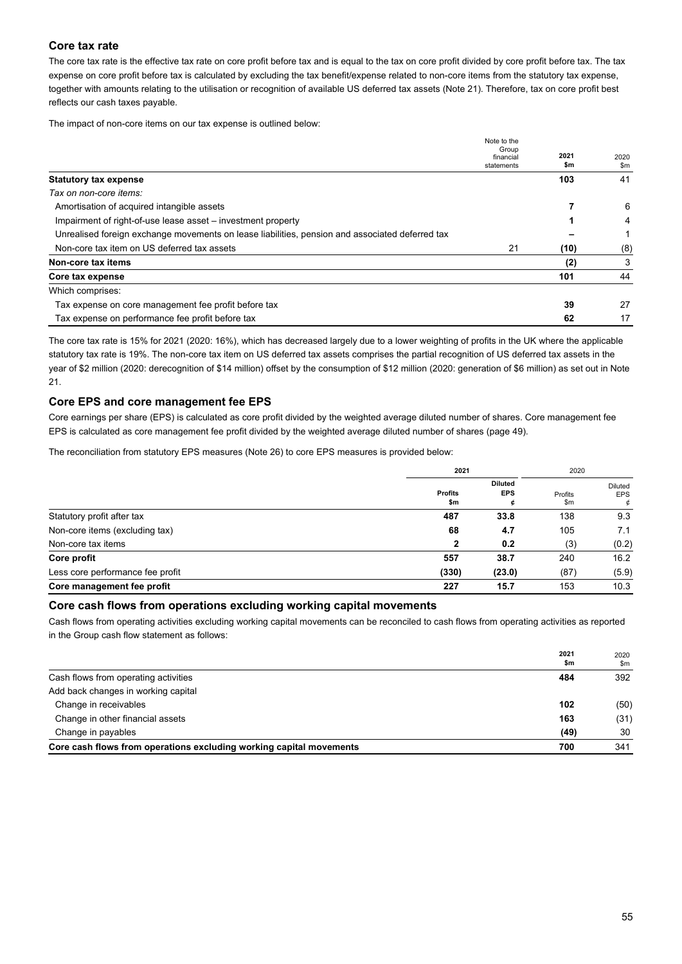# **Core tax rate**

The core tax rate is the effective tax rate on core profit before tax and is equal to the tax on core profit divided by core profit before tax. The tax expense on core profit before tax is calculated by excluding the tax benefit/expense related to non-core items from the statutory tax expense, together with amounts relating to the utilisation or recognition of available US deferred tax assets (Note 21). Therefore, tax on core profit best reflects our cash taxes payable.

The impact of non-core items on our tax expense is outlined below:

|                                                                                                 | Note to the<br>Group<br>financial<br>statements | 2021<br>\$m | 2020<br>\$m |
|-------------------------------------------------------------------------------------------------|-------------------------------------------------|-------------|-------------|
| <b>Statutory tax expense</b>                                                                    |                                                 | 103         | 41          |
| Tax on non-core items:                                                                          |                                                 |             |             |
| Amortisation of acquired intangible assets                                                      |                                                 |             | 6           |
| Impairment of right-of-use lease asset – investment property                                    |                                                 |             | 4           |
| Unrealised foreign exchange movements on lease liabilities, pension and associated deferred tax |                                                 |             |             |
| Non-core tax item on US deferred tax assets                                                     | 21                                              | (10)        | (8)         |
| Non-core tax items                                                                              |                                                 | (2)         | 3           |
| Core tax expense                                                                                |                                                 | 101         | 44          |
| Which comprises:                                                                                |                                                 |             |             |
| Tax expense on core management fee profit before tax                                            |                                                 | 39          | 27          |
| Tax expense on performance fee profit before tax                                                |                                                 | 62          | 17          |

The core tax rate is 15% for 2021 (2020: 16%), which has decreased largely due to a lower weighting of profits in the UK where the applicable statutory tax rate is 19%. The non-core tax item on US deferred tax assets comprises the partial recognition of US deferred tax assets in the year of \$2 million (2020: derecognition of \$14 million) offset by the consumption of \$12 million (2020: generation of \$6 million) as set out in Note 21.

# **Core EPS and core management fee EPS**

Core earnings per share (EPS) is calculated as core profit divided by the weighted average diluted number of shares. Core management fee EPS is calculated as core management fee profit divided by the weighted average diluted number of shares (page 49).

The reconciliation from statutory EPS measures (Note 26) to core EPS measures is provided below:

|                                  | 2021                  |                              | 2020             |                                   |
|----------------------------------|-----------------------|------------------------------|------------------|-----------------------------------|
|                                  | <b>Profits</b><br>\$m | <b>Diluted</b><br><b>EPS</b> | Profits<br>\$m\$ | <b>Diluted</b><br><b>EPS</b><br>¢ |
| Statutory profit after tax       | 487                   | 33.8                         | 138              | 9.3                               |
| Non-core items (excluding tax)   | 68                    | 4.7                          | 105              | 7.1                               |
| Non-core tax items               | 2                     | 0.2                          | (3)              | (0.2)                             |
| Core profit                      | 557                   | 38.7                         | 240              | 16.2                              |
| Less core performance fee profit | (330)                 | (23.0)                       | (87)             | (5.9)                             |
| Core management fee profit       | 227                   | 15.7                         | 153              | 10.3                              |

# **Core cash flows from operations excluding working capital movements**

Cash flows from operating activities excluding working capital movements can be reconciled to cash flows from operating activities as reported in the Group cash flow statement as follows:

|                                                                     | 2021<br>\$m | 2020<br>\$m |
|---------------------------------------------------------------------|-------------|-------------|
| Cash flows from operating activities                                | 484         | 392         |
| Add back changes in working capital                                 |             |             |
| Change in receivables                                               | 102         | (50)        |
| Change in other financial assets                                    | 163         | (31)        |
| Change in payables                                                  | (49)        | 30          |
| Core cash flows from operations excluding working capital movements | 700         | 341         |